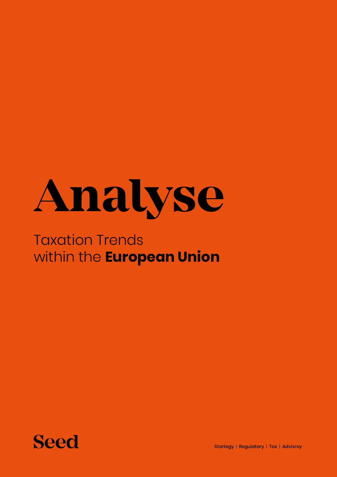

## Taxation Trends within the **European Union**



Startegy | Regulatary | Tax | Advisroy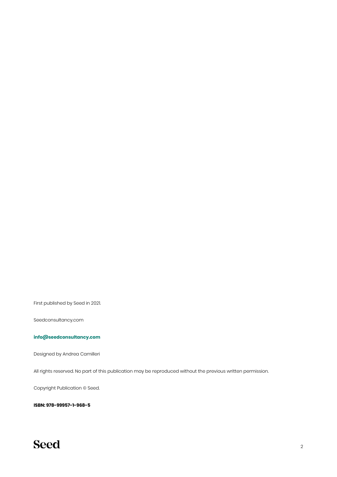First published by Seed in 2021.

Seedconsultancy.com

#### **[info@seedconsultancy.com](mailto:info%40seedconsultancy.com?subject=)**

Designed by Andrea Camilleri

All rights reserved. No part of this publication may be reproduced without the previous written permission.

Copyright Publication © Seed.

**ISBN: 978-99957-1-968-5**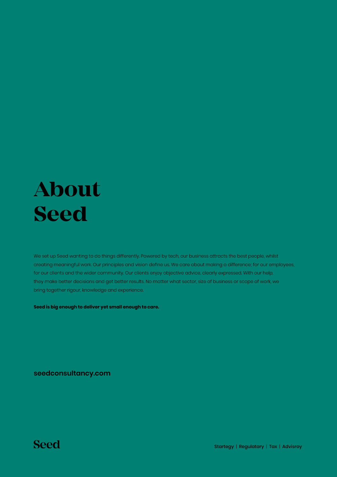## **About Seed**

We set up Seed wanting to do things differently. Powered by tech, our business attracts the best people, whilst creating meaningful work. Our principles and vision define us. We care about making a difference; for our employees, for our clients and the wider community. Our clients enjoy objective advice, clearly expressed. With our help, they make better decisions and get better results. No matter what sector, size of business or scope of work, we bring together rigour, knowledge and experience.

**Seed is big enough to deliver yet small enough to care.**

**[seedconsultancy.com](http://seedconsultancy.com)**

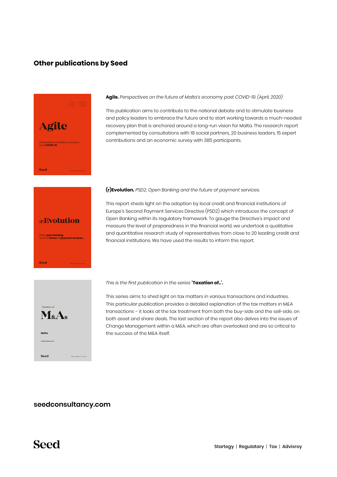#### **Other publications by Seed**



**Agile.** *Perspectives on the future of Malta's economy post COVID-19. (April, 2020)*

This publication aims to contribute to the national debate and to stimulate business and policy leaders to embrace the future and to start working towards a much-needed recovery plan that is anchored around a long-run vision for Malta. The research report complemented by consultations with 18 social partners, 20 business leaders, 15 expert contributions and an economic survey with 385 participants.

#### **(r)Evolution.** *PSD2, Open Banking and the future of payment services.*

(**r**)**Evolution** PSD2, **open banking** and the **future** of **payment services.** Seed

This report sheds light on the adoption by local credit and financial institutions of Europe's Second Payment Services Directive (PSD2) which introduces the concept of Open Banking within its regulatory framework. To gauge the Directive's impact and measure the level of preparedness in the financial world, we undertook a qualitative and quantitative research study of representatives from close to 20 leading credit and financial institutions. We have used the results to inform this report.



*This is the first publication in the series* **'Taxation of..'.**

This series aims to shed light on tax matters in various transactions and industries. This particular publication provides a detailed explanation of the tax matters in M&A transactions – it looks at the tax treatment from both the buy-side and the sell-side, on both asset and share deals. The last section of the report also delves into the issues of Change Management within a M&A, which are often overlooked and are so critical to the success of the M&A itself.

#### **[seedconsultancy.com](http://seedconsultancy.com)**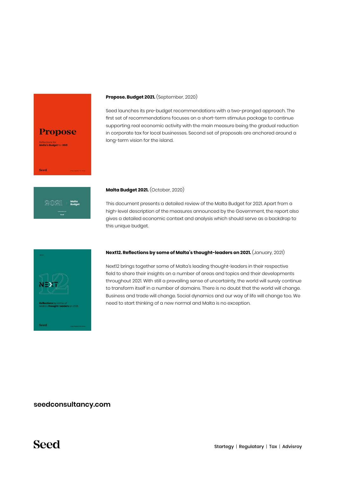

#### **Propose. Budget 2021.** (September, 2020)

Seed launches its pre-budget recommendations with a two-pronged approach. The first set of recommendations focuses on a short-term stimulus package to continue supporting real economic activity with the main measure being the gradual reduction in corporate tax for local businesses. Second set of proposals are anchored around a long-term vision for the island.



#### **Malta Budget 2021.** (October, 2020)

This document presents a detailed review of the Malta Budget for 2021. Apart from a high-level description of the measures announced by the Government, the report also gives a detailed economic context and analysis which should serve as a backdrop to this unique budget.



#### **Next12. Reflections by some of Malta's thought-leaders on 2021.** (January, 2021)

Next12 brings together some of Malta's leading thought-leaders in their respective field to share their insights on a number of areas and topics and their developments throughout 2021. With still a prevailing sense of uncertainty, the world will surely continue to transform itself in a number of domains. There is no doubt that the world will change. Business and trade will change. Social dynamics and our way of life will change too. We need to start thinking of a new normal and Malta is no exception.

#### **[seedconsultancy.com](http://seedconsultancy.com)**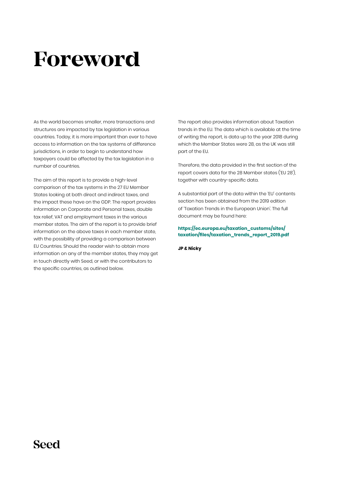## **Foreword**

As the world becomes smaller, more transactions and structures are impacted by tax legislation in various countries. Today, it is more important than ever to have access to information on the tax systems of difference jurisdictions, in order to begin to understand how taxpayers could be affected by the tax legislation in a number of countries.

The aim of this report is to provide a high-level comparison of the tax systems in the 27 EU Member States looking at both direct and indirect taxes, and the impact these have on the GDP. The report provides information on Corporate and Personal taxes, double tax relief, VAT and employment taxes in the various member states. The aim of the report is to provide brief information on the above taxes in each member state, with the possibility of providing a comparison between EU Countries. Should the reader wish to obtain more information on any of the member states, they may get in touch directly with Seed, or with the contributors to the specific countries, as outlined below.

The report also provides information about Taxation trends in the EU. The data which is available at the time of writing the report, is data up to the year 2018 during which the Member States were 28, as the UK was still part of the EU.

Therefore, the data provided in the first section of the report covers data for the 28 Member states ('EU 28'), together with country-specific data.

A substantial part of the data within the 'EU' contents section has been obtained from the 2019 edition of 'Taxation Trends in the European Union'. The full document may be found here:

**[https://ec.europa.eu/taxation\\_customs/sites/](https://ec.europa.eu/taxation_customs/sites/taxation/files/taxation_trends_report_2019.pdf) [taxation/files/taxation\\_trends\\_report\\_2019.pdf](https://ec.europa.eu/taxation_customs/sites/taxation/files/taxation_trends_report_2019.pdf)**

**JP & Nicky**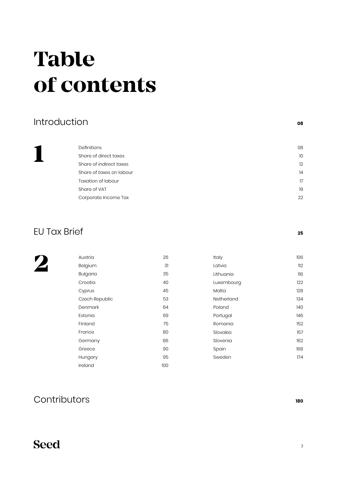## <span id="page-6-0"></span>**Table of contents**

#### [Introduction](#page-7-0) **<sup>08</sup>**

**1**

[Definitions](#page-7-0) that the contract of the contract of the contract of the contract of the contract of the contract of the contract of the contract of the contract of the contract of the contract of the contract of the contract [Share of direct taxes](#page-9-0) 10 [Share of indirect taxes](#page-11-0) 12 [Share of taxes on labour](#page-13-0) 14 [Taxation of labour](#page-16-0) 17 [Share of VAT](#page-18-0) 19 [Corporate Income Tax](#page-21-0) 22

### [EU Tax Brief](#page-24-0) **<sup>25</sup>**

**2**

| Austria         | 26  | Italy      | 106 |
|-----------------|-----|------------|-----|
| Belgium         | 31  | Latvia     | 112 |
| <b>Bulgaria</b> | 35  | Lithuania  | 116 |
| Croatia         | 40  | Luxembourg | 122 |
| Cyprus          | 45  | Malta      | 128 |
| Czech Republic  | 53  | Netherland | 134 |
| Denmark         | 64  | Poland     | 140 |
| Estonia         | 69  | Portugal   | 146 |
| Finland         | 75  | Romania    | 152 |
| France          | 80  | Slovakia   | 157 |
| Germany         | 86  | Slovenia   | 162 |
| Greece          | 90  | Spain      | 168 |
| Hungary         | 95  | Sweden     | 174 |
| Ireland         | 100 |            |     |

### [Contributors](#page-179-0) **<sup>180</sup>**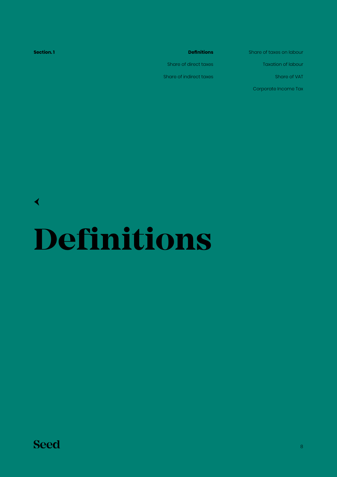<span id="page-7-0"></span>

| Section.1 | <b>Definitions</b>      | Share of taxes on labour  |
|-----------|-------------------------|---------------------------|
|           | Share of direct taxes   | <b>Taxation of labour</b> |
|           | Share of indirect taxes | Share of VAT              |
|           |                         | Corporate Income Tax      |
|           |                         |                           |

**Definitions** [←](#page-6-0)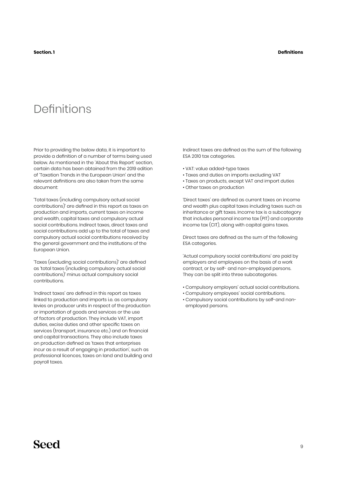## Definitions

Prior to providing the below data, it is important to provide a definition of a number of terms being used below. As mentioned in the 'About this Report' section, certain data has been obtained from the 2019 edition of 'Taxation Trends in the European Union' and the relevant definitions are also taken from the same document:

'Total taxes (including compulsory actual social contributions)' are defined in this report as taxes on production and imports, current taxes on income and wealth, capital taxes and compulsory actual social contributions. Indirect taxes, direct taxes and social contributions add up to the total of taxes and compulsory actual social contributions received by the general government and the institutions of the European Union.

'Taxes (excluding social contributions)' are defined as 'total taxes (including compulsory actual social contributions)' minus actual compulsory social contributions.

'Indirect taxes' are defined in this report as taxes linked to production and imports i.e. as compulsory levies on producer units in respect of the production or importation of goods and services or the use of factors of production. They include VAT, import duties, excise duties and other specific taxes on services (transport, insurance etc.) and on financial and capital transactions. They also include taxes on production defined as 'taxes that enterprises incur as a result of engaging in production', such as professional licences, taxes on land and building and payroll taxes.

Indirect taxes are defined as the sum of the following ESA 2010 tax categories.

- VAT: value added-type taxes
- Taxes and duties on imports excluding VAT
- Taxes on products, except VAT and import duties
- Other taxes on production

'Direct taxes' are defined as current taxes on income and wealth plus capital taxes including taxes such as inheritance or gift taxes. Income tax is a subcategory that includes personal income tax (PIT) and corporate income tax (CIT), along with capital gains taxes.

Direct taxes are defined as the sum of the following ESA categories.

'Actual compulsory social contributions' are paid by employers and employees on the basis of a work contract, or by self- and non-employed persons. They can be split into three subcategories.

- Compulsory employers' actual social contributions.
- Compulsory employees' social contributions.
- Compulsory social contributions by self-and nonemployed persons.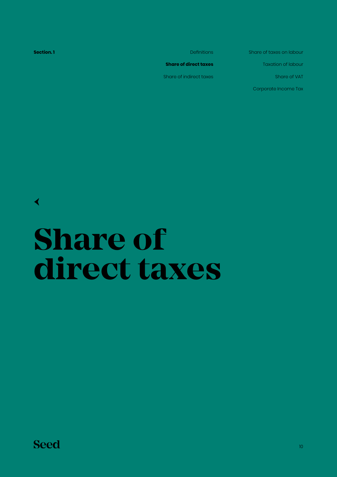<span id="page-9-0"></span>**Section.1** Definitions **Share of direct taxes** Share of indirect taxes Share of taxes on labour Taxation of labour Share of VAT Corporate Income Tax

[←](#page-6-0)

## **Share of direct taxes**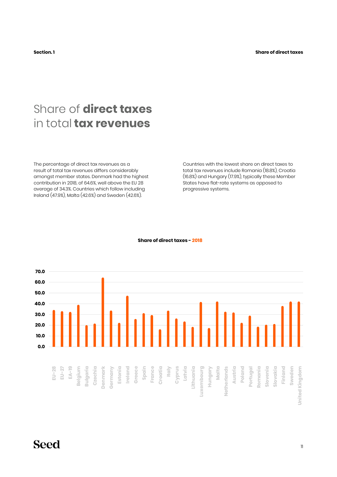## Share of **direct taxes**  in total **tax revenues**

The percentage of direct tax revenues as a result of total tax revenues differs considerably amongst member states. Denmark had the highest contribution in 2018, of 64.6%, well above the EU 28 average of 34.3%. Countries which follow including Ireland (47.9%), Malta (42.6%) and Sweden (42.6%).

Countries with the lowest share on direct taxes to total tax revenues include Romania (18.8%), Croatia (16.8%) and Hungary (17.9%), typically these Member States have flat-rate systems as opposed to progressive systems.



#### **Share of direct taxes - 2018**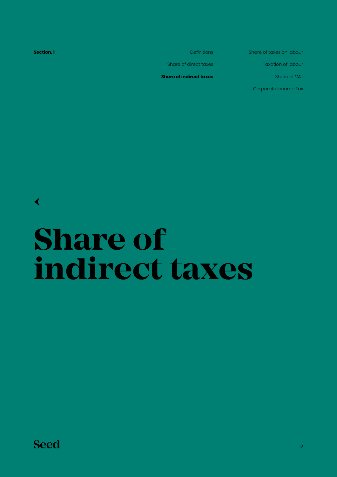<span id="page-11-0"></span>**Section.1** Definitions

Share of direct taxes

**Share of indirect taxes**

Share of taxes on labour

Taxation of labour

Share of VAT

Corporate Income Tax

[←](#page-6-0)

# **Share of indirect taxes**

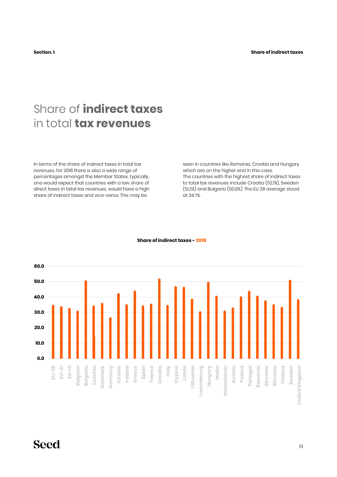## Share of **indirect taxes**  in total **tax revenues**

In terms of the share of indirect taxes in total tax revenues, for 2018 there is also a wide range of percentages amongst the Member States, typically, one would expect that countries with a low share of direct taxes in total tax revenues, would have a high share of indirect taxes and vice-versa. This may be

seen in countries like Romania, Croatia and Hungary which are on the higher end in this case. The countries with the highest share of indirect taxes to total tax revenues include Croatia (52.1%), Sweden (51.2%) and Bulgaria (50.8%). The EU 28 average stood at 34.7%.



#### **Share of indirect taxes - 2018**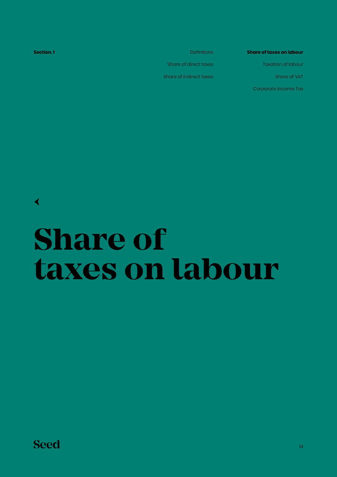<span id="page-13-0"></span>**Section.1** Definitions Share of direct taxes Share of indirect taxes **Share of taxes on labour** Taxation of labour Share of VAT Corporate Income Tax

## **Share of taxes on labour**

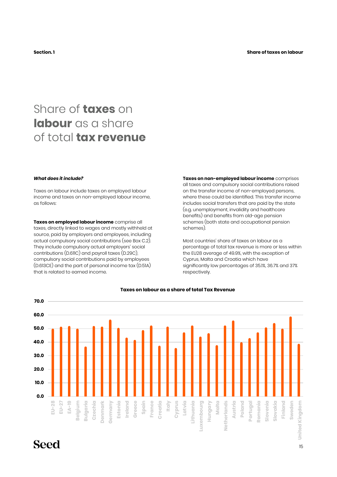## Share of **taxes** on **labour** as a share of total **tax revenue**

#### *What does it include?*

Taxes on labour include taxes on employed labour income and taxes on non-employed labour income, as follows:

**Taxes on employed labour income** comprise all taxes, directly linked to wages and mostly withheld at source, paid by employers and employees, including actual compulsory social contributions (see Box C.2). They include compulsory actual employers' social contributions (D.611C) and payroll taxes (D.29C), compulsory social contributions paid by employees (D.613CE) and the part of personal income tax (D.51A) that is related to earned income.

**Taxes on non-employed labour income** comprises all taxes and compulsory social contributions raised on the transfer income of non-employed persons, where these could be identified. This transfer income includes social transfers that are paid by the state (e.g. unemployment, invalidity and healthcare benefits) and benefits from old-age pension schemes (both state and occupational pension schemes).

Most countries' share of taxes on labour as a percentage of total tax revenue is more or less within the EU28 average of 49.9%, with the exception of Cyprus, Malta and Croatia which have significantly low percentages of 35.1%, 36.7% and 37% respectively.



#### **Taxes on labour as a share of total Tax Revenue**

### **Seed**

**70.0**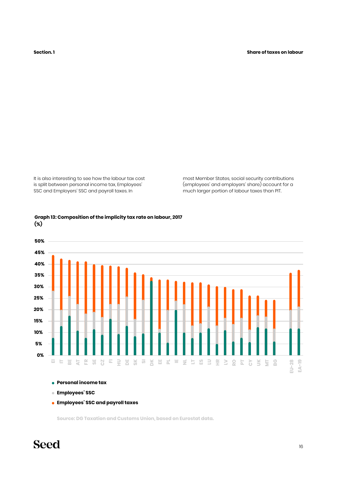It is also interesting to see how the labour tax cost is split between personal income tax, Employees' SSC and Employers' SSC and payroll taxes. In

most Member States, social security contributions (employees' and employers' share) account for a much larger portion of labour taxes than PIT.



#### **Graph 13: Composition of the implicity tax rate on labour, 2017 (%)**

- **Personal income tax**
- **Employees' SSC**
- **Employees' SSC and payroll taxes**

**Source: DG Taxation and Customs Union, based on Eurostat data.**

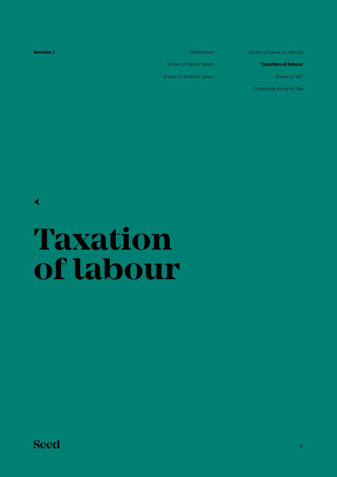<span id="page-16-0"></span>**Section.1** Definitions Share of direct taxes Share of indirect taxes

Share of taxes on labour

**Taxation of labour**

Share of VAT

Corporate Income Tax

[←](#page-6-0)

## **Taxation of labour**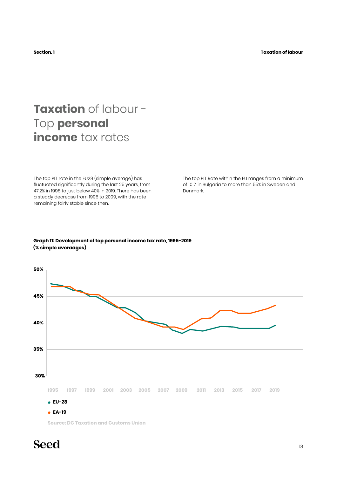## **Taxation** of labour - Top **personal income** tax rates

The top PIT rate in the EU28 (simple average) has fluctuated significantly during the last 25 years, from 47.2% in 1995 to just below 40% in 2019. There has been a steady decrease from 1995 to 2009, with the rate remaining fairly stable since then.

The top PIT Rate within the EU ranges from a minimum of 10 % in Bulgaria to more than 55% in Sweden and Denmark.

#### **Graph 11: Development of top personal income tax rate, 1995-2019 (% simple averaages)**



**Source: DG Taxation and Customs Union**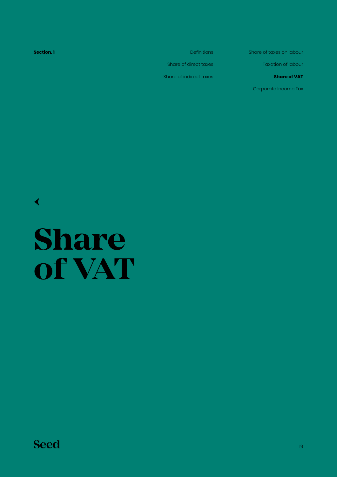<span id="page-18-0"></span>**Section.1** Definitions Share of direct taxes Share of indirect taxes Share of taxes on labour Taxation of labour **Share of VAT** Corporate Income Tax

[←](#page-6-0)

## **Share of VAT**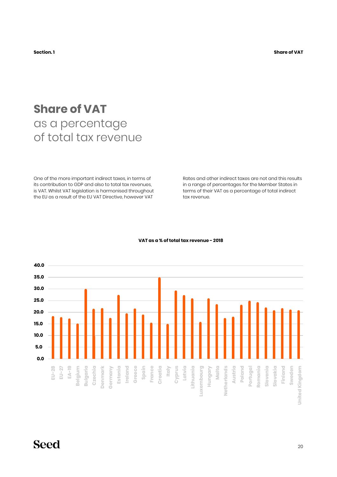**Section. 1 Share of VAT**

## **Share of VAT**  as a percentage of total tax revenue

One of the more important indirect taxes, in terms of its contribution to GDP and also to total tax revenues, is VAT. Whilst VAT legislation is harmonised throughout the EU as a result of the EU VAT Directive, however VAT

Rates and other indirect taxes are not and this results in a range of percentages for the Member States in terms of their VAT as a percentage of total indirect tax revenue.



#### **VAT as a % of total tax revenue - 2018**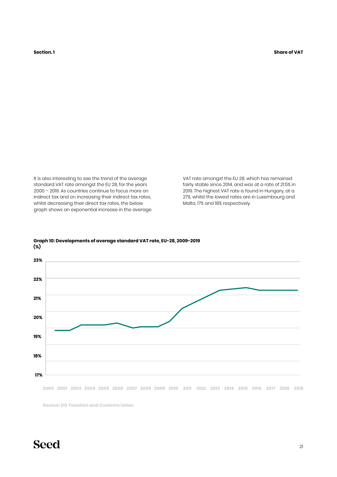It is also interesting to see the trend of the average standard VAT rate amongst the EU 28, for the years 2000 – 2019. As countries continue to focus more on indirect tax and on increasing their indirect tax rates, whilst decreasing their direct tax rates, the below graph shows an exponential increase in the average VAT rate amongst the EU 28, which has remained fairly stable since 2014, and was at a rate of 21.5% in 2019. The highest VAT rate is found in Hungary, at a 27%, whilst the lowest rates are in Luxembourg and Malta, 17% and 18% respectively.



#### **(%) Graph 10: Developments of average standard VAT rate, EU-28, 2009-2019**

2000 2001 2003 2004 2005 2006 2007 2008 2009 2010 2011 2012 2013 2014 2015 2016 2017 2018 2019

**Source: DG Taxation and Customs Union**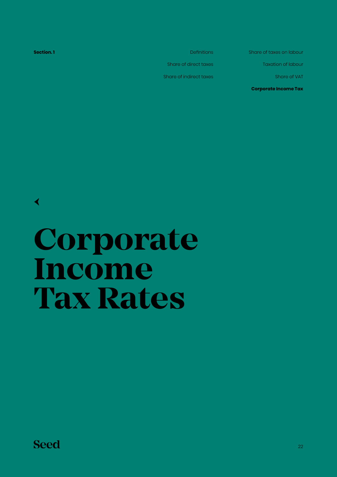<span id="page-21-0"></span>**Section.1** Definitions Share of indirect taxes

Share of direct taxes

Share of taxes on labour

Taxation of labour

Share of VAT

**Corporate Income Tax**

**Corporate Income**

**Tax Rates**

**Seed** 

[←](#page-6-0)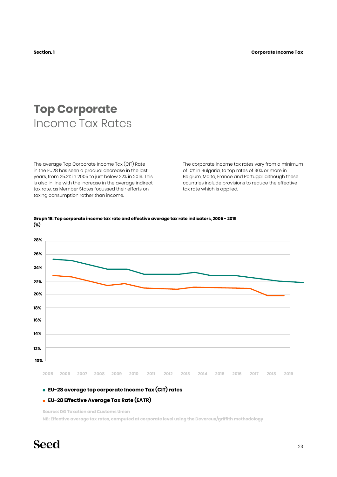## **Top Corporate** Income Tax Rates

The average Top Corporate Income Tax (CIT) Rate in the EU28 has seen a gradual decrease in the last years, from 25.2% in 2005 to just below 22% in 2019. This is also in line with the increase in the average indirect tax rate, as Member States focussed their efforts on taxing consumption rather than income.

The corporate income tax rates vary from a minimum of 10% in Bulgaria, to top rates of 30% or more in Belgium, Malta, France and Portugal, although these countries include provisions to reduce the effective tax rate which is applied.



#### **Graph 18: Top corporate income tax rate and effective average tax rate indicators, 2005 - 2019 (%)**

#### **EU-28 average top corporate Income Tax (CIT) rates**

#### **EU-28 Effective Average Tax Rate (EATR)**

**Source: DG Taxation and Customs Union**

**NB: Effective average tax rates, computed at corporate level using the Devereux/griffith methodology**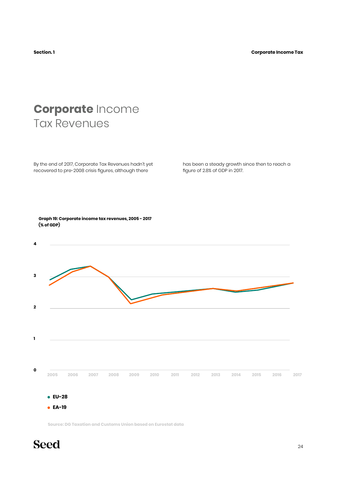## **Corporate** Income Tax Revenues

By the end of 2017, Corporate Tax Revenues hadn't yet recovered to pre-2008 crisis figures, although there

has been a steady growth since then to reach a figure of 2.8% of GDP in 2017.



**Source: DG Taxation and Customs Union based on Eurostat data**

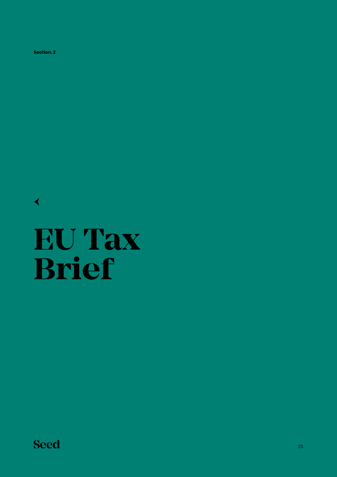<span id="page-24-0"></span>**Section. 2**

[←](#page-6-0)

# **EU Tax Brief**

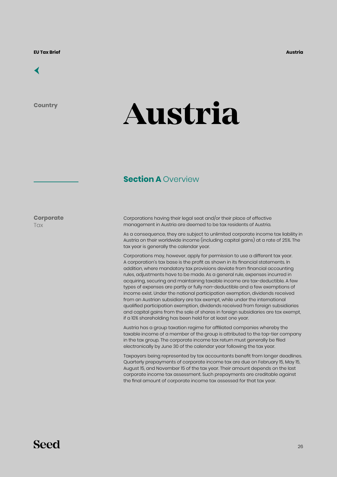<span id="page-25-0"></span>

**Country**

# **Austria**

#### **Section A Overview**

**Corporate Tax** 

Corporations having their legal seat and/or their place of effective management in Austria are deemed to be tax residents of Austria.

As a consequence, they are subject to unlimited corporate income tax liability in Austria on their worldwide income (including capital gains) at a rate of 25%. The tax year is generally the calendar year.

Corporations may, however, apply for permission to use a different tax year. A corporation's tax base is the profit as shown in its financial statements. In addition, where mandatory tax provisions deviate from financial accounting rules, adjustments have to be made. As a general rule, expenses incurred in acquiring, securing and maintaining taxable income are tax-deductible. A few types of expenses are partly or fully non-deductible and a few exemptions of income exist. Under the national participation exemption, dividends received from an Austrian subsidiary are tax exempt, while under the international qualified participation exemption, dividends received from foreign subsidiaries and capital gains from the sale of shares in foreign subsidiaries are tax exempt, if a 10% shareholding has been held for at least one year.

Austria has a group taxation regime for affiliated companies whereby the taxable income of a member of the group is attributed to the top-tier company in the tax group. The corporate income tax return must generally be filed electronically by June 30 of the calendar year following the tax year.

Taxpayers being represented by tax accountants benefit from longer deadlines. Quarterly prepayments of corporate income tax are due on February 15, May 15, August 15, and November 15 of the tax year. Their amount depends on the last corporate income tax assessment. Such prepayments are creditable against the final amount of corporate income tax assessed for that tax year.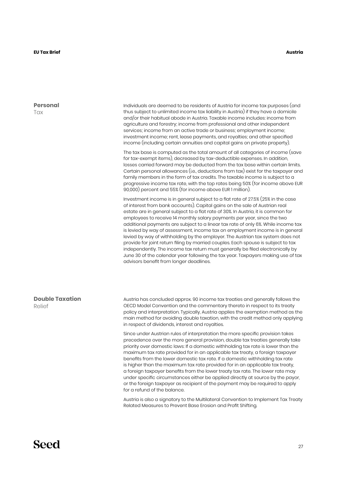#### **EU Tax Brief**

#### **Austria**

| <b>Personal</b><br>Tax           | Individuals are deemed to be residents of Austria for income tax purposes (and<br>thus subject to unlimited income tax liability in Austria) if they have a domicile<br>and/or their habitual abode in Austria. Taxable income includes: income from<br>agriculture and forestry; income from professional and other independent<br>services; income from an active trade or business; employment income;<br>investment income; rent, lease payments, and royalties; and other specified<br>income (including certain annuities and capital gains on private property).                                                                                                                                                                                                                                                                                                                       |
|----------------------------------|-----------------------------------------------------------------------------------------------------------------------------------------------------------------------------------------------------------------------------------------------------------------------------------------------------------------------------------------------------------------------------------------------------------------------------------------------------------------------------------------------------------------------------------------------------------------------------------------------------------------------------------------------------------------------------------------------------------------------------------------------------------------------------------------------------------------------------------------------------------------------------------------------|
|                                  | The tax base is computed as the total amount of all categories of income (save<br>for tax-exempt items), decreased by tax-deductible expenses. In addition,<br>losses carried forward may be deducted from the tax base within certain limits.<br>Certain personal allowances (i.e., deductions from tax) exist for the taxpayer and<br>family members in the form of tax credits. The taxable income is subject to a<br>progressive income tax rate, with the top rates being 50% (for income above EUR<br>90,000) percent and 55% (for income above EUR 1 million).                                                                                                                                                                                                                                                                                                                         |
|                                  | Investment income is in general subject to a flat rate of 27.5% (25% in the case<br>of interest from bank accounts). Capital gains on the sale of Austrian real<br>estate are in general subject to a flat rate of 30%. In Austria, it is common for<br>employees to receive 14 monthly salary payments per year, since the two<br>additional payments are subject to a linear tax rate of only 6%. While income tax<br>is levied by way of assessment, income tax on employment income is in general<br>levied by way of withholding by the employer. The Austrian tax system does not<br>provide for joint return filing by married couples. Each spouse is subject to tax<br>independently. The income tax return must generally be filed electronically by<br>June 30 of the calendar year following the tax year. Taxpayers making use of tax<br>advisors benefit from longer deadlines. |
| <b>Double Taxation</b><br>Relief | Austria has concluded approx. 90 income tax treaties and generally follows the<br>OECD Model Convention and the commentary thereto in respect to its treaty<br>policy and interpretation. Typically, Austria applies the exemption method as the<br>main method for avoiding double taxation, with the credit method only applying<br>in respect of dividends, interest and royalties.                                                                                                                                                                                                                                                                                                                                                                                                                                                                                                        |
|                                  | Since under Austrian rules of interpretation the more specific provision takes<br>precedence over the more general provision, double tax treaties generally take<br>priority over domestic laws: If a domestic withholding tax rate is lower than the<br>maximum tax rate provided for in an applicable tax treaty, a foreign taxpayer<br>benefits from the lower domestic tax rate. If a domestic withholding tax rate<br>is higher than the maximum tax rate provided for in an applicable tax treaty,<br>a foreign taxpayer benefits from the lower treaty tax rate. The lower rate may<br>under specific circumstances either be applied directly at source by the payor,<br>or the foreign taxpayer as recipient of the payment may be required to apply<br>for a refund of the balance.                                                                                                 |
|                                  | Austria is also a signatory to the Multilateral Convention to Implement Tax Treaty<br>Related Measures to Prevent Base Erosion and Profit Shifting.                                                                                                                                                                                                                                                                                                                                                                                                                                                                                                                                                                                                                                                                                                                                           |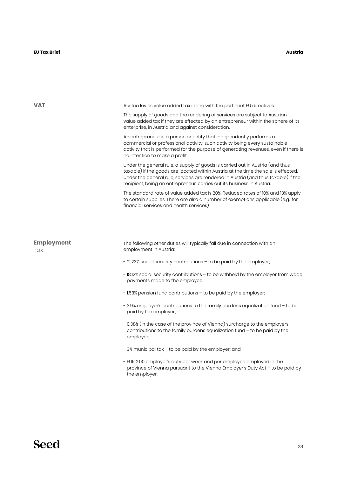#### **EU Tax Brief**

| <b>VAT</b><br>Austria levies value added tax in line with the pertinent EU directives:<br>enterprise, in Austria and against consideration.<br>An entrepreneur is a person or entity that independently performs a<br>no intention to make a profit.<br>recipient, being an entrepreneur, carries out its business in Austria.<br>financial services and health services).<br><b>Employment</b><br>The following other duties will typically fall due in connection with an<br>employment in Austria:<br>Tax<br>- 21.23% social security contributions – to be paid by the employer;<br>payments made to the employee;<br>- 1.53% pension fund contributions – to be paid by the employer;<br>paid by the employer; |                                                                                                                                                                                                                                                           |
|---------------------------------------------------------------------------------------------------------------------------------------------------------------------------------------------------------------------------------------------------------------------------------------------------------------------------------------------------------------------------------------------------------------------------------------------------------------------------------------------------------------------------------------------------------------------------------------------------------------------------------------------------------------------------------------------------------------------|-----------------------------------------------------------------------------------------------------------------------------------------------------------------------------------------------------------------------------------------------------------|
|                                                                                                                                                                                                                                                                                                                                                                                                                                                                                                                                                                                                                                                                                                                     |                                                                                                                                                                                                                                                           |
|                                                                                                                                                                                                                                                                                                                                                                                                                                                                                                                                                                                                                                                                                                                     | The supply of goods and the rendering of services are subject to Austrian<br>value added tax if they are effected by an entrepreneur within the sphere of its                                                                                             |
|                                                                                                                                                                                                                                                                                                                                                                                                                                                                                                                                                                                                                                                                                                                     | commercial or professional activity, such activity being every sustainable<br>activity that is performed for the purpose of generating revenues, even if there is                                                                                         |
|                                                                                                                                                                                                                                                                                                                                                                                                                                                                                                                                                                                                                                                                                                                     | Under the general rule, a supply of goods is carried out in Austria (and thus<br>taxable) if the goods are located within Austria at the time the sale is effected.<br>Under the general rule, services are rendered in Austria (and thus taxable) if the |
|                                                                                                                                                                                                                                                                                                                                                                                                                                                                                                                                                                                                                                                                                                                     | The standard rate of value added tax is 20%. Reduced rates of 10% and 13% apply<br>to certain supplies. There are also a number of exemptions applicable (e.g., for                                                                                       |
|                                                                                                                                                                                                                                                                                                                                                                                                                                                                                                                                                                                                                                                                                                                     |                                                                                                                                                                                                                                                           |
|                                                                                                                                                                                                                                                                                                                                                                                                                                                                                                                                                                                                                                                                                                                     |                                                                                                                                                                                                                                                           |
|                                                                                                                                                                                                                                                                                                                                                                                                                                                                                                                                                                                                                                                                                                                     |                                                                                                                                                                                                                                                           |
|                                                                                                                                                                                                                                                                                                                                                                                                                                                                                                                                                                                                                                                                                                                     | - 18.12% social security contributions – to be withheld by the employer from wage                                                                                                                                                                         |
|                                                                                                                                                                                                                                                                                                                                                                                                                                                                                                                                                                                                                                                                                                                     |                                                                                                                                                                                                                                                           |
|                                                                                                                                                                                                                                                                                                                                                                                                                                                                                                                                                                                                                                                                                                                     | - 3.9% employer's contributions to the family burdens equalization fund - to be                                                                                                                                                                           |
|                                                                                                                                                                                                                                                                                                                                                                                                                                                                                                                                                                                                                                                                                                                     | - 0.38% (in the case of the province of Vienna) surcharge to the employers'<br>contributions to the family burdens equalization fund - to be paid by the<br>employer;                                                                                     |
| - 3% municipal tax - to be paid by the employer; and                                                                                                                                                                                                                                                                                                                                                                                                                                                                                                                                                                                                                                                                |                                                                                                                                                                                                                                                           |
|                                                                                                                                                                                                                                                                                                                                                                                                                                                                                                                                                                                                                                                                                                                     | - EUR 2.00 employer's duty per week and per employee employed in the<br>province of Vienna pursuant to the Vienna Employer's Duty Act $-$ to be paid by<br>the employer.                                                                                  |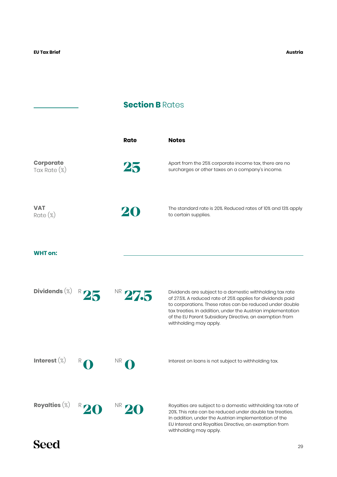J.

#### **Section B Rates**

|                                     | Rate         | <b>Notes</b>                                                                                                                                                                                                                                                                                                                             |
|-------------------------------------|--------------|------------------------------------------------------------------------------------------------------------------------------------------------------------------------------------------------------------------------------------------------------------------------------------------------------------------------------------------|
| <b>Corporate</b><br>Tax Rate $(\%)$ | 25           | Apart from the 25% corporate income tax, there are no<br>surcharges or other taxes on a company's income.                                                                                                                                                                                                                                |
| <b>VAT</b><br>$Rate (\%)$           | $\mathbf{z}$ | The standard rate is 20%. Reduced rates of 10% and 13% apply<br>to certain supplies.                                                                                                                                                                                                                                                     |
| <b>WHT</b> on:                      |              |                                                                                                                                                                                                                                                                                                                                          |
| Dividends $(\%)$                    | NR 27.5      | Dividends are subject to a domestic withholding tax rate<br>of 27.5%. A reduced rate of 25% applies for dividends paid<br>to corporations. These rates can be reduced under double<br>tax treaties. In addition, under the Austrian implementation<br>of the EU Parent Subsidiary Directive, an exemption from<br>withholding may apply. |
| Interest $(\%)$                     | <b>NR</b>    | Interest on loans is not subject to withholding tax.                                                                                                                                                                                                                                                                                     |
| Royalties $(\%)$                    | $NR_{\ell}$  | Royalties are subject to a domestic withholding tax rate of<br>20%. This rate can be reduced under double tax treaties.<br>In addition, under the Austrian implementation of the<br>EU Interest and Royalties Directive, an exemption from<br>withholding may apply.                                                                     |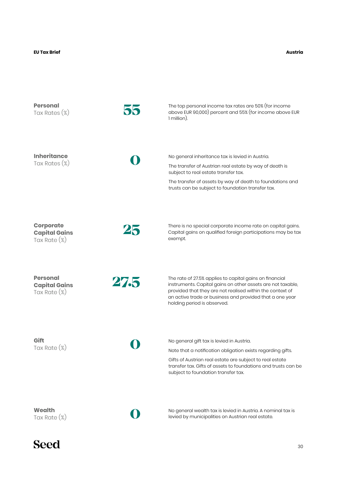| <b>Personal</b><br>Tax Rates (%)                            | 55   | The top personal income tax rates are 50% (for income<br>above EUR 90,000) percent and 55% (for income above EUR<br>1 million).                                                                                                                                                |
|-------------------------------------------------------------|------|--------------------------------------------------------------------------------------------------------------------------------------------------------------------------------------------------------------------------------------------------------------------------------|
| <b>Inheritance</b><br>Tax Rates $(\%)$                      |      | No general inheritance tax is levied in Austria.<br>The transfer of Austrian real estate by way of death is<br>subject to real estate transfer tax.<br>The transfer of assets by way of death to foundations and<br>trusts can be subject to foundation transfer tax.          |
| <b>Corporate</b><br><b>Capital Gains</b><br>Tax Rate $(\%)$ | 25   | There is no special corporate income rate on capital gains.<br>Capital gains on qualified foreign participations may be tax<br>exempt.                                                                                                                                         |
| <b>Personal</b><br><b>Capital Gains</b><br>Tax Rate (%)     | 27.5 | The rate of 27.5% applies to capital gains on financial<br>instruments. Capital gains on other assets are not taxable,<br>provided that they are not realised within the context of<br>an active trade or business and provided that a one year<br>holding period is observed. |
| Gift<br>Tax Rate (%)                                        |      | No general gift tax is levied in Austria.<br>Note that a notification obligation exists regarding gifts.<br>Gifts of Austrian real estate are subject to real estate<br>transfer tax. Gifts of assets to foundations and trusts can be<br>subject to foundation transfer tax.  |
| <b>Wealth</b><br>Tax Rate $(\%)$                            |      | No general wealth tax is levied in Austria. A nominal tax is<br>levied by municipalities on Austrian real estate.                                                                                                                                                              |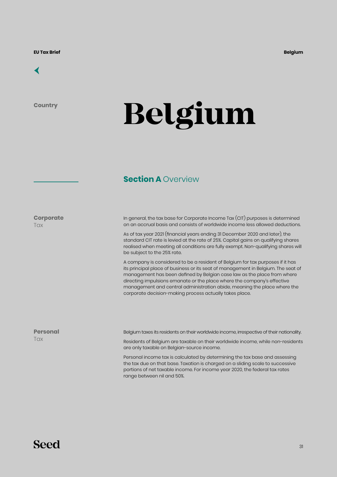#### <span id="page-30-0"></span>[←](#page-6-0)

**Country**

# **Belgium**

#### **Section A Overview**

**Corporate Tax** 

In general, the tax base for Corporate Income Tax (CIT) purposes is determined on an accrual basis and consists of worldwide income less allowed deductions.

As of tax year 2021 (financial years ending 31 December 2020 and later), the standard CIT rate is levied at the rate of 25%. Capital gains on qualifying shares realised when meeting all conditions are fully exempt. Non-qualifying shares will be subject to the 25% rate.

A company is considered to be a resident of Belgium for tax purposes if it has its principal place of business or its seat of management in Belgium. The seat of management has been defined by Belgian case law as the place from where directing impulsions emanate or the place where the company's effective management and central administration abide, meaning the place where the corporate decision-making process actually takes place.

| <b>Personal</b> | Belgium taxes its residents on their worldwide income, irrespective of their nationality.                                                                                                                                                    |
|-----------------|----------------------------------------------------------------------------------------------------------------------------------------------------------------------------------------------------------------------------------------------|
| <b>Tax</b>      | Residents of Belgium are taxable on their worldwide income, while non-residents<br>are only taxable on Belgian-source income.                                                                                                                |
|                 | Personal income tax is calculated by determining the tax base and assessing<br>the tax due on that base. Taxation is charged on a sliding scale to successive<br>portions of net taxable income. For income year 2020, the federal tax rates |

range between nil and 50%.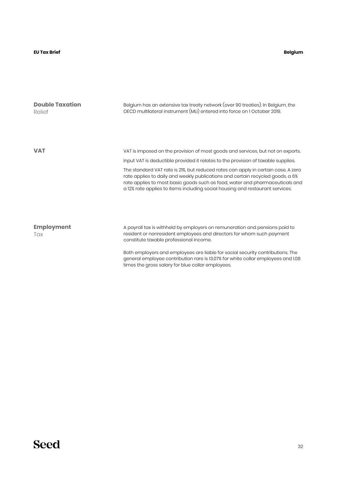#### **EU Tax Brief**

#### **Belgium**

| <b>Double Taxation</b><br>Relief | Belgium has an extensive tax treaty network (over 90 treaties). In Belgium, the<br>OECD multilateral instrument (MLI) entered into force on 1 October 2019.                                                                                                                                                                          |
|----------------------------------|--------------------------------------------------------------------------------------------------------------------------------------------------------------------------------------------------------------------------------------------------------------------------------------------------------------------------------------|
|                                  |                                                                                                                                                                                                                                                                                                                                      |
| <b>VAT</b>                       | VAT is imposed on the provision of most goods and services, but not on exports.                                                                                                                                                                                                                                                      |
|                                  | Input VAT is deductible provided it relates to the provision of taxable supplies.                                                                                                                                                                                                                                                    |
|                                  | The standard VAT rate is 21%, but reduced rates can apply in certain case. A zero<br>rate applies to daily and weekly publications and certain recycled goods, a 6%<br>rate applies to most basic goods such as food, water and pharmaceuticals and<br>a 12% rate applies to items including social housing and restaurant services. |
| <b>Employment</b><br>Tax         | A payroll tax is withheld by employers on remuneration and pensions paid to<br>resident or nonresident employees and directors for whom such payment<br>constitute taxable professional income.                                                                                                                                      |
|                                  | Both employers and employees are liable for social security contributions. The<br>general employee contribution rare is 13.07% for white collar employees and 1.08                                                                                                                                                                   |

times the gross salary for blue collar employees.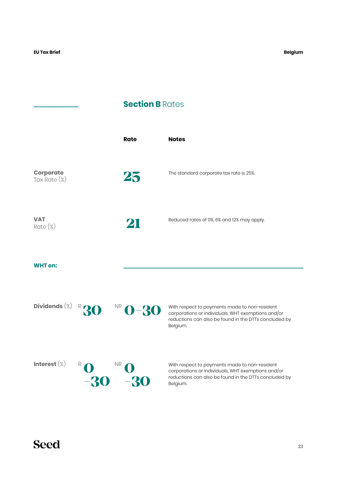#### **Section B Rates**

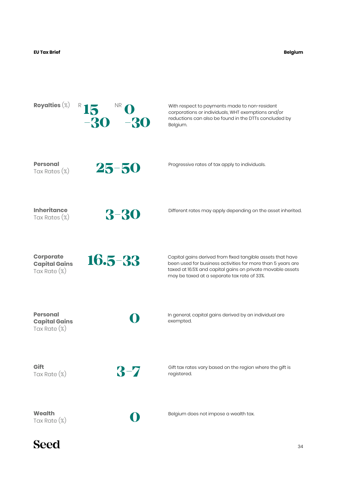**Belgium**

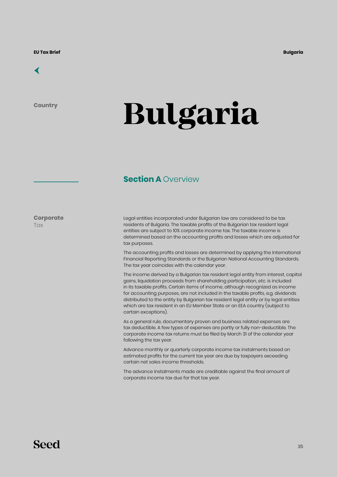<span id="page-34-0"></span>

**Country**

# **Bulgaria**

#### **Section A Overview**

**Corporate Tax** 

Legal entities incorporated under Bulgarian law are considered to be tax residents of Bulgaria. The taxable profits of the Bulgarian tax resident legal entities are subject to 10% corporate income tax. The taxable income is determined based on the accounting profits and losses which are adjusted for tax purposes.

The accounting profits and losses are determined by applying the International Financial Reporting Standards or the Bulgarian National Accounting Standards. The tax year coincides with the calendar year.

The income derived by a Bulgarian tax resident legal entity from interest, capital gains, liquidation proceeds from shareholding participation, etc. is included in its taxable profits. Certain items of income, although recognized as income for accounting purposes, are not included in the taxable profits, e.g. dividends distributed to the entity by Bulgarian tax resident legal entity or by legal entities which are tax resident in an EU Member State or an EEA country (subject to certain exceptions).

As a general rule, documentary proven and business related expenses are tax deductible. A few types of expenses are partly or fully non-deductible. The corporate income tax returns must be filed by March 31 of the calendar year following the tax year.

Advance monthly or quarterly corporate income tax instalments based on estimated profits for the current tax year are due by taxpayers exceeding certain net sales income thresholds.

The advance instalments made are creditable against the final amount of corporate income tax due for that tax year.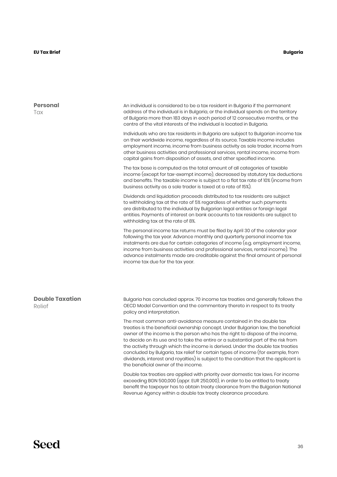#### **EU Tax Brief**

#### **Bulgaria**

| <b>Personal</b><br>Tax           | An individual is considered to be a tax resident in Bulgaria if the permanent<br>address of the individual is in Bulgaria, or the individual spends on the territory<br>of Bulgaria more than 183 days in each period of 12 consecutive months, or the<br>centre of the vital interests of the individual is located in Bulgaria.                                                                                                                                                                                                                                                                                                    |
|----------------------------------|--------------------------------------------------------------------------------------------------------------------------------------------------------------------------------------------------------------------------------------------------------------------------------------------------------------------------------------------------------------------------------------------------------------------------------------------------------------------------------------------------------------------------------------------------------------------------------------------------------------------------------------|
|                                  | Individuals who are tax residents in Bulgaria are subject to Bulgarian income tax<br>on their worldwide income, regardless of its source. Taxable income includes<br>employment income, income from business activity as sole trader, income from<br>other business activities and professional services, rental income, income from<br>capital gains from disposition of assets, and other specified income.                                                                                                                                                                                                                        |
|                                  | The tax base is computed as the total amount of all categories of taxable<br>income (except for tax-exempt income), decreased by statutory tax deductions<br>and benefits. The taxable income is subject to a flat tax rate of 10% (income from<br>business activity as a sole trader is taxed at a rate of 15%).                                                                                                                                                                                                                                                                                                                    |
|                                  | Dividends and liquidation proceeds distributed to tax residents are subject<br>to withholding tax at the rate of 5% regardless of whether such payments<br>are distributed to the individual by Bulgarian legal entities or foreign legal<br>entities. Payments of interest on bank accounts to tax residents are subject to<br>withholding tax at the rate of 8%.                                                                                                                                                                                                                                                                   |
|                                  | The personal income tax returns must be filed by April 30 of the calendar year<br>following the tax year. Advance monthly and quarterly personal income tax<br>instalments are due for certain categories of income (e.g. employment income,<br>income from business activities and professional services, rental income). The<br>advance instalments made are creditable against the final amount of personal<br>income tax due for the tax year.                                                                                                                                                                                   |
|                                  |                                                                                                                                                                                                                                                                                                                                                                                                                                                                                                                                                                                                                                      |
| <b>Double Taxation</b><br>Relief | Bulgaria has concluded approx. 70 income tax treaties and generally follows the<br>OECD Model Convention and the commentary thereto in respect to its treaty<br>policy and interpretation.                                                                                                                                                                                                                                                                                                                                                                                                                                           |
|                                  | The most common anti-avoidance measure contained in the double tax<br>treaties is the beneficial ownership concept. Under Bulgarian law, the beneficial<br>owner of the income is the person who has the right to dispose of the income,<br>to decide on its use and to take the entire or a substantial part of the risk from<br>the activity through which the income is derived. Under the double tax treaties<br>concluded by Bulgaria, tax relief for certain types of income (for example, from<br>dividends, interest and royalties) is subject to the condition that the applicant is<br>the beneficial owner of the income. |
|                                  | Double tax treaties are applied with priority over domestic tax laws. For income<br>exceeding BGN 500,000 (appr. EUR 250,000), in order to be entitled to treaty<br>benefit the taxpayer has to obtain treaty clearance from the Bulgarian National<br>Revenue Agency within a double tax treaty clearance procedure.                                                                                                                                                                                                                                                                                                                |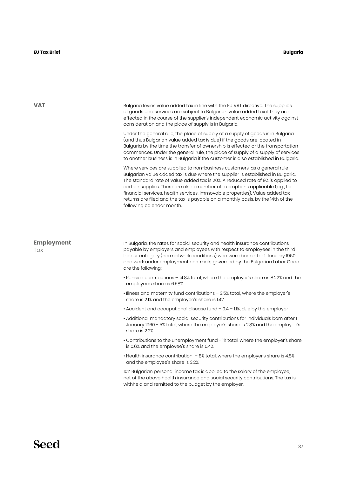**VAT** Bulgaria levies value added tax in line with the EU VAT directive. The supplies of goods and services are subject to Bulgarian value added tax if they are effected in the course of the supplier's independent economic activity against consideration and the place of supply is in Bulgaria. Under the general rule, the place of supply of a supply of goods is in Bulgaria (and thus Bulgarian value added tax is due) if the goods are located in Bulgaria by the time the transfer of ownership is effected or the transportation commences. Under the general rule, the place of supply of a supply of services to another business is in Bulgaria if the customer is also established in Bulgaria. Where services are supplied to non-business customers, as a general rule Bulgarian value added tax is due where the supplier is established in Bulgaria. The standard rate of value added tax is 20%. A reduced rate of 9% is applied to certain supplies. There are also a number of exemptions applicable (e.g., for financial services, health services, immovable properties). Value added tax returns are filed and the tax is payable on a monthly basis, by the 14th of the following calendar month. In Bulgaria, the rates for social security and health insurance contributions payable by employers and employees with respect to employees in the third labour category (normal work conditions) who were born after 1 January 1960 and work under employment contracts governed by the Bulgarian Labor Code are the following: • Pension contributions – 14.8% total, where the employer's share is 8.22% and the employee's share is 6.58% • Illness and maternity fund contributions – 3.5% total, where the employer's share is 2.1% and the employee's share is 1.4% • Accident and occupational disease fund – 0.4 – 1.1%, due by the employer • Additional mandatory social security contributions for individuals born after 1 January 1960 - 5% total, where the employer's share is 2.8% and the employee's share is 2.2% • Contributions to the unemployment fund - 1% total, where the employer's share is 0.6% and the employee's share is 0.4% • Health insurance contribution – 8% total, where the employer's share is 4.8% and the employee's share is 3.2% 10% Bulgarian personal income tax is applied to the salary of the employee, net of the above health insurance and social security contributions. The tax is **Employment Tax** 

withheld and remitted to the budget by the employer.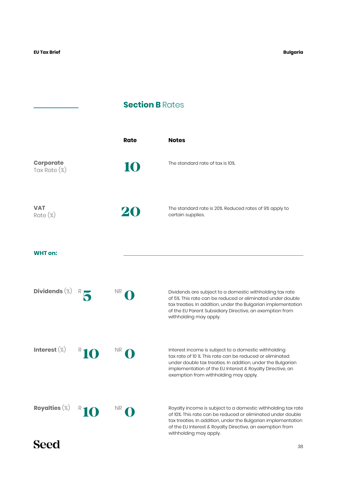## **Section B Rates**

|                                  | Rate | <b>Notes</b>                                                                                                                                                                                                                                                                          |
|----------------------------------|------|---------------------------------------------------------------------------------------------------------------------------------------------------------------------------------------------------------------------------------------------------------------------------------------|
| <b>Corporate</b><br>Tax Rate (%) | 10   | The standard rate of tax is 10%.                                                                                                                                                                                                                                                      |
| <b>VAT</b><br>$Rate (\%)$        | 20   | The standard rate is 20%. Reduced rates of 9% apply to<br>certain supplies.                                                                                                                                                                                                           |
| <b>WHT</b> on:                   |      |                                                                                                                                                                                                                                                                                       |
| Dividends $(\%)$                 | NR.  | Dividends are subject to a domestic withholding tax rate<br>of 5%. This rate can be reduced or eliminated under double<br>tax treaties. In addition, under the Bulgarian implementation<br>of the EU Parent Subsidiary Directive, an exemption from<br>withholding may apply.         |
| Interest $(\%)$                  | NR   | Interest income is subject to a domestic withholding<br>tax rate of 10 %. This rate can be reduced or eliminated<br>under double tax treaties. In addition, under the Bulgarian<br>implementation of the EU Interest & Royalty Directive, an<br>exemption from withholding may apply. |
| Royalties $(\%)$                 | NR.  | Royalty income is subject to a domestic withholding tax rate<br>of 10%. This rate can be reduced or eliminated under double<br>tax treaties. In addition, under the Bulgarian implementation<br>of the EU Interest & Royalty Directive, an exemption from<br>withholding may apply.   |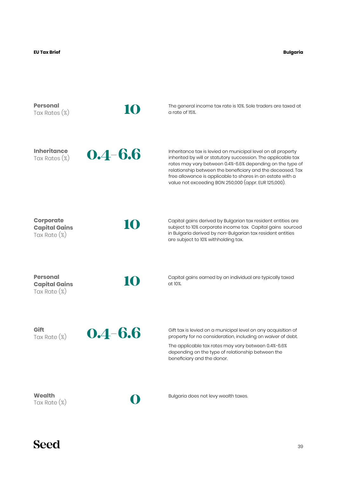**Bulgaria**

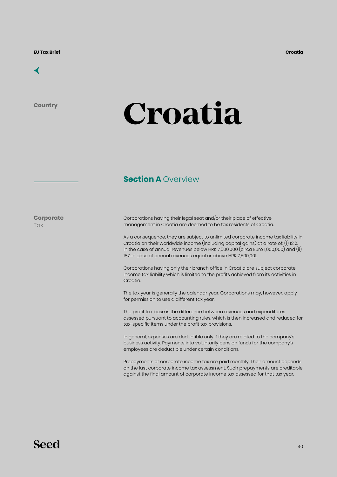## [←](#page-6-0)

**Country**

## **Croatia**

### **Section A Overview**

**Corporate Tax** 

Corporations having their legal seat and/or their place of effective management in Croatia are deemed to be tax residents of Croatia.

As a consequence, they are subject to unlimited corporate income tax liability in Croatia on their worldwide income (including capital gains) at a rate of: (i) 12 % in the case of annual revenues below HRK 7,500,000 (circa Euro 1,000,000) and (ii) 18% in case of annual revenues equal or above HRK 7,500,001.

Corporations having only their branch office in Croatia are subject corporate income tax liability which is limited to the profits achieved from its activities in Croatia.

The tax year is generally the calendar year. Corporations may, however, apply for permission to use a different tax year.

The profit tax base is the difference between revenues and expenditures assessed pursuant to accounting rules, which is then increased and reduced for tax-specific items under the profit tax provisions.

In general, expenses are deductible only if they are related to the company's business activity. Payments into voluntarily pension funds for the company's employees are deductible under certain conditions.

Prepayments of corporate income tax are paid monthly. Their amount depends on the last corporate income tax assessment. Such prepayments are creditable against the final amount of corporate income tax assessed for that tax year.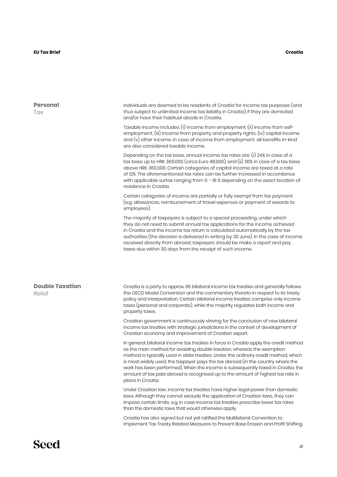| <b>Personal</b><br>Tax           | Individuals are deemed to be residents of Croatia for income tax purposes (and<br>thus subject to unlimited income tax liability in Croatia) if they are domiciled<br>and/or have their habitual abode in Croatia.                                                                                                                                                                                                                                                                                                                   |
|----------------------------------|--------------------------------------------------------------------------------------------------------------------------------------------------------------------------------------------------------------------------------------------------------------------------------------------------------------------------------------------------------------------------------------------------------------------------------------------------------------------------------------------------------------------------------------|
|                                  | Taxable income includes: (i) income from employment, (ii) income from self-<br>employment, (iii) income from property and property rights, (iv) capital income<br>and $(v)$ other income. In case of income from employment, all benefits in-kind<br>are also considered taxable income.                                                                                                                                                                                                                                             |
|                                  | Depending on the tax base, annual income tax rates are: (i) 24% in case of a<br>tax base up to HRK 360,000 (circa Euro 48,000), and (ii) 36% in case of a tax base<br>above HRK 360,000. Certain categories of capital income are taxed at a rate<br>of 12%. The aforementioned tax rates can be further increased in accordance<br>with applicable surtax ranging from 0 - 18 % depending on the exact location of<br>residence in Croatia.                                                                                         |
|                                  | Certain categories of income are partially or fully exempt from tax payment<br>(e.g. allowances, reimbursement of travel expenses or payment of awards to<br>employees).                                                                                                                                                                                                                                                                                                                                                             |
|                                  | The majority of taxpayers is subject to a special proceeding, under which<br>they do not need to submit annual tax applications for the income achieved<br>in Croatia and the income tax return is calculated automatically by the tax<br>authorities (the decision is delivered in writing by 30 June). In the case of income<br>received directly from abroad, taxpayers should be make a report and pay<br>taxes due within 30 days from the receipt of such income.                                                              |
|                                  |                                                                                                                                                                                                                                                                                                                                                                                                                                                                                                                                      |
|                                  |                                                                                                                                                                                                                                                                                                                                                                                                                                                                                                                                      |
| <b>Double Taxation</b><br>Relief | Croatia is a party to approx. 65 bilateral income tax treaties and generally follows<br>the OECD Model Convention and the commentary thereto in respect to its treaty<br>policy and interpretation. Certain bilateral income treaties comprise only income<br>taxes (personal and corporate), while the majority regulates both income and<br>property taxes.                                                                                                                                                                        |
|                                  | Croatian government is continuously striving for the conclusion of new bilateral<br>income tax treaties with strategic jurisdictions in the context of development of<br>Croatian economy and improvement of Croatian export.                                                                                                                                                                                                                                                                                                        |
|                                  | In general, bilateral income tax treaties in force in Croatia apply the credit method<br>as the main method for avoiding double taxation, whereas the exemption<br>method is typically used in older treaties. Under the ordinary credit method, which<br>is most widely used, the taxpayer pays the tax abroad (in the country where the<br>work has been performed). When the income is subsequently taxed in Croatia, the<br>amount of tax paid abroad is recognised up to the amount of highest tax rate in<br>place in Croatia. |
|                                  | Under Croatian law, income tax treaties have higher legal power than domestic<br>laws. Although they cannot exclude the application of Croatian laws, they can<br>impose certain limits, e.g. in case income tax treaties prescribe lower tax rates<br>than the domestic laws that would otherwise apply.                                                                                                                                                                                                                            |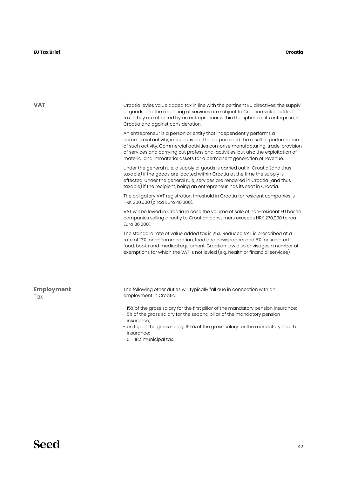#### **EU Tax Brief Croatia**

| <b>VAT</b>               | Croatia levies value added tax in line with the pertinent EU directives: the supply<br>of goods and the rendering of services are subject to Croatian value added<br>tax if they are effected by an entrepreneur within the sphere of its enterprise, in<br>Croatia and against consideration.                                                                                                           |
|--------------------------|----------------------------------------------------------------------------------------------------------------------------------------------------------------------------------------------------------------------------------------------------------------------------------------------------------------------------------------------------------------------------------------------------------|
|                          | An entrepreneur is a person or entity that independently performs a<br>commercial activity, irrespective of the purpose and the result of performance<br>of such activity. Commercial activities comprise manufacturing, trade, provision<br>of services and carrying out professional activities, but also the exploitation of<br>material and immaterial assets for a permanent generation of revenue. |
|                          | Under the general rule, a supply of goods is carried out in Croatia (and thus<br>taxable) if the goods are located within Croatia at the time the supply is<br>effected. Under the general rule, services are rendered in Croatia (and thus<br>taxable) if the recipient, being an entrepreneur, has its seat in Croatia.                                                                                |
|                          | The obligatory VAT registration threshold in Croatia for resident companies is<br>HRK 300,000 (circa Euro 40,000).                                                                                                                                                                                                                                                                                       |
|                          | VAT will be levied in Croatia in case the volume of sale of non-resident EU based<br>companies selling directly to Croatian consumers exceeds HRK 270,000 (circa<br>Euro 36,000).                                                                                                                                                                                                                        |
|                          | The standard rate of value added tax is 25%. Reduced VAT is prescribed at a<br>rate of 13% for accommodation, food and newspapers and 5% for selected<br>food, books and medical equipment. Croatian law also envisages a number of<br>exemptions for which the VAT is not levied (e.g. health or financial services).                                                                                   |
|                          |                                                                                                                                                                                                                                                                                                                                                                                                          |
| <b>Employment</b><br>Tax | The following other duties will typically fall due in connection with an<br>employment in Croatia:                                                                                                                                                                                                                                                                                                       |
|                          | - 15% of the gross salary for the first pillar of the mandatory pension insurance;<br>- 5% of the gross salary for the second pillar of the mandatory pension<br>insurance;                                                                                                                                                                                                                              |
|                          | - on top of the gross salary, 16,5% of the gross salary for the mandatory health<br>insurance;                                                                                                                                                                                                                                                                                                           |

- 0 – 18% municipal tax.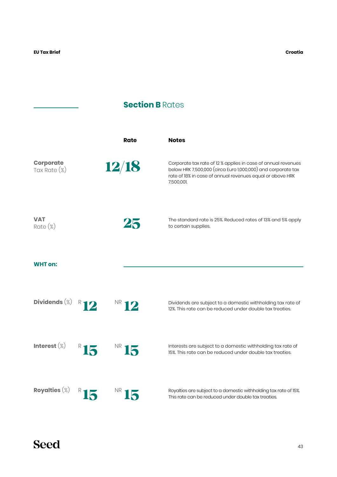J.

## **Section B Rates**

|                                  | Rate            | <b>Notes</b>                                                                                                                                                                                             |
|----------------------------------|-----------------|----------------------------------------------------------------------------------------------------------------------------------------------------------------------------------------------------------|
| <b>Corporate</b><br>Tax Rate (%) | 12/18           | Corporate tax rate of 12 % applies in case of annual revenues<br>below HRK 7,500,000 (circa Euro 1,000,000) and corporate tax<br>rate of 18% in case of annual revenues equal or above HRK<br>7,500,001. |
| <b>VAT</b><br>$Rate (\%)$        | 25              | The standard rate is 25%. Reduced rates of 13% and 5% apply<br>to certain supplies.                                                                                                                      |
| <b>WHT on:</b>                   |                 |                                                                                                                                                                                                          |
| Dividends $(\%)$                 | $N R$ 12        | Dividends are subject to a domestic withholding tax rate of<br>12%. This rate can be reduced under double tax treaties.                                                                                  |
| Interest $(\%)$                  | $R$ 15<br>NR 15 | Interests are subject to a domestic withholding tax rate of<br>15%. This rate can be reduced under double tax treaties.                                                                                  |
| Royalties $(\%)$                 | <b>NK</b>       | Royalties are subject to a domestic withholding tax rate of 15%.<br>This rate can be reduced under double tax treaties.                                                                                  |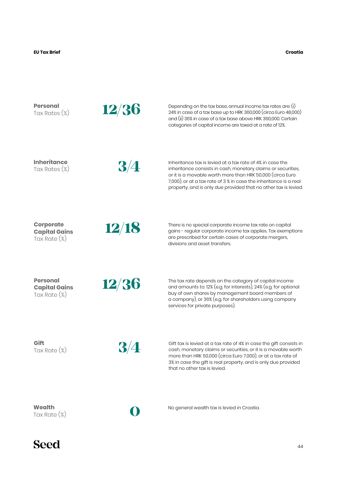**Croatia**

| <b>Personal</b><br>Tax Rates (%)                            | 12/36     | Depending on the tax base, annual income tax rates are: $(i)$<br>24% in case of a tax base up to HRK 360,000 (circa Euro 48,000)<br>and (ii) 36% in case of a tax base above HRK 360,000. Certain<br>categories of capital income are taxed at a rate of 12%.                                                                  |
|-------------------------------------------------------------|-----------|--------------------------------------------------------------------------------------------------------------------------------------------------------------------------------------------------------------------------------------------------------------------------------------------------------------------------------|
| <b>Inheritance</b><br>Tax Rates $(\%)$                      | 3/4       | Inheritance tax is levied at a tax rate of 4% in case the<br>inheritance consists in cash, monetary claims or securities,<br>or it is a movable worth more than HRK 50,000 (circa Euro<br>7,000), or at a tax rate of 3 % in case the inheritance is a real<br>property, and is only due provided that no other tax is levied. |
| <b>Corporate</b><br><b>Capital Gains</b><br>Tax Rate $(\%)$ | 12/18     | There is no special corporate income tax rate on capital<br>gains - regular corporate income tax applies. Tax exemptions<br>are prescribed for certain cases of corporate mergers,<br>divisions and asset transfers.                                                                                                           |
| <b>Personal</b><br><b>Capital Gains</b><br>Tax Rate $(\%)$  | 12/36     | The tax rate depends on the category of capital income<br>and amounts to: 12% (e.g. for interests), 24% (e.g. for optional<br>buy of own shares by management board members of<br>a company), or 36% (e.g. for shareholders using company<br>services for private purposes).                                                   |
| Gift<br>Tax Rate (%)                                        | $3\!/\!4$ | Gift tax is levied at a tax rate of 4% in case the gift consists in<br>cash, monetary claims or securities, or it is a movable worth<br>more than HRK 50,000 (circa Euro 7,000), or at a tax rate of<br>3% in case the gift is real property, and is only due provided<br>that no other tax is levied.                         |
| Wealth<br>Tax Rate $(\%)$                                   |           | No general wealth tax is levied in Croatia.                                                                                                                                                                                                                                                                                    |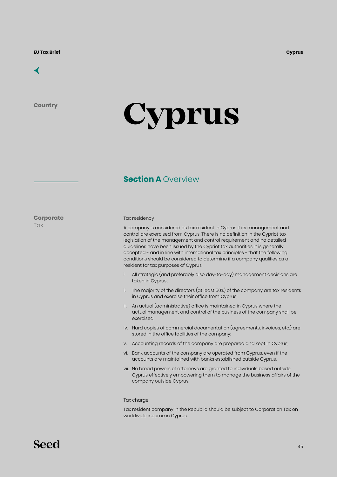## [←](#page-6-0)

**Country**

# **Cyprus**

## **Section A Overview**

**Corporate**

**Tax** 

#### Tax residency

A company is considered as tax resident in Cyprus if its management and control are exercised from Cyprus. There is no definition in the Cypriot tax legislation of the management and control requirement and no detailed guidelines have been issued by the Cypriot tax authorities. It is generally accepted - and in line with international tax principles - that the following conditions should be considered to determine if a company qualifies as a resident for tax purposes of Cyprus:

- i. All strategic (and preferably also day-to-day) management decisions are taken in Cyprus;
- ii. The majority of the directors (at least 50%) of the company are tax residents in Cyprus and exercise their office from Cyprus;
- iii. An actual (administrative) office is maintained in Cyprus where the actual management and control of the business of the company shall be exercised;
- iv. Hard copies of commercial documentation (agreements, invoices, etc.) are stored in the office facilities of the company;
- v. Accounting records of the company are prepared and kept in Cyprus;
- vi. Bank accounts of the company are operated from Cyprus, even if the accounts are maintained with banks established outside Cyprus.
- vii. No broad powers of attorneys are granted to individuals based outside Cyprus effectively empowering them to manage the business affairs of the company outside Cyprus.

#### Tax charge

Tax resident company in the Republic should be subject to Corporation Tax on worldwide income in Cyprus.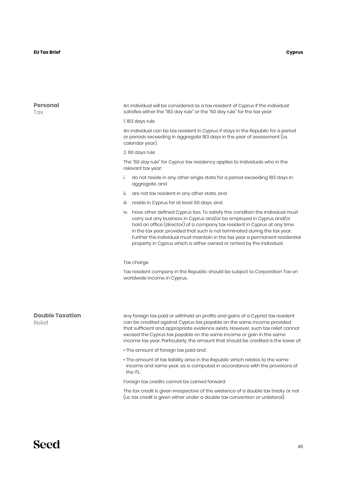| <b>Personal</b><br>Tax           | An individual will be considered as a tax resident of Cyprus if the individual<br>satisfies either the "183 day rule" or the "60 day rule" for the tax year:                                                                                                                                                                                                                                                                                                                  |  |  |  |
|----------------------------------|-------------------------------------------------------------------------------------------------------------------------------------------------------------------------------------------------------------------------------------------------------------------------------------------------------------------------------------------------------------------------------------------------------------------------------------------------------------------------------|--|--|--|
|                                  | 1.183 days rule<br>An individual can be tax resident in Cyprus if stays in the Republic for a period<br>or periods exceeding in aggregate 183 days in the year of assessment (i.e.<br>calendar year).<br>2.60 days rule<br>The "60 day rule" for Cyprus tax residency applies to individuals who in the<br>relevant tax year:                                                                                                                                                 |  |  |  |
|                                  |                                                                                                                                                                                                                                                                                                                                                                                                                                                                               |  |  |  |
|                                  |                                                                                                                                                                                                                                                                                                                                                                                                                                                                               |  |  |  |
|                                  |                                                                                                                                                                                                                                                                                                                                                                                                                                                                               |  |  |  |
|                                  | do not reside in any other single state for a period exceeding 183 days in<br>i.<br>aggregate, and                                                                                                                                                                                                                                                                                                                                                                            |  |  |  |
|                                  | are not tax resident in any other state, and<br>ii.                                                                                                                                                                                                                                                                                                                                                                                                                           |  |  |  |
|                                  | iii. reside in Cyprus for at least 60 days, and                                                                                                                                                                                                                                                                                                                                                                                                                               |  |  |  |
|                                  | iv. have other defined Cyprus ties. To satisfy this condition the individual must<br>carry out any business in Cyprus and/or be employed in Cyprus and/or<br>hold an office (director) of a company tax resident in Cyprus at any time<br>in the tax year, provided that such is not terminated during the tax year.<br>Further the individual must maintain in the tax year a permanent residential<br>property in Cyprus which is either owned or rented by the individual. |  |  |  |
|                                  | Tax charge                                                                                                                                                                                                                                                                                                                                                                                                                                                                    |  |  |  |
|                                  | Tax resident company in the Republic should be subject to Corporation Tax on<br>worldwide income in Cyprus.                                                                                                                                                                                                                                                                                                                                                                   |  |  |  |
| <b>Double Taxation</b><br>Relief | Any foreign tax paid or withheld on profits and gains of a Cypriot tax resident<br>can be credited against Cyprus tax payable on the same income provided<br>that sufficient and appropriate evidence exists. However, such tax relief cannot<br>exceed the Cyprus tax payable on the same income or gain in the same<br>income tax year. Particularly, the amount that should be credited is the lower of:                                                                   |  |  |  |
|                                  | • The amount of foreign tax paid and;                                                                                                                                                                                                                                                                                                                                                                                                                                         |  |  |  |
|                                  | • The amount of tax liability arise in the Republic which relates to the same<br>income and same year, as is computed in accordance with the provisions of<br>the ITL.                                                                                                                                                                                                                                                                                                        |  |  |  |
|                                  | Foreign tax credits cannot be carried forward.                                                                                                                                                                                                                                                                                                                                                                                                                                |  |  |  |

The tax credit is given irrespective of the existence of a double tax treaty or not (i.e. tax credit is given either under a double tax convention or unilateral).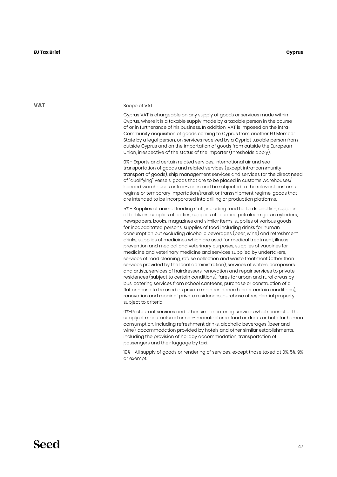#### Scope of VAT

Cyprus VAT is chargeable on any supply of goods or services made within Cyprus, where it is a taxable supply made by a taxable person in the course of or in furtherance of his business. In addition, VAT is imposed on the intra-Community acquisition of goods coming to Cyprus from another EU Member State by a legal person, on services received by a Cypriot taxable person from outside Cyprus and on the importation of goods from outside the European Union, irrespective of the status of the importer (thresholds apply).

0% - Exports and certain related services, international air and sea transportation of goods and related services (except intra-community transport of goods), ship management services and services for the direct need of "qualifying" vessels, goods that are to be placed in customs warehouses/ bonded warehouses or free-zones and be subjected to the relevant customs regime or temporary importation/transit or transshipment regime, goods that are intended to be incorporated into drilling or production platforms.

5% - Supplies of animal feeding stuff, including food for birds and fish, supplies of fertilizers, supplies of coffins, supplies of liquefied petroleum gas in cylinders, newspapers, books, magazines and similar items, supplies of various goods for incapacitated persons, supplies of food including drinks for human consumption but excluding alcoholic beverages (beer, wine) and refreshment drinks, supplies of medicines which are used for medical treatment, illness prevention and medical and veterinary purposes, supplies of vaccines for medicine and veterinary medicine and services supplied by undertakers, services of road cleaning, refuse collection and waste treatment (other than services provided by the local administration), services of writers, composers and artists, services of hairdressers, renovation and repair services to private residences (subject to certain conditions), fares for urban and rural areas by bus, catering services from school canteens, purchase or construction of a flat or house to be used as private main residence (under certain conditions), renovation and repair of private residences, purchase of residential property subject to criteria.

9%-Restaurant services and other similar catering services which consist of the supply of manufactured or non− manufactured food or drinks or both for human consumption, including refreshment drinks, alcoholic beverages (beer and wine), accommodation provided by hotels and other similar establishments, including the provision of holiday accommodation, transportation of passengers and their luggage by taxi.

19% - All supply of goods or rendering of services, except those taxed at 0%, 5%, 9% or exempt.

#### **VAT**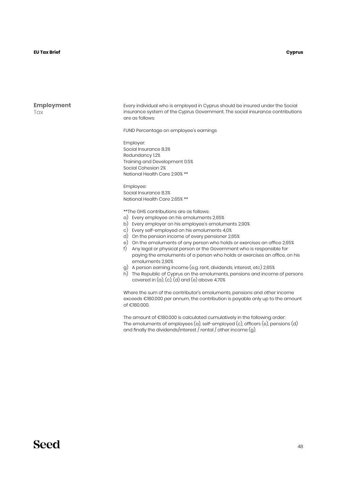#### **EU Tax Brief Cyprus**

**Employment** Tax

Every individual who is employed in Cyprus should be insured under the Social insurance system of the Cyprus Government. The social insurance contributions are as follows:

FUND Percentage on employee's earnings

Employer: Social Insurance 8.3% Redundancy 1.2% Training and Development 0.5% Social Cohesion 2% National Health Care 2.90% \*\*

Employee: Social Insurance 8.3% National Health Care 2.65% \*\*

\*\*The GHS contributions are as follows:

- a) Every employee on his emoluments 2,65%
- b) Every employer on his employee's emoluments 2,90%
- c) Every self-employed on his emoluments 4,0%
- d) On the pension income of every pensioner 2,65%
- e) On the emoluments of any person who holds or exercises an office 2,65%
- f) Any legal or physical person or the Government who is responsible for paying the emoluments of a person who holds or exercises an office, on his emoluments 2,90%
- g) A person earning income (e.g. rent, dividends, interest, etc) 2,65%
- h) The Republic of Cyprus on the emoluments, pensions and income of persons covered in  $(a)$ ,  $(c)$ ,  $(d)$  and  $(e)$  above 4,70%

Where the sum of the contributor's emoluments, pensions and other income exceeds €180.000 per annum, the contribution is payable only up to the amount of €180.000.

The amount of €180.000 is calculated cumulatively in the following order: The emoluments of employees (a), self-employed (c), officers (e), pensions (d) and finally the dividends/interest / rental / other income (g).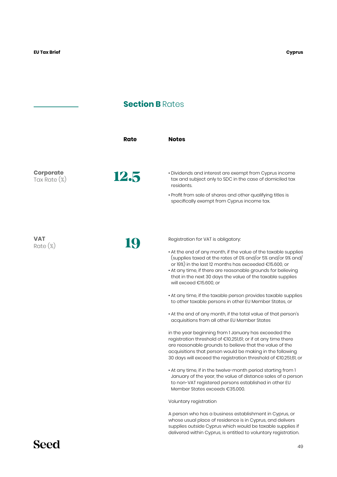## **Section B Rates**

|                                     | Rate | <b>Notes</b>                                                                                                                                                                                                                                                                                                                                                                                                                                                                                                                                                                                                                                                                                                                                                                                                                                                                                                                                                                                                                                                                                                                                                                                 |
|-------------------------------------|------|----------------------------------------------------------------------------------------------------------------------------------------------------------------------------------------------------------------------------------------------------------------------------------------------------------------------------------------------------------------------------------------------------------------------------------------------------------------------------------------------------------------------------------------------------------------------------------------------------------------------------------------------------------------------------------------------------------------------------------------------------------------------------------------------------------------------------------------------------------------------------------------------------------------------------------------------------------------------------------------------------------------------------------------------------------------------------------------------------------------------------------------------------------------------------------------------|
| <b>Corporate</b><br>Tax Rate $(\%)$ | 12.5 | • Dividends and interest are exempt from Cyprus income<br>tax and subject only to SDC in the case of domiciled tax<br>residents.<br>• Profit from sale of shares and other qualifying titles is<br>specifically exempt from Cyprus income tax.                                                                                                                                                                                                                                                                                                                                                                                                                                                                                                                                                                                                                                                                                                                                                                                                                                                                                                                                               |
| VAT<br>$Rate (\%)$                  | 19   | Registration for VAT is obligatory:<br>• At the end of any month, if the value of the taxable supplies<br>(supplies taxed at the rates of 0% and/or 5% and/or 9% and/<br>or 19%) in the last 12 months has exceeded $\in$ 15.600, or<br>• At any time, if there are reasonable grounds for believing<br>that in the next 30 days the value of the taxable supplies<br>will exceed €15.600, or<br>• At any time, if the taxable person provides taxable supplies<br>to other taxable persons in other EU Member States, or<br>• At the end of any month, if the total value of that person's<br>acquisitions from all other EU Member States<br>in the year beginning from 1 January has exceeded the<br>registration threshold of €10.251,61; or if at any time there<br>are reasonable grounds to believe that the value of the<br>acquisitions that person would be making in the following<br>30 days will exceed the registration threshold of €10.251,61, or<br>• At any time, if in the twelve-month period starting from 1<br>January of the year, the value of distance sales of a person<br>to non-VAT registered persons established in other EU<br>Member States exceeds €35,000. |
|                                     |      | Voluntary registration                                                                                                                                                                                                                                                                                                                                                                                                                                                                                                                                                                                                                                                                                                                                                                                                                                                                                                                                                                                                                                                                                                                                                                       |

A person who has a business establishment in Cyprus, or whose usual place of residence is in Cyprus, and delivers supplies outside Cyprus which would be taxable supplies if delivered within Cyprus, is entitled to voluntary registration.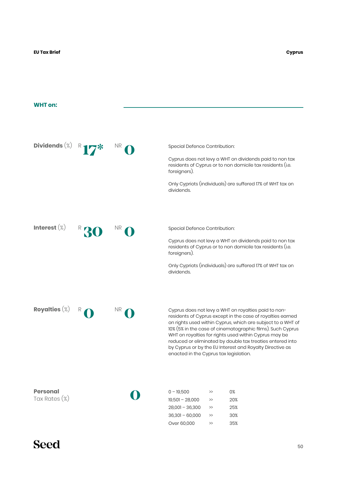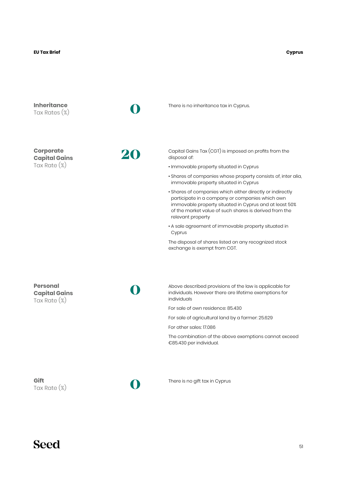#### **EU Tax Brief Cyprus**

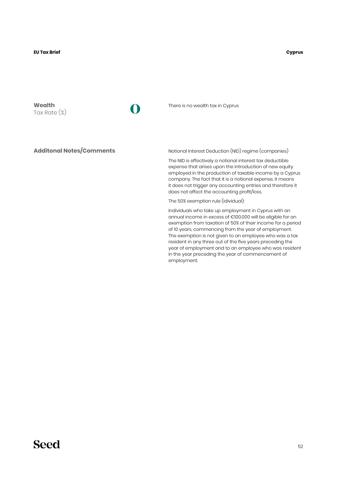**Wealth** Tax Rate (%)

**0**

There is no wealth tax in Cyprus

**Additonal Notes/Comments**

Notional Interest Deduction (NID) regime (companies)

The NID is effectively a notional interest tax deductible expense that arises upon the introduction of new equity employed in the production of taxable income by a Cyprus company. The fact that it is a notional expense, it means it does not trigger any accounting entries and therefore it does not affect the accounting profit/loss.

The 50% exemption rule (idividual):

Individuals who take up employment in Cyprus with an annual income in excess of €100.000 will be eligible for an exemption from taxation of 50% of their income for a period of 10 years, commencing from the year of employment. The exemption is not given to an employee who was a tax resident in any three out of the five years preceding the year of employment and to an employee who was resident in the year preceding the year of commencement of employment.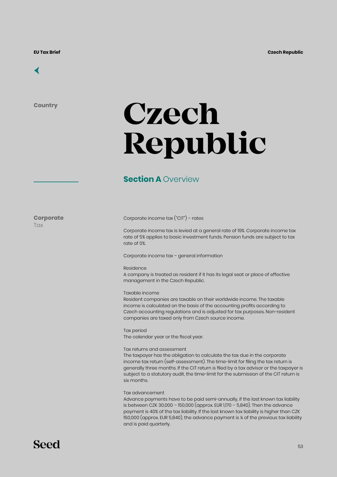

**Country**

## **Czech Republic**

### **Section A Overview**

**Corporate Tax** 

#### Corporate income tax ("CIT") – rates

Corporate income tax is levied at a general rate of 19%. Corporate income tax rate of 5% applies to basic investment funds. Pension funds are subject to tax rate of 0%.

Corporate income tax – general information

#### Residence

A company is treated as resident if it has its legal seat or place of effective management in the Czech Republic.

#### Taxable income

Resident companies are taxable on their worldwide income. The taxable income is calculated on the basis of the accounting profits according to Czech accounting regulations and is adjusted for tax purposes. Non-resident companies are taxed only from Czech source income.

Tax period The calendar year or the fiscal year.

#### Tax returns and assessment

The taxpayer has the obligation to calculate the tax due in the corporate income tax return (self-assessment). The time-limit for filing the tax return is generally three months. If the CIT return is filed by a tax advisor or the taxpayer is subject to a statutory audit, the time-limit for the submission of the CIT return is six months.

#### Tax advancement

Advance payments have to be paid semi-annually, if the last known tax liability is between CZK 30,000 – 150,000 (approx. EUR 1,170 – 5,840). Then the advance payment is 40% of the tax liability. If the last known tax liability is higher than CZK 150,000 (approx. EUR 5,840), the advance payment is ¼ of the previous tax liability and is paid quarterly.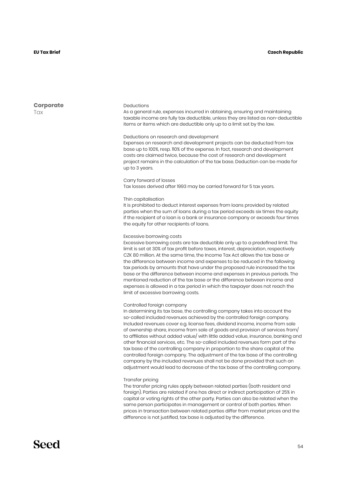**Corporate T**ax

#### Deductions

As a general rule, expenses incurred in obtaining, ensuring and maintaining taxable income are fully tax deductible, unless they are listed as non-deductible items or items which are deductible only up to a limit set by the law.

#### Deductions on research and development

Expenses on research and development projects can be deducted from tax base up to 100%, resp. 110% of the expense. In fact, research and development costs are claimed twice, because the cost of research and development project remains in the calculation of the tax base. Deduction can be made for up to 3 years.

#### Carry forward of losses

Tax losses derived after 1993 may be carried forward for 5 tax years.

#### Thin capitalisation

It is prohibited to deduct interest expenses from loans provided by related parties when the sum of loans during a tax period exceeds six times the equity if the recipient of a loan is a bank or insurance company or exceeds four times the equity for other recipients of loans.

#### Excessive borrowing costs

Excessive borrowing costs are tax deductible only up to a predefined limit. The limit is set at 30% of tax profit before taxes, interest, depreciation, respectively CZK 80 million. At the same time, the Income Tax Act allows the tax base or the difference between income and expenses to be reduced in the following tax periods by amounts that have under the proposed rule increased the tax base or the difference between income and expenses in previous periods. The mentioned reduction of the tax base or the difference between income and expenses is allowed in a tax period in which the taxpayer does not reach the limit of excessive borrowing costs.

#### Controlled foreign company

In determining its tax base, the controlling company takes into account the so-called included revenues achieved by the controlled foreign company. Included revenues cover e.g. license fees, dividend income, income from sale of ownership share, income from sale of goods and provision of services from/ to affiliates without added value/ with little added value, insurance, banking and other financial services, etc. The so-called included revenues form part of the tax base of the controlling company in proportion to the share capital of the controlled foreign company. The adjustment of the tax base of the controlling company by the included revenues shall not be done provided that such an adjustment would lead to decrease of the tax base of the controlling company.

#### Transfer pricing

The transfer pricing rules apply between related parties (both resident and foreign). Parties are related if one has direct or indirect participation of 25% in capital or voting rights of the other party. Parties can also be related when the same person participates in management or control of both parties. When prices in transaction between related parties differ from market prices and the difference is not justified, tax base is adjusted by the difference.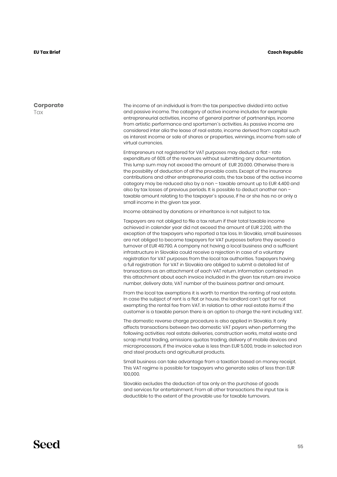**Corporate Tax** 

The income of an individual is from the tax perspective divided into active and passive income. The category of active income includes for example entrepreneurial activities, income of general partner of partnerships, income from artistic performance and sportsmen´s activities. As passive income are considered inter alia the lease of real estate, income derived from capital such as interest income or sale of shares or properties, winnings, income from sale of virtual currencies.

Entrepreneurs not registered for VAT purposes may deduct a flat - rate expenditure of 60% of the revenues without submitting any documentation. This lump sum may not exceed the amount of EUR 20.000. Otherwise there is the possbility of deduction of all the provable costs. Except of the insurance contributions and other entrepreneurial costs, the tax base of the active income category may be reduced also by a non – taxable amount up to EUR 4.400 and also by tax losses of previous periods. It is possible to deduct another non – taxable amount relating to the taxpayer´s spouse, if he or she has no or only a small income in the given tax year.

Income obtained by donations or inheritance is not subject to tax.

Taxpayers are not obliged to file a tax return if their total taxable income achieved in calender year did not exceed the amount of EUR 2.200, with the exception of the taxpayers who reported a tax loss. In Slovakia, small businesses are not obliged to become taxpayers for VAT purposes before they exceed a turnover of EUR 49.790. A company not having a local business and a sufficient infrastructure in Slovakia could receive a rejection in case of a voluntary registration for VAT purposes from the local tax authorities. Taxpayers having a full registration for VAT in Slovakia are obliged to submit a detailed list of transactions as an attachment of each VAT return. Information contained in this attachment about each invoice included in the given tax return are invoice number, delivery date, VAT number of the business partner and amount.

From the local tax exemptions it is worth to mention the renting of real estate. In case the subject of rent is a flat or house, the landlord can´t opt for not exempting the rental fee from VAT. In relation to other real estate items if the customer is a taxable person there is an option to charge the rent including VAT.

The domestic reverse charge procedure is also applied in Slovakia. It only affects transactions between two domestic VAT payers when performing the following activities: real estate deliveries, construction works, metal waste and scrap metal trading, emissions quotas trading, delivery of mobile devices and microprocessors, if the invoice value is less than EUR 5.000, trade in selected iron and steel products and agricultural products.

Small business can take advantage from a taxation based on money receipt. This VAT regime is possible for taxpayers who generate sales of less than EUR 100,000.

Slovakia excludes the deduction of tax only on the purchase of goods and services for entertainment. From all other transactions the input tax is deductible to the extent of the provable use for taxable turnovers.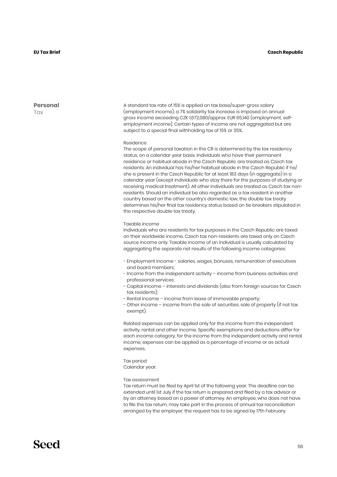**Personal Tax** 

A standard tax rate of 15% is applied on tax base/super-gross salary (employment income), a 7% solidarity tax increase is imposed on annual gross income exceeding CZK 1,672,080/approx. EUR 65,140 (employment, selfemployment income). Certain types of income are not aggregated but are subject to a special final withholding tax of 15% or 35%.

#### Residence

The scope of personal taxation in the CR is determined by the tax residency status, on a calendar year basis. Individuals who have their permanent residence or habitual abode in the Czech Republic are treated as Czech tax residents. An individual has his/her habitual abode in the Czech Republic if he/ she is present in the Czech Republic for at least 183 days (in aggregate) in a calendar year (except individuals who stay there for the purposes of studying or receiving medical treatment). All other individuals are treated as Czech tax nonresidents. Should an individual be also regarded as a tax resident in another country based on the other country's domestic law, the double tax treaty determines his/her final tax residency status based on tie breakers stipulated in the respective double tax treaty.

#### Taxable income

Individuals who are residents for tax purposes in the Czech Republic are taxed on their worldwide income. Czech tax non-residents are taxed only on Czech source income only. Taxable income of an individual is usually calculated by aggregating the separate net results of the following income categories:

- Employment income salaries, wages, bonuses, remuneration of executives and board members;
- Income from the independent activity income from business activities and professional services;
- Capital income interests and dividends (also from foreign sources for Czech tax residents);
- Rental income income from lease of immovable property;
- Other income income from the sale of securities, sale of property (if not tax exempt).

Related expenses can be applied only for the income from the independent activity, rental and other income. Specific exemptions and deductions differ for each income category, for the income from the independent activity and rental income, expenses can be applied as a percentage of income or as actual expenses.

Tax period Calendar year.

#### Tax assessment

Tax return must be filed by April 1st of the following year. The deadline can be extended until 1st July if the tax return is prepared and filed by a tax advisor or by an attorney based on a power of attorney. An employee, who does not have to file the tax return, may take part in the process of annual tax reconciliation arranged by the employer, the request has to be signed by 17th February.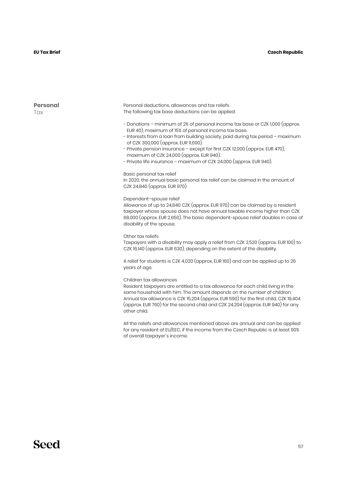#### **Personal T**ax

Personal deductions, allowances and tax reliefs The following tax base deductions can be applied:

- Donations minimum of 2% of personal income tax base or CZK 1,000 (approx. EUR 40), maximum of 15% of personal income tax base.
- Interests from a loan from building society, paid during tax period maximum of CZK 300,000 (approx. EUR 11,690).
- Private pension insurance except for first CZK 12,000 (approx. EUR 470), maximum of CZK 24,000 (approx. EUR 940).
- Private life insurance maximum of CZK 24,000 (approx. EUR 940).

#### Basic personal tax relief

In 2020, the annual basic personal tax relief can be claimed in the amount of CZK 24,840 (approx. EUR 970).

#### Dependent–spouse relief

Allowance of up to 24,840 CZK (approx. EUR 970) can be claimed by a resident taxpayer whose spouse does not have annual taxable income higher than CZK 68,000 (approx. EUR 2,650). The basic dependent-spouse relief doubles in case of disability of the spouse.

#### Other tax reliefs

Taxpayers with a disability may apply a relief from CZK 2,520 (approx. EUR 100) to CZK 16,140 (approx. EUR 630), depending on the extent of the disability.

A relief for students is CZK 4,020 (approx. EUR 160) and can be applied up to 26 years of age.

#### Children tax allowances

Resident taxpayers are entitled to a tax allowance for each child living in the same household with him. The amount depends on the number of children. Annual tax allowance is CZK 15,204 (approx. EUR 590) for the first child, CZK 19,404 (approx. EUR 760) for the second child and CZK 24,204 (approx. EUR 940) for any other child.

All the reliefs and allowances mentioned above are annual and can be applied for any resident of EU/EEC, if the income from the Czech Republic is at least 90% of overall taxpayer´s income.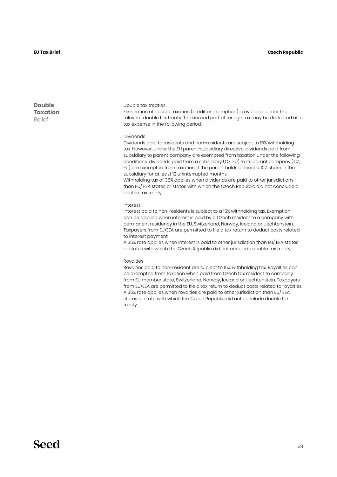**Double Taxation** Relief

#### Double tax treaties

Elimination of double taxation (credit or exemption) is available under the relevant double tax treaty. The unused part of foreign tax may be deducted as a tax expense in the following period.

#### Dividends

Dividends paid to residents and non-residents are subject to 15% withholding tax. However, under the EU parent-subsidiary directive, dividends paid from subsidiary to parent company are exempted from taxation under the following conditions: dividends paid from a subsidiary (CZ, EU) to its parent company (CZ, EU) are exempted from taxation, if the parent holds at least a 10% share in the subsidiary for at least 12 uninterrupted months.

Withholding tax of 35% applies when dividends are paid to other jurisdictions than EU/ EEA states or states with which the Czech Republic did not conclude a double tax treaty.

#### Interest

Interest paid to non-residents is subject to a 15% withholding tax. Exemption can be applied when interest is paid by a Czech resident to a company with permanent residency in the EU, Switzerland, Norway, Iceland or Liechtenstein. Taxpayers from EU/EEA are permitted to file a tax return to deduct costs related to interest payment.

A 35% rate applies when interest is paid to other jurisdiction than EU/ EEA states or states with which the Czech Republic did not conclude double tax treaty.

#### Royalties

Royalties paid to non-resident are subject to 15% withholding tax. Royalties can be exempted from taxation when paid from Czech tax resident to company from EU member state, Switzerland, Norway, Iceland or Liechtenstein. Taxpayers from EU/EEA are permitted to file a tax return to deduct costs related to royalties. A 35% rate applies when royalties are paid to other jurisdiction than EU/ EEA states or state with which the Czech Republic did not conclude double tax treaty.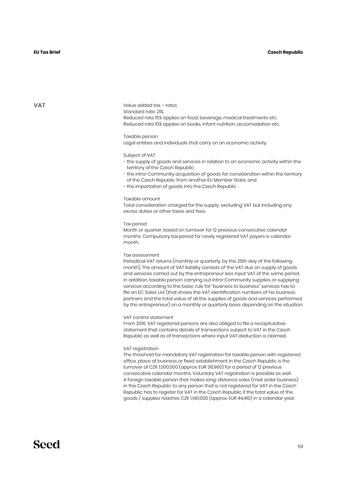#### **Czech Republic**

#### **EU Tax Brief**

**VAT**

Value added tax – rates Standard rate: 21%. Reduced rate 15% applies on food, beverage, medical treatments etc. Reduced rate 10% applies on books, infant nutrition, accomodation etc.

Taxable person Legal entities and individuals that carry on an economic activity.

Subject of VAT

- the supply of goods and services in relation to an economic activity within the territory of the Czech Republic;
- the intra-Community acquisition of goods for consideration within the territory of the Czech Republic from another EU Member State; and
- the importation of goods into the Czech Republic

#### Taxable amount

Total consideration charged for the supply, excluding VAT but including any excise duties or other taxes and fees.

#### Tax period

Month or quarter, based on turnover for 12 previous consecutive calendar months. Compulsory tax period for newly registered VAT payers is calendar month.

#### Tax assessment

Periodical VAT returns (monthly or quarterly, by the 25th day of the following month). The amount of VAT liability consists of the VAT due on supply of goods and services carried out by the entrepreneur less input VAT of the same period. In addition, taxable person carrying out intra-Community supplies or supplying services according to the basic rule for "business to business" services has to file an EC Sales List (that shows the VAT identification numbers of his business partners and the total value of all the supplies of goods and services performed by the entrepreneur) on a monthly or quarterly basis depending on the situation.

#### VAT control statement

From 2016, VAT registered persons are also obliged to file a recapitulative statement that contains details of transactions subject to VAT in the Czech Republic as well as of transactions where input VAT deduction is claimed.

#### VAT registration

The threshold for mandatory VAT registration for taxable person with registered office, place of business or fixed establishment in the Czech Republic is the turnover of CZK 1,000,000 (approx. EUR 38,960) for a period of 12 previous consecutive calendar months. Voluntary VAT registration is possible as well. A foreign taxable person that makes long-distance sales (mail order business) in the Czech Republic to any person that is not registered for VAT in the Czech Republic has to register for VAT in the Czech Republic if the total value of the goods / supplies reaches CZK 1,140,000 (approx. EUR 44,410) in a calendar year.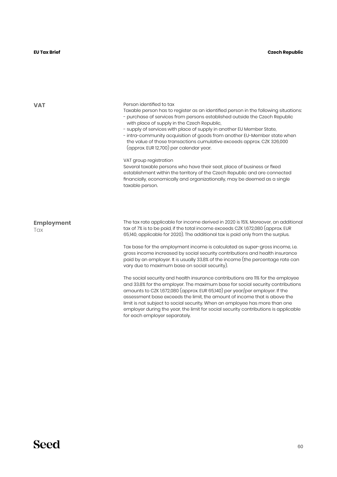| <b>VAT</b>               | Person identified to tax<br>Taxable person has to register as an identified person in the following situations:<br>- purchase of services from persons established outside the Czech Republic<br>with place of supply in the Czech Republic,<br>- supply of services with place of supply in another EU Member State,<br>- intra-community acquisition of goods from another EU-Member state when<br>the value of those transactions cumulative exceeds approx. CZK 326,000<br>(approx. EUR 12,700) per calendar year.                                       |
|--------------------------|--------------------------------------------------------------------------------------------------------------------------------------------------------------------------------------------------------------------------------------------------------------------------------------------------------------------------------------------------------------------------------------------------------------------------------------------------------------------------------------------------------------------------------------------------------------|
|                          | VAT group registration<br>Several taxable persons who have their seat, place of business or fixed<br>establishment within the territory of the Czech Republic and are connected<br>financially, economically and organizationally, may be deemed as a single<br>taxable person.                                                                                                                                                                                                                                                                              |
| <b>Employment</b><br>Tax | The tax rate applicable for income derived in 2020 is 15%. Moreover, an additional<br>tax of 7% is to be paid, if the total income exceeds CZK 1,672,080 (approx. EUR<br>65,140, applicable for 2020). The additional tax is paid only from the surplus.<br>Tax base for the employment income is calculated as super-gross income, i.e.<br>gross income increased by social security contributions and health insurance<br>paid by an employer. It is usually 33.8% of the income (the percentage rate can<br>vary due to maximum base on social security). |
|                          | The social security and health insurance contributions are 11% for the employee<br>and 33.8% for the employer. The maximum base for social security contributions<br>amounts to CZK 1,672,080 (approx. EUR 65,140) per year/per employer. If the<br>assessment base exceeds the limit, the amount of income that is above the<br>limit is not subject to social security. When an employee has more than one<br>employer during the year, the limit for social security contributions is applicable<br>for each employer separately.                         |

Person identified to tax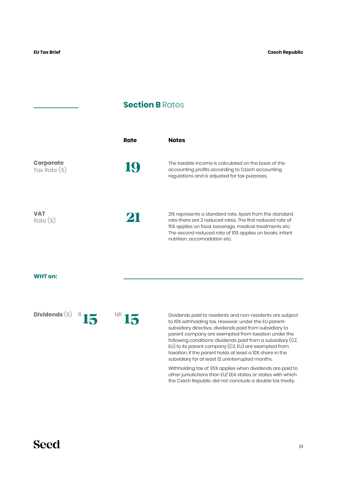### **Section B** Rates

|                                  | Rate | <b>Notes</b>                                                                                                                                                                                                                                                              |
|----------------------------------|------|---------------------------------------------------------------------------------------------------------------------------------------------------------------------------------------------------------------------------------------------------------------------------|
| <b>Corporate</b><br>Tax Rate (%) |      | The taxable income is calculated on the basis of the<br>accounting profits according to Czech accounting<br>regulations and is adjusted for tax purposes.                                                                                                                 |
| <b>VAT</b><br>$Rate (\%)$        | 21   | 21% represents a standard rate. Apart from the standard<br>rate there are 2 reduced rates. The first reduced rate of<br>15% applies on food, beverage, medical treatments etc.<br>The second reduced rate of 10% applies on books, infant<br>nutrition, accomodation etc. |

#### **WHT on:**

Dividends<sup>(%)</sup> R<sub>15</sub>

<sup>R</sup> NR **15** 

**15** Dividends paid to residents and non-residents are subject to 15% withholding tax. However, under the EU parentsubsidiary directive, dividends paid from subsidiary to parent company are exempted from taxation under the following conditions: dividends paid from a subsidiary (CZ, EU) to its parent company (CZ, EU) are exempted from taxation, if the parent holds at least a 10% share in the subsidiary for at least 12 uninterrupted months.

Withholding tax of 35% applies when dividends are paid to other jurisdictions than EU/ EEA states or states with which the Czech Republic did not conclude a double tax treaty.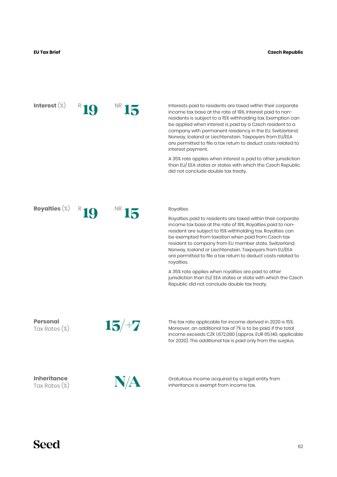**Interest** (%) **19**  NR R **15** 

R

Interests paid to residents are taxed within their corporate income tax base at the rate of 19%. Interest paid to nonresidents is subject to a 15% withholding tax. Exemption can be applied when interest is paid by a Czech resident to a company with permanent residency in the EU, Switzerland, Norway, Iceland or Liechtenstein. Taxpayers from EU/EEA are permitted to file a tax return to deduct costs related to interest payment.

A 35% rate applies when interest is paid to other jurisdiction than EU/ EEA states or states with which the Czech Republic did not conclude double tax treaty.

**Royalties** (%)

**19**  NR **15** 

#### Royalties

Royalties paid to residents are taxed within their corporate income tax base at the rate of 19%. Royalties paid to nonresident are subject to 15% withholding tax. Royalties can be exempted from taxation when paid from Czech tax resident to company from EU member state, Switzerland, Norway, Iceland or Liechtenstein. Taxpayers from EU/EEA are permitted to file a tax return to deduct costs related to royalties.

A 35% rate applies when royalties are paid to other jurisdiction than EU/ EEA states or state with which the Czech Republic did not conclude double tax treaty.

**Personal** Tax Rates (%)



The tax rate applicable for income derived in 2020 is 15%. Moreover, an additional tax of 7% is to be paid, if the total income exceeds CZK 1,672,080 (approx. EUR 65,140, applicable for 2020). The additional tax is paid only from the surplus.

**Inheritance** Tax Rates (%)



Gratuitous income acquired by a legal entity from inheritance is exempt from income tax.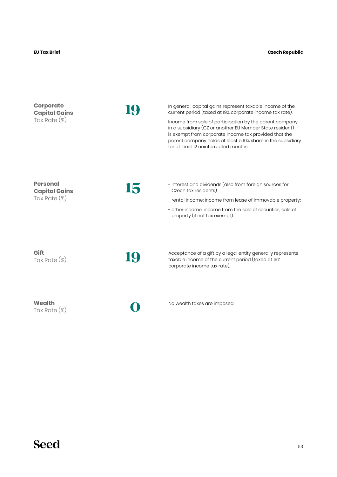| <b>Corporate</b><br><b>Capital Gains</b><br>Tax Rate (%)   |    | In general, capital gains represent taxable income of the<br>current period (taxed at 19% corporate income tax rate).<br>Income from sale of participation by the parent company<br>in a subsidiary (CZ or another EU Member State resident)<br>is exempt from corporate income tax provided that the<br>parent company holds at least a 10% share in the subsidiary<br>for at least 12 uninterrupted months. |
|------------------------------------------------------------|----|---------------------------------------------------------------------------------------------------------------------------------------------------------------------------------------------------------------------------------------------------------------------------------------------------------------------------------------------------------------------------------------------------------------|
| <b>Personal</b><br><b>Capital Gains</b><br>Tax Rate $(\%)$ | 15 | - interest and dividends (also from foreign sources for<br>Czech tax residents)<br>- rental income: income from lease of immovable property;<br>- other income: income from the sale of securities, sale of<br>property (if not tax exempt).                                                                                                                                                                  |
| Gift<br>Tax Rate $(\%)$                                    |    | Acceptance of a gift by a legal entity generally represents<br>taxable income of the current period (taxed at 19%<br>corporate income tax rate).                                                                                                                                                                                                                                                              |
| Wealth<br>Tax Rate $(\%)$                                  |    | No wealth taxes are imposed.                                                                                                                                                                                                                                                                                                                                                                                  |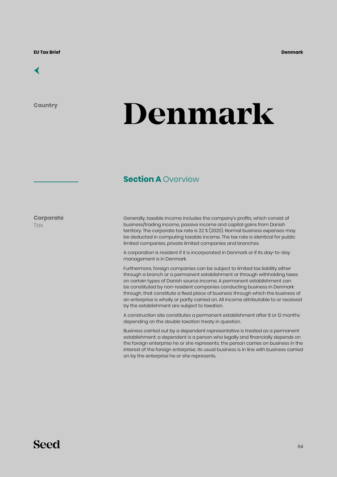

**Country**

## **Denmark**

## **Section A Overview**

**Corporate Tax** 

Generally, taxable income includes the company's profits, which consist of business/trading income, passive income and capital gains from Danish territory. The corporate tax rate is 22 % (2020). Normal business expenses may be deducted in computing taxable income. The tax rate is identical for public limited companies, private limited companies and branches.

A corporation is resident if it is incorporated in Denmark or if its day-to-day management is in Denmark.

Furthermore, foreign companies can be subject to limited tax liability either through a branch or a permanent establishment or through withholding taxes on certain types of Danish source income. A permanent establishment can be constituted by non-resident companies conducting business in Denmark through, that constitute a fixed place of business through which the business of an enterprise is wholly or partly carried on. All income attributable to or received by the establishment are subject to taxation.

A construction site constitutes a permanent establishment after 6 or 12 months depending on the double taxation treaty in question.

Business carried out by a dependent representative is treated as a permanent establishment: a dependent is a person who legally and financially depends on the foreign enterprise he or she represents; the person carries on business in the interest of the foreign enterprise; its usual business is in line with business carried on by the enterprise he or she represents.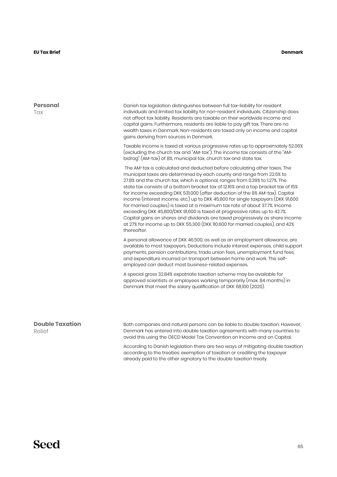| <b>Personal</b><br>Tax           | Danish tax legislation distinguishes between full tax-liability for resident<br>individuals and limited tax liability for non-resident individuals. Citizenship does<br>not affect tax liability. Residents are taxable on their worldwide income and<br>capital gains. Furthermore, residents are liable to pay gift tax. There are no<br>wealth taxes in Denmark. Non-residents are taxed only on income and capital<br>gains deriving from sources in Denmark.<br>Taxable income is taxed at various progressive rates up to approximately 52.06%<br>(excluding the church tax and "AM-tax"). The income tax consists of the "AM-<br>bidrag" (AM-tax) of 8%, municipal tax, church tax and state tax.                                                                                                                                 |
|----------------------------------|------------------------------------------------------------------------------------------------------------------------------------------------------------------------------------------------------------------------------------------------------------------------------------------------------------------------------------------------------------------------------------------------------------------------------------------------------------------------------------------------------------------------------------------------------------------------------------------------------------------------------------------------------------------------------------------------------------------------------------------------------------------------------------------------------------------------------------------|
|                                  | The AM-tax is calculated and deducted before calculating other taxes. The<br>municipal taxes are determined by each county and range from 22.5% to<br>27.8% and the church tax, which is optional, ranges from 0.39% to 1.27%. The<br>state tax consists of a bottom bracket tax of 12.16% and a top bracket tax of 15%<br>for income exceeding DKK 531.000 (after deduction of the 8% AM-tax). Capital<br>income (interest income, etc.) up to DKK 45,800 for single taxpayers (DKK 91,600<br>for married couples) is taxed at a maximum tax rate of about 37.7%. Income<br>exceeding DKK 45,800/DKK 91,600 is taxed at progressive rates up to 42.7%.<br>Capital gains on shares and dividends are taxed progressively as share income<br>at 27% for income up to DKK 55,300 (DKK 110,600 for married couples), and 42%<br>thereafter. |
|                                  | A personal allowance of DKK 46,500, as well as an employment allowance, are<br>available to most taxpayers. Deductions include interest expenses, child support<br>payments, pension contributions, trade union fees, unemployment fund fees,<br>and expenditure incurred on transport between home and work. The self-<br>employed can deduct most business-related expenses.                                                                                                                                                                                                                                                                                                                                                                                                                                                           |
|                                  | A special gross 32.84% expatriate taxation scheme may be available for<br>approved scientists or employees working temporarily (max. 84 months) in<br>Denmark that meet the salary qualification of DKK 68,100 (2020).                                                                                                                                                                                                                                                                                                                                                                                                                                                                                                                                                                                                                   |
| <b>Double Taxation</b><br>Relief | Both companies and natural persons can be liable to double taxation. However,<br>Denmark has entered into double taxation agreements with many countries to<br>avoid this using the OECD Model Tax Convention on Income and on Capital.                                                                                                                                                                                                                                                                                                                                                                                                                                                                                                                                                                                                  |

According to Danish legislation there are two ways of mitigating double taxation according to the treaties: exemption of taxation or crediting the taxpayer already paid to the other signatory to the double taxation treaty.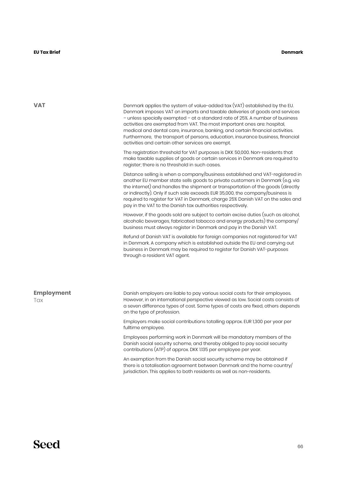**VAT**

Denmark applies the system of value-added tax (VAT) established by the EU. Denmark imposes VAT on imports and taxable deliveries of goods and services – unless specially exempted – at a standard rate of 25%. A number of business activities are exempted from VAT. The most important ones are: hospital, medical and dental care, insurance, banking, and certain financial activities. Furthermore, the transport of persons, education, insurance business, financial activities and certain other services are exempt.

The registration threshold for VAT purposes is DKK 50,000. Non-residents that make taxable supplies of goods or certain services in Denmark are required to register; there is no threshold in such cases.

Distance selling is when a company/business established and VAT-registered in another EU member state sells goods to private customers in Denmark (e.g. via the internet) and handles the shipment or transportation of the goods (directly or indirectly). Only if such sale exceeds EUR 35,000, the company/business is required to register for VAT in Denmark, charge 25% Danish VAT on the sales and pay in the VAT to the Danish tax authorities respectively.

However, if the goods sold are subject to certain excise duties (such as alcohol, alcoholic beverages, fabricated tobacco and energy products) the company/ business must always register in Denmark and pay in the Danish VAT.

Refund of Danish VAT is available for foreign companies not registered for VAT in Denmark. A company which is established outside the EU and carrying out business in Denmark may be required to register for Danish VAT-purposes through a resident VAT agent.

| <b>Employment</b> | Danish employers are liable to pay various social costs for their employees.                                                                                                                      |
|-------------------|---------------------------------------------------------------------------------------------------------------------------------------------------------------------------------------------------|
| Tax               | However, in an international perspective viewed as low. Social costs consists of<br>a seven difference types of cost. Some types of costs are fixed, others depends<br>on the type of profession. |
|                   | Employers make social contributions totalling approx. EUR 1,300 per year per<br>fulltime employee.                                                                                                |

Employees performing work in Denmark will be mandatory members of the Danish social security scheme, and thereby obliged to pay social security contributions (ATP) of approx. DKK 1.135 per employee per year.

An exemption from the Danish social security scheme may be obtained if there is a totalisation agreement between Denmark and the home country/ jurisdiction. This applies to both residents as well as non-residents.

## **Seed**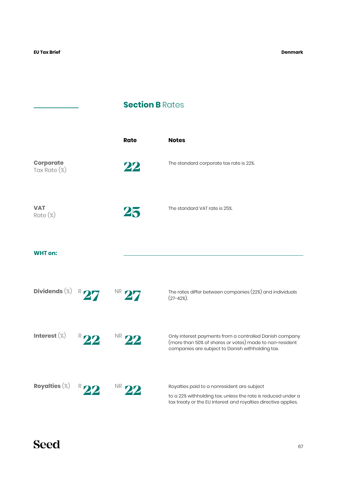$\overline{\phantom{a}}$ 

**Denmark**

## **Section B Rates**

|                                     |                          | <b>Rate</b>      | <b>Notes</b>                                                                                                                                                                  |
|-------------------------------------|--------------------------|------------------|-------------------------------------------------------------------------------------------------------------------------------------------------------------------------------|
| <b>Corporate</b><br>Tax Rate $(\%)$ |                          | 22               | The standard corporate tax rate is 22%.                                                                                                                                       |
| <b>VAT</b><br>$Rate (\%)$           |                          | 25               | The standard VAT rate is 25%.                                                                                                                                                 |
| <b>WHT</b> on:                      |                          |                  |                                                                                                                                                                               |
| Dividends $(\%)$ R 27               |                          | NR 27            | The rates differ between companies (22%) and individuals<br>$(27 - 42\%)$ .                                                                                                   |
| Interest $(\%)$                     | $R$ 22                   | <sup>NR</sup> 22 | Only interest payments from a controlled Danish company<br>(more than 50% of shares or votes) made to non-resident<br>companies are subject to Danish withholding tax.        |
| Royalties $(\%)$                    | NR<br>$R_{\blacksquare}$ |                  | Royalties paid to a nonresident are subject<br>to a 22% withholding tax, unless the rate is reduced under a<br>tax treaty or the EU interest and royalties directive applies. |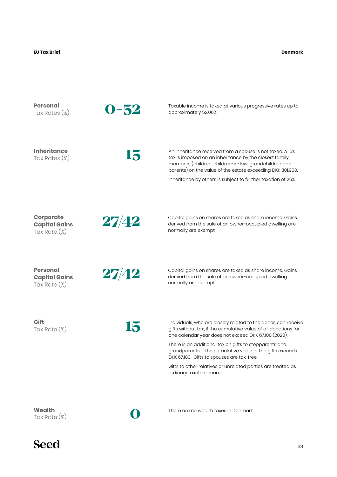#### **Denmark**

| <b>Personal</b><br>Tax Rates (%)                           | $0 - 52$ | Taxable income is taxed at various progressive rates up to<br>approximately 52.06%.                                                                                                                                                                                                                                                                                                                                                                         |
|------------------------------------------------------------|----------|-------------------------------------------------------------------------------------------------------------------------------------------------------------------------------------------------------------------------------------------------------------------------------------------------------------------------------------------------------------------------------------------------------------------------------------------------------------|
| <b>Inheritance</b><br>Tax Rates (%)                        | 15       | An inheritance received from a spouse is not taxed. A 15%<br>tax is imposed on an inheritance by the closest family<br>members (children, children-in-law, grandchildren and<br>parents) on the value of the estate exceeding DKK 301,900.<br>Inheritance by others is subject to further taxation of 25%.                                                                                                                                                  |
| <b>Corporate</b><br><b>Capital Gains</b><br>Tax Rate (%)   | 27/42    | Capital gains on shares are taxed as share income. Gains<br>derived from the sale of an owner-occupied dwelling are<br>normally are exempt.                                                                                                                                                                                                                                                                                                                 |
| <b>Personal</b><br><b>Capital Gains</b><br>Tax Rate $(\%)$ | 27/42    | Capital gains on shares are taxed as share income. Gains<br>derived from the sale of an owner-occupied dwelling<br>normally are exempt.                                                                                                                                                                                                                                                                                                                     |
| Gift<br>Tax Rate $(\%)$                                    | 15       | Individuals, who are closely related to the donor, can receive<br>gifts without tax, if the cumulative value of all donations for<br>one calendar year does not exceed DKK 67,100 (2020).<br>There is an additional tax on gifts to stepparents and<br>grandparents, if the cumulative value of the gifts exceeds<br>DKK 67,100. Gifts to spouses are tax-free.<br>Gifts to other relatives or unrelated parties are treated as<br>ordinary taxable income. |
| Wealth<br>Tax Rate $(\%)$                                  | Û        | There are no wealth taxes in Denmark.                                                                                                                                                                                                                                                                                                                                                                                                                       |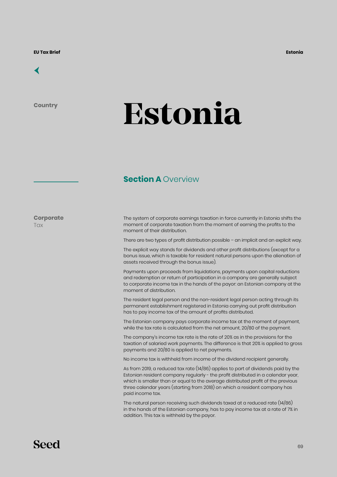## [←](#page-6-0)

**Country**

## **Estonia**

## **Section A Overview**

**Corporate Tax** 

The system of corporate earnings taxation in force currently in Estonia shifts the moment of corporate taxation from the moment of earning the profits to the moment of their distribution.

There are two types of profit distribution possible – an implicit and an explicit way.

The explicit way stands for dividends and other profit distributions (except for a bonus issue, which is taxable for resident natural persons upon the alienation of assets received through the bonus issue).

Payments upon proceeds from liquidations, payments upon capital reductions and redemption or return of participation in a company are generally subject to corporate income tax in the hands of the payor: an Estonian company at the moment of distribution.

The resident legal person and the non-resident legal person acting through its permanent establishment registered in Estonia carrying out profit distribution has to pay income tax of the amount of profits distributed.

The Estonian company pays corporate income tax at the moment of payment, while the tax rate is calculated from the net amount, 20/80 of the payment.

The company's income tax rate is the rate of 20% as in the provisions for the taxation of salaried work payments. The difference is that 20% is applied to gross payments and 20/80 is applied to net payments.

No income tax is withheld from income of the dividend recipient generally.

As from 2019, a reduced tax rate (14/86) applies to part of dividends paid by the Estonian resident company regularly - the profit distributed in a calendar year, which is smaller than or equal to the average distributed profit of the previous three calendar years (starting from 2018) on which a resident company has paid income tax.

The natural person receiving such dividends taxed at a reduced rate (14/86) in the hands of the Estonian company, has to pay income tax at a rate of 7% in addition. This tax is withheld by the payor.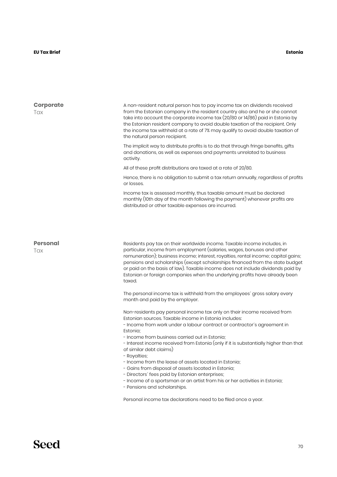| <b>Corporate</b><br>Tax | A non-resident natural person has to pay income tax on dividends received<br>from the Estonian company in the resident country also and he or she cannot<br>take into account the corporate income tax $(20/80$ or 14/86) paid in Estonia by<br>the Estonian resident company to avoid double taxation of the recipient. Only<br>the income tax withheld at a rate of 7% may qualify to avoid double taxation of<br>the natural person recipient.                                                     |
|-------------------------|-------------------------------------------------------------------------------------------------------------------------------------------------------------------------------------------------------------------------------------------------------------------------------------------------------------------------------------------------------------------------------------------------------------------------------------------------------------------------------------------------------|
|                         | The implicit way to distribute profits is to do that through fringe benefits, gifts<br>and donations, as well as expenses and payments unrelated to business<br>activity.                                                                                                                                                                                                                                                                                                                             |
|                         | All of these profit distributions are taxed at a rate of 20/80.                                                                                                                                                                                                                                                                                                                                                                                                                                       |
|                         | Hence, there is no obligation to submit a tax return annually, regardless of profits<br>or losses.                                                                                                                                                                                                                                                                                                                                                                                                    |
|                         | Income tax is assessed monthly, thus taxable amount must be declared<br>monthly (10th day of the month following the payment) whenever profits are<br>distributed or other taxable expenses are incurred.                                                                                                                                                                                                                                                                                             |
|                         |                                                                                                                                                                                                                                                                                                                                                                                                                                                                                                       |
| <b>Personal</b><br>Tax  | Residents pay tax on their worldwide income. Taxable income includes, in<br>particular, income from employment (salaries, wages, bonuses and other<br>remuneration); business income; interest, royalties, rental income; capital gains;<br>pensions and scholarships (except scholarships financed from the state budget<br>or paid on the basis of law). Taxable income does not include dividends paid by<br>Estonian or foreign companies when the underlying profits have already been<br>taxed. |
|                         | The personal income tax is withheld from the employees' gross salary every<br>month and paid by the employer.                                                                                                                                                                                                                                                                                                                                                                                         |
|                         | Non-residents pay personal income tax only on their income received from<br>Estonian sources. Taxable income in Estonia includes:<br>- Income from work under a labour contract or contractor's agreement in<br>Estonia;<br>- Income from business carried out in Estonia;                                                                                                                                                                                                                            |
|                         | - Interest income received from Estonia (only if it is substantially higher than that<br>of similar debt claims)<br>- Royalties;                                                                                                                                                                                                                                                                                                                                                                      |
|                         | - Income from the lease of assets located in Estonia;                                                                                                                                                                                                                                                                                                                                                                                                                                                 |
|                         | - Gains from disposal of assets located in Estonia;<br>- Directors' fees paid by Estonian enterprises;                                                                                                                                                                                                                                                                                                                                                                                                |
|                         | - Income of a sportsman or an artist from his or her activities in Estonia;<br>- Pensions and scholarships.                                                                                                                                                                                                                                                                                                                                                                                           |
|                         | Personal income tax declarations need to be filed once a year.                                                                                                                                                                                                                                                                                                                                                                                                                                        |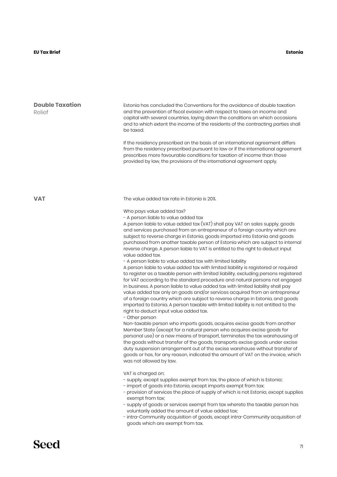#### **EU Tax Brief Estonia**

| <b>Double Taxation</b><br>Relief | Estonia has concluded the Conventions for the avoidance of double taxation<br>and the prevention of fiscal evasion with respect to taxes on income and<br>capital with several countries, laying down the conditions on which occasions<br>and to which extent the income of the residents of the contracting parties shall<br>be taxed.<br>If the residency prescribed on the basis of an international agreement differs<br>from the residency prescribed pursuant to law or if the international agreement<br>prescribes more favourable conditions for taxation of income than those<br>provided by law, the provisions of the international agreement apply.                                                                                                                                                                                                                                                                                                                                                                                                                                                                                                                                                                                                                                                                                                                                                                                                                                                                                                                                                                                                                                                                                                                                                                                                                                                                                                                                                                                                                                                                                                                                                                                                                                                                                            |
|----------------------------------|--------------------------------------------------------------------------------------------------------------------------------------------------------------------------------------------------------------------------------------------------------------------------------------------------------------------------------------------------------------------------------------------------------------------------------------------------------------------------------------------------------------------------------------------------------------------------------------------------------------------------------------------------------------------------------------------------------------------------------------------------------------------------------------------------------------------------------------------------------------------------------------------------------------------------------------------------------------------------------------------------------------------------------------------------------------------------------------------------------------------------------------------------------------------------------------------------------------------------------------------------------------------------------------------------------------------------------------------------------------------------------------------------------------------------------------------------------------------------------------------------------------------------------------------------------------------------------------------------------------------------------------------------------------------------------------------------------------------------------------------------------------------------------------------------------------------------------------------------------------------------------------------------------------------------------------------------------------------------------------------------------------------------------------------------------------------------------------------------------------------------------------------------------------------------------------------------------------------------------------------------------------------------------------------------------------------------------------------------------------|
| <b>VAT</b>                       | The value added tax rate in Estonia is 20%.<br>Who pays value added tax?<br>- A person liable to value added tax<br>A person liable to value added tax (VAT) shall pay VAT on sales supply, goods<br>and services purchased from an entrepreneur of a foreign country which are<br>subject to reverse charge in Estonia, goods imported into Estonia and goods<br>purchased from another taxable person of Estonia which are subject to internal<br>reverse charge. A person liable to VAT is entitled to the right to deduct input<br>value added tax.<br>- A person liable to value added tax with limited liability<br>A person liable to value added tax with limited liability is registered or required<br>to register as a taxable person with limited liability, excluding persons registered<br>for VAT according to the standard procedure and natural persons not engaged<br>in business. A person liable to value added tax with limited liability shall pay<br>value added tax only on goods and/or services acquired from an entrepreneur<br>of a foreign country which are subject to reverse charge in Estonia, and goods<br>imported to Estonia. A person taxable with limited liability is not entitled to the<br>right to deduct input value added tax.<br>- Other person<br>Non-taxable person who imports goods, acquires excise goods from another<br>Member State (except for a natural person who acquires excise goods for<br>personal use) or a new means of transport, terminates the tax warehousing of<br>the goods without transfer of the goods, transports excise goods under excise<br>duty suspension arrangement out of the excise warehouse without transfer of<br>goods or has, for any reason, indicated the amount of VAT on the invoice, which<br>was not allowed by law.<br>VAT is charged on:<br>- supply, except supplies exempt from tax, the place of which is Estonia;<br>- import of goods into Estonia, except imports exempt from tax;<br>- provision of services the place of supply of which is not Estonia, except supplies<br>exempt from tax;<br>- supply of goods or services exempt from tax whereto the taxable person has<br>voluntarily added the amount of value added tax;<br>- intra-Community acquisition of goods, except intra-Community acquisition of<br>goods which are exempt from tax. |
|                                  |                                                                                                                                                                                                                                                                                                                                                                                                                                                                                                                                                                                                                                                                                                                                                                                                                                                                                                                                                                                                                                                                                                                                                                                                                                                                                                                                                                                                                                                                                                                                                                                                                                                                                                                                                                                                                                                                                                                                                                                                                                                                                                                                                                                                                                                                                                                                                              |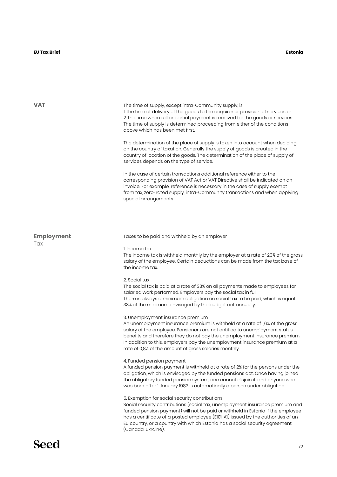#### **EU Tax Brief Estonia**

| <b>VAT</b>        | The time of supply, except intra-Community supply, is:<br>1. the time of delivery of the goods to the acquirer or provision of services or<br>2. the time when full or partial payment is received for the goods or services.<br>The time of supply is determined proceeding from either of the conditions<br>above which has been met first.<br>The determination of the place of supply is taken into account when deciding<br>on the country of taxation. Generally the supply of goods is created in the<br>country of location of the goods. The determination of the place of supply of<br>services depends on the type of service.<br>In the case of certain transactions additional reference either to the<br>corresponding provision of VAT Act or VAT Directive shall be indicated on an<br>invoice. For example, reference is necessary in the case of supply exempt<br>from tax, zero-rated supply, intra-Community transactions and when applying<br>special arrangements. |
|-------------------|------------------------------------------------------------------------------------------------------------------------------------------------------------------------------------------------------------------------------------------------------------------------------------------------------------------------------------------------------------------------------------------------------------------------------------------------------------------------------------------------------------------------------------------------------------------------------------------------------------------------------------------------------------------------------------------------------------------------------------------------------------------------------------------------------------------------------------------------------------------------------------------------------------------------------------------------------------------------------------------|
|                   |                                                                                                                                                                                                                                                                                                                                                                                                                                                                                                                                                                                                                                                                                                                                                                                                                                                                                                                                                                                          |
| <b>Employment</b> | Taxes to be paid and withheld by an employer                                                                                                                                                                                                                                                                                                                                                                                                                                                                                                                                                                                                                                                                                                                                                                                                                                                                                                                                             |
| Tax               | 1. Income tax<br>The income tax is withheld monthly by the employer at a rate of 20% of the gross<br>salary of the employee. Certain deductions can be made from the tax base of<br>the income tax.                                                                                                                                                                                                                                                                                                                                                                                                                                                                                                                                                                                                                                                                                                                                                                                      |
|                   | 2. Social tax<br>The social tax is paid at a rate of 33% on all payments made to employees for<br>salaried work performed. Employers pay the social tax in full.<br>There is always a minimum obligation on social tax to be paid, which is equal<br>33% of the minimum envisaged by the budget act annually.                                                                                                                                                                                                                                                                                                                                                                                                                                                                                                                                                                                                                                                                            |
|                   | 3. Unemployment insurance premium<br>An unemployment insurance premium is withheld at a rate of 1,6% of the gross<br>salary of the employee. Pensioners are not entitled to unemployment status<br>benefits and therefore they do not pay the unemployment insurance premium.<br>In addition to this, employers pay the unemployment insurance premium at a<br>rate of 0,8% of the amount of gross salaries monthly.                                                                                                                                                                                                                                                                                                                                                                                                                                                                                                                                                                     |
|                   | 4. Funded pension payment<br>A funded pension payment is withheld at a rate of 2% for the persons under the<br>obligation, which is envisaged by the funded pensions act. Once having joined<br>the obligatory funded pension system, one cannot disjoin it, and anyone who<br>was born after 1 January 1983 is automatically a person under obligation.                                                                                                                                                                                                                                                                                                                                                                                                                                                                                                                                                                                                                                 |
|                   | 5. Exemption for social security contributions<br>Social security contributions (social tax, unemployment insurance premium and<br>funded pension payment) will not be paid or withheld in Estonia if the employee<br>has a ceritificate of a posted employee (E101, A1) issued by the authorities of an<br>EU country, or a country with which Estonia has a social security agreement<br>(Canada, Ukraine).                                                                                                                                                                                                                                                                                                                                                                                                                                                                                                                                                                            |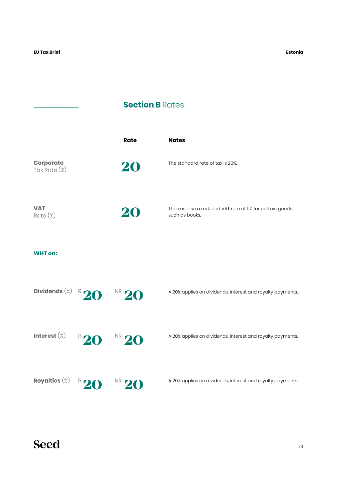÷.

## **Section B Rates**

|                                  |             | <b>Rate</b> | <b>Notes</b>                                                               |
|----------------------------------|-------------|-------------|----------------------------------------------------------------------------|
| <b>Corporate</b><br>Tax Rate (%) |             | 20          | The standard rate of tax is 20%.                                           |
| <b>VAT</b><br>$Rate (\%)$        |             | 20          | There is also a reduced VAT rate of 9% for certain goods<br>such as books. |
| <b>WHT on:</b>                   |             |             |                                                                            |
| Dividends $(\%)$ R 20            |             | $N R$ 20    | A 20% applies on dividends, interest and royalty payments.                 |
| Interest $(\%)$                  | $R$ 20      | $N R$ 20    | A 20% applies on dividends, interest and royalty payments.                 |
| Royalties $(\%)$                 | $R_{\perp}$ | NR.         | A 20% applies on dividends, interest and royalty payments.                 |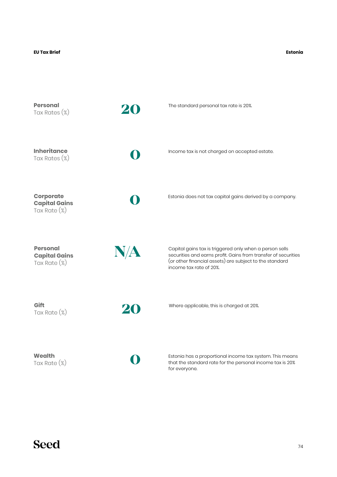#### **Estonia**

| <b>Personal</b><br>Tax Rates $(\%)$                        | 20  | The standard personal tax rate is 20%.                                                                                                                                                                          |
|------------------------------------------------------------|-----|-----------------------------------------------------------------------------------------------------------------------------------------------------------------------------------------------------------------|
| <b>Inheritance</b><br>Tax Rates $(\%)$                     |     | Income tax is not charged on accepted estate.                                                                                                                                                                   |
| <b>Corporate</b><br><b>Capital Gains</b><br>Tax Rate (%)   |     | Estonia does not tax capital gains derived by a company.                                                                                                                                                        |
| <b>Personal</b><br><b>Capital Gains</b><br>Tax Rate $(\%)$ | N/A | Capital gains tax is triggered only when a person sells<br>securities and earns profit. Gains from transfer of securities<br>(or other financial assets) are subject to the standard<br>income tax rate of 20%. |
| Gift<br>Tax Rate (%)                                       | 20  | Where applicable, this is charged at 20%.                                                                                                                                                                       |
| <b>Wealth</b>                                              |     | Estonia has a proportional income tax system. This means                                                                                                                                                        |

Tax Rate (%)

**0**

Estonia has a proportional income tax system. This means that the standard rate for the personal income tax is 20% for everyone.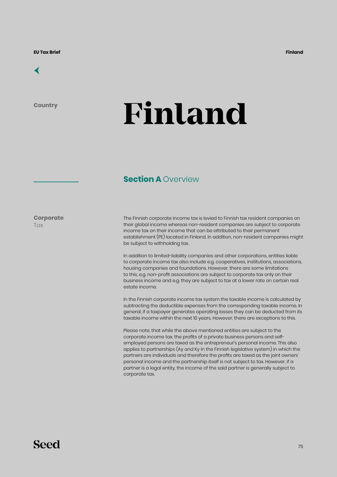

**Country**

# **Finland**

#### **Section A Overview**

**Corporate Tax** 

The Finnish corporate income tax is levied to Finnish tax resident companies on their global income whereas non-resident companies are subject to corporate income tax on their income that can be attributed to their permanent establishment (PE) located in Finland. In addition, non-resident companies might be subject to withholding tax.

In addition to limited-liability companies and other corporations, entities liable to corporate income tax also include e.g. cooperatives, institutions, associations, housing companies and foundations. However, there are some limitations to this, e.g. non-profit associations are subject to corporate tax only on their business income and e.g. they are subject to tax at a lower rate on certain real estate income.

In the Finnish corporate income tax system the taxable income is calculated by subtracting the deductible expenses from the corresponding taxable income. In general, if a taxpayer generates operating losses they can be deducted from its taxable income within the next 10 years. However, there are exceptions to this.

Please note, that while the above mentioned entities are subject to the corporate income tax, the profits of a private business persons and selfemployed persons are taxed as the entrepreneur's personal income. This also applies to partnerships (Ay and Ky in the Finnish legislative system) in which the partners are individuals and therefore the profits are taxed as the joint owners' personal income and the partnership itself is not subject to tax. However, if a partner is a legal entity, the income of the said partner is generally subject to corporate tax.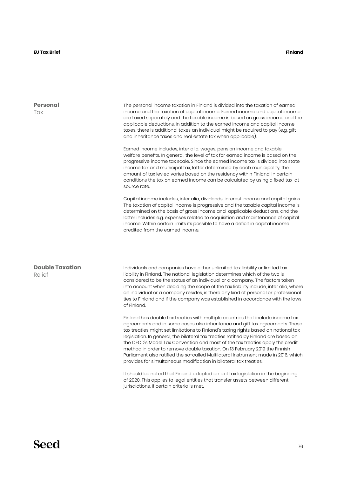#### **Finland**

| <b>Personal</b><br>Tax           | The personal income taxation in Finland is divided into the taxation of earned<br>income and the taxation of capital income. Earned income and capital income<br>are taxed separately and the taxable income is based on gross income and the<br>applicable deductions. In addition to the earned income and capital income<br>taxes, there is additional taxes an individual might be required to pay (e.g. gift<br>and inheritance taxes and real estate tax when applicable).                                                                                                                                                                                         |  |  |  |
|----------------------------------|--------------------------------------------------------------------------------------------------------------------------------------------------------------------------------------------------------------------------------------------------------------------------------------------------------------------------------------------------------------------------------------------------------------------------------------------------------------------------------------------------------------------------------------------------------------------------------------------------------------------------------------------------------------------------|--|--|--|
|                                  | Earned income includes, inter alia, wages, pension income and taxable<br>welfare benefits. In general, the level of tax for earned income is based on the<br>progressive income tax scale. Since the earned income tax is divided into state<br>income tax and municipal tax, latter determined by each municipality, the<br>amount of tax levied varies based on the residency within Finland. In certain<br>conditions the tax on earned income can be calculated by using a fixed tax-at-<br>source rate.                                                                                                                                                             |  |  |  |
|                                  | Capital income includes, inter alia, dividends, interest income and capital gains.<br>The taxation of capital income is progressive and the taxable capital income is<br>determined on the basis of gross income and applicable deductions, and the<br>latter includes e.g. expenses related to acquisition and maintenance of capital<br>income. Within certain limits its possible to have a deficit in capital income<br>credited from the earned income.                                                                                                                                                                                                             |  |  |  |
| <b>Double Taxation</b><br>Relief | Individuals and companies have either unlimited tax liability or limited tax<br>liability in Finland. The national legislation determines which of the two is<br>considered to be the status of an individual or a company. The factors taken<br>into account when deciding the scope of the tax liability include, inter alia, where<br>an individual or a company resides, is there any kind of personal or professional<br>ties to Finland and if the company was established in accordance with the laws<br>of Finland.                                                                                                                                              |  |  |  |
|                                  | Finland has double tax treaties with multiple countries that include income tax<br>agreements and in some cases also inheritance and gift tax agreements. These<br>tax treaties might set limitations to Finland's taxing rights based on national tax<br>legislation. In general, the bilateral tax treaties ratified by Finland are based on<br>the OECD's Model Tax Convention and most of the tax treaties apply the credit<br>method in order to remove double taxation. On 13 February 2019 the Finnish<br>Parliament also ratified the so-called Multilateral Instrument made in 2016, which<br>provides for simultaneous modification in bilateral tax treaties. |  |  |  |
|                                  | It should be noted that Finland adopted an exit tax legislation in the beginning<br>of 2020. This applies to legal entities that transfer assets between different                                                                                                                                                                                                                                                                                                                                                                                                                                                                                                       |  |  |  |

jurisdictions, if certain criteria is met.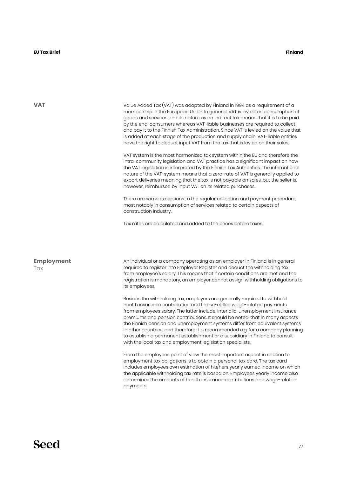#### **EU Tax Brief Finland**

| VAT                      | Value Added Tax (VAT) was adapted by Finland in 1994 as a requirement of a<br>membership in the European Union. In general, VAT is levied on consumption of<br>goods and services and its nature as an indirect tax means that it is to be paid<br>by the end-consumers whereas VAT-liable businesses are required to collect<br>and pay it to the Finnish Tax Administration. Since VAT is levied on the value that<br>is added at each stage of the production and supply chain, VAT-liable entities<br>have the right to deduct input VAT from the tax that is levied on their sales.<br>VAT system is the most harmonized tax system within the EU and therefore the |  |  |
|--------------------------|--------------------------------------------------------------------------------------------------------------------------------------------------------------------------------------------------------------------------------------------------------------------------------------------------------------------------------------------------------------------------------------------------------------------------------------------------------------------------------------------------------------------------------------------------------------------------------------------------------------------------------------------------------------------------|--|--|
|                          | intra-community legislation and VAT practice has a significant impact on how<br>the VAT legislation is interpreted by the Finnish Tax Authorities. The international<br>nature of the VAT-system means that a zero-rate of VAT is generally applied to<br>export deliveries meaning that the tax is not payable on sales, but the seller is,<br>however, reimbursed by input VAT on its related purchases.                                                                                                                                                                                                                                                               |  |  |
|                          | There are some exceptions to the regular collection and payment procedure,<br>most notably in consumption of services related to certain aspects of<br>construction industry.                                                                                                                                                                                                                                                                                                                                                                                                                                                                                            |  |  |
|                          | Tax rates are calculated and added to the prices before taxes.                                                                                                                                                                                                                                                                                                                                                                                                                                                                                                                                                                                                           |  |  |
| <b>Employment</b><br>Tax | An individual or a company operating as an employer in Finland is in general<br>required to register into Employer Register and deduct the withholding tax<br>from employee's salary. This means that if certain conditions are met and the<br>registration is mandatory, an employer cannot assign withholding obligations to<br>its employees.                                                                                                                                                                                                                                                                                                                         |  |  |
|                          | Besides the withholding tax, employers are generally required to withhold<br>health insurance contribution and the so-called wage-related payments<br>from employees salary. The latter include, inter alia, unemployment insurance<br>premiums and pension contributions. It should be noted, that in many aspects<br>the Finnish pension and unemployment systems differ from equivalent systems<br>in other countries, and therefore it is recommended e.g. for a company planning<br>to establish a permanent establishment or a subsidiary in Finland to consult<br>with the local tax and employment legislation specialists.                                      |  |  |
|                          | From the employees point of view the most important aspect in relation to<br>employment tax obligations is to obtain a personal tax card. The tax card<br>includes employees own estimation of his/hers yearly earned income on which                                                                                                                                                                                                                                                                                                                                                                                                                                    |  |  |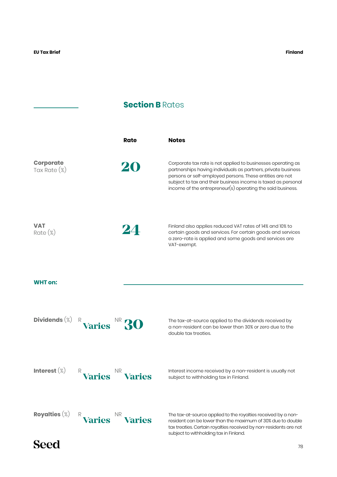### **Section B Rates**

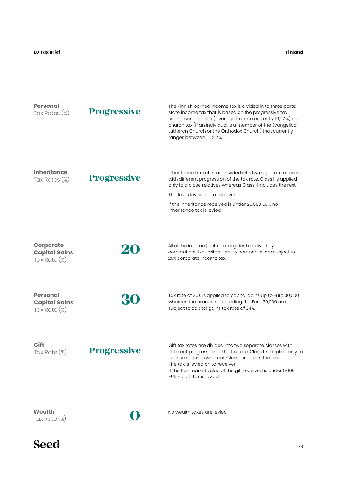| <b>Personal</b><br>Tax Rates (%)                           | <b>Progressive</b> | The Finnish earned income tax is divided in to three parts:<br>state income tax that is based on the progressive tax<br>scale, municipal tax (average tax rate currently 19,97 %) and<br>church tax (if an individual is a member of the Evangelical<br>Lutheran Church or the Orthodox Church) that currently<br>ranges between 1 - 2,2 %. |
|------------------------------------------------------------|--------------------|---------------------------------------------------------------------------------------------------------------------------------------------------------------------------------------------------------------------------------------------------------------------------------------------------------------------------------------------|
| <b>Inheritance</b><br>Tax Rates (%)                        | <b>Progressive</b> | Inheritance tax rates are divided into two separate classes<br>with different progression of the tax rate. Class I is applied<br>only to a close relatives whereas Class II includes the rest.<br>The tax is levied on to receiver.<br>If the inheritance received is under 20,000 EUR, no<br>inheritance tax is levied.                    |
| <b>Corporate</b><br><b>Capital Gains</b><br>Tax Rate (%)   | 20                 | All of the income (incl. capital gains) received by<br>corporations like limited-liability companies are subject to<br>20% corporate income tax.                                                                                                                                                                                            |
| <b>Personal</b><br><b>Capital Gains</b><br>Tax Rate $(\%)$ | 30                 | Tax rate of 30% is applied to capital gains up to Euro 30,000<br>whereas the amounts exceeding the Euro 30,000 are<br>subject to capital gains tax rate of 34%.                                                                                                                                                                             |
| Gift<br>Tax Rate (%)                                       | <b>Progressive</b> | Gift tax rates are divided into two separate classes with<br>different progression of the tax rate. Class I is applied only to<br>a close relatives whereas Class II includes the rest.<br>The tax is levied on to receiver.<br>If the fair-market value of the gift received is under 5,000<br>EUR no gift tax is levied.                  |
| Wealth<br>Tax Rate (%)                                     |                    | No wealth taxes are levied.                                                                                                                                                                                                                                                                                                                 |

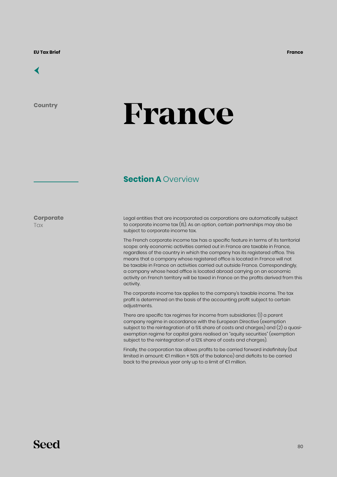

**Country**

# **France**

### **Section A Overview**

**Corporate Tax** 

Legal entities that are incorporated as corporations are automatically subject to corporate income tax (IS). As an option, certain partnerships may also be subject to corporate income tax.

The French corporate income tax has a specific feature in terms of its territorial scope: only economic activities carried out in France are taxable in France, regardless of the country in which the company has its registered office. This means that a company whose registered office is located in France will not be taxable in France on activities carried out outside France. Correspondingly, a company whose head office is located abroad carrying on an economic activity on French territory will be taxed in France on the profits derived from this activity.

The corporate income tax applies to the company's taxable income. The tax profit is determined on the basis of the accounting profit subject to certain adjustments.

There are specific tax regimes for income from subsidiaries: (1) a parent company regime in accordance with the European Directive (exemption subject to the reintegration of a 5% share of costs and charges) and (2) a quasiexemption regime for capital gains realised on "equity securities" (exemption subject to the reintegration of a 12% share of costs and charges).

Finally, the corporation tax allows profits to be carried forward indefinitely (but limited in amount: €1 million + 50% of the balance) and deficits to be carried back to the previous year only up to a limit of €1 million.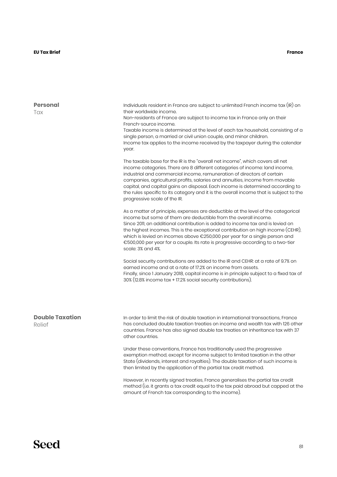| <b>Personal</b><br>Tax           | Individuals resident in France are subject to unlimited French income tax (IR) on<br>their worldwide income.<br>Non-residents of France are subject to income tax in France only on their<br>French-source income.<br>Taxable income is determined at the level of each tax household, consisting of a<br>single person, a married or civil union couple, and minor children.<br>Income tax applies to the income received by the taxpayer during the calendar<br>year.                                                            |  |  |
|----------------------------------|------------------------------------------------------------------------------------------------------------------------------------------------------------------------------------------------------------------------------------------------------------------------------------------------------------------------------------------------------------------------------------------------------------------------------------------------------------------------------------------------------------------------------------|--|--|
|                                  | The taxable base for the IR is the "overall net income", which covers all net<br>income categories. There are 8 different categories of income: land income,<br>industrial and commercial income, remuneration of directors of certain<br>companies, agricultural profits, salaries and annuities, income from movable<br>capital, and capital gains on disposal. Each income is determined according to<br>the rules specific to its category and it is the overall income that is subject to the<br>progressive scale of the IR. |  |  |
|                                  | As a matter of principle, expenses are deductible at the level of the categorical<br>income but some of them are deductible from the overall income.<br>Since 2011, an additional contribution is added to income tax and is levied on<br>the highest incomes. This is the exceptional contribution on high income (CEHR),<br>which is levied on incomes above €250,000 per year for a single person and<br>€500,000 per year for a couple. Its rate is progressive according to a two-tier<br>scale: 3% and 4%.                   |  |  |
|                                  | Social security contributions are added to the IR and CEHR: at a rate of 9.7% on<br>earned income and at a rate of 17.2% on income from assets.<br>Finally, since 1 January 2018, capital income is in principle subject to a fixed tax of<br>30% (12.8% income tax + 17.2% social security contributions).                                                                                                                                                                                                                        |  |  |
| <b>Double Taxation</b><br>Relief | In order to limit the risk of double taxation in international transactions, France<br>has concluded double taxation treaties on income and wealth tax with 126 other<br>countries. France has also signed double tax treaties on inheritance tax with 37<br>other countries.                                                                                                                                                                                                                                                      |  |  |
|                                  | Under these conventions, France has traditionally used the progressive<br>exemption method, except for income subject to limited taxation in the other<br>State (dividends, interest and royalties). The double taxation of such income is<br>then limited by the application of the partial tax credit method.                                                                                                                                                                                                                    |  |  |
|                                  | However, in recently signed treaties, France generalises the partial tax credit<br>method (i.e. it grants a tax credit equal to the tax paid abroad but capped at the<br>amount of French tax corresponding to the income).                                                                                                                                                                                                                                                                                                        |  |  |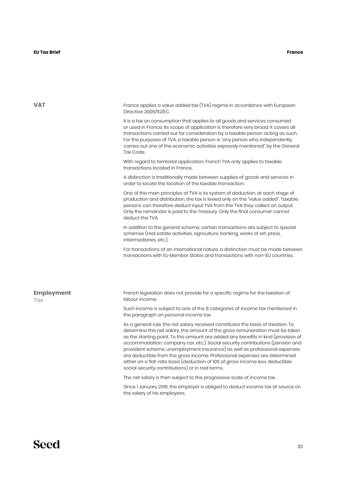#### **EU Tax Brief France**

| <b>VAT</b>               | France applies a value added tax (TVA) regime in accordance with European<br>Directive 2006/112/EC.                                                                                                                                                                                                                                                                                                                                                                                                                                                                                                                                       |
|--------------------------|-------------------------------------------------------------------------------------------------------------------------------------------------------------------------------------------------------------------------------------------------------------------------------------------------------------------------------------------------------------------------------------------------------------------------------------------------------------------------------------------------------------------------------------------------------------------------------------------------------------------------------------------|
|                          | It is a tax on consumption that applies to all goods and services consumed<br>or used in France. Its scope of application is therefore very broad: it covers all<br>transactions carried out for consideration by a taxable person acting as such.<br>For the purposes of TVA, a taxable person is "any person who independently<br>carries out one of the economic activities expressly mentioned" by the General<br>Tax Code.                                                                                                                                                                                                           |
|                          | With regard to territorial application, French TVA only applies to taxable<br>transactions located in France.                                                                                                                                                                                                                                                                                                                                                                                                                                                                                                                             |
|                          | A distinction is traditionally made between supplies of goods and services in<br>order to locate the location of the taxable transaction.                                                                                                                                                                                                                                                                                                                                                                                                                                                                                                 |
|                          | One of the main principles of TVA is its system of deduction: at each stage of<br>production and distribution, the tax is levied only on the "value added". Taxable<br>persons can therefore deduct input TVA from the TVA they collect on output.<br>Only the remainder is paid to the Treasury. Only the final consumer cannot<br>deduct the TVA.                                                                                                                                                                                                                                                                                       |
|                          | In addition to the general scheme, certain transactions are subject to special<br>schemes (real estate activities, agriculture, banking, works of art, press,<br>intermediaries, etc.).                                                                                                                                                                                                                                                                                                                                                                                                                                                   |
|                          | For transactions of an international nature, a distinction must be made between<br>transactions with EU Member States and transactions with non-EU countries.                                                                                                                                                                                                                                                                                                                                                                                                                                                                             |
|                          |                                                                                                                                                                                                                                                                                                                                                                                                                                                                                                                                                                                                                                           |
| <b>Employment</b><br>Tax | French legislation does not provide for a specific regime for the taxation of<br>labour income.                                                                                                                                                                                                                                                                                                                                                                                                                                                                                                                                           |
|                          | Such income is subject to one of the 8 categories of income tax mentioned in<br>the paragraph on personal income tax.                                                                                                                                                                                                                                                                                                                                                                                                                                                                                                                     |
|                          | As a general rule, the net salary received constitutes the basis of taxation. To<br>determine this net salary, the amount of the gross remuneration must be taken<br>as the starting point. To this amount are added any benefits in kind (provision of<br>accommodation, company car, etc.). Social security contributions (pension and<br>provident scheme, unemployment insurance) as well as professional expenses<br>are deductible from the gross income. Professional expenses are determined<br>either on a flat-rate basis (deduction of 10% of gross income less deductible<br>social security contributions) or in real terms. |
|                          | The net salary is then subject to the progressive scale of income tax.                                                                                                                                                                                                                                                                                                                                                                                                                                                                                                                                                                    |
|                          | Since I January 2019, the employer is obliged to deduct income tax at source on<br>the salary of his employees.                                                                                                                                                                                                                                                                                                                                                                                                                                                                                                                           |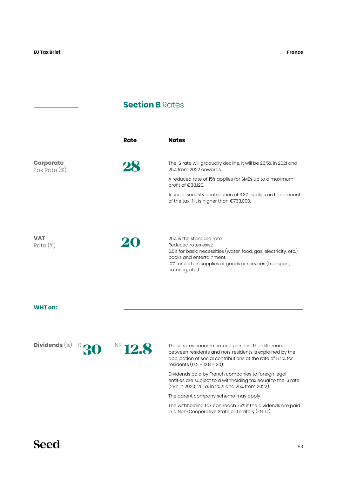### **Section B Rates**

|                                  | Rate | <b>Notes</b>                                                                                                                                                                                                                        |
|----------------------------------|------|-------------------------------------------------------------------------------------------------------------------------------------------------------------------------------------------------------------------------------------|
| <b>Corporate</b><br>Tax Rate (%) | 28   | The IS rate will gradually decline. It will be 26.5% in 2021 and<br>25% from 2022 onwards.<br>A reduced rate of 15% applies for SMEs up to a maximum<br>profit of €38,120.                                                          |
|                                  |      | A social security contribution of 3.3% applies on the amount<br>of the tax if it is higher than €763,000.                                                                                                                           |
| VAT<br>$Rate (\%)$               |      | 20% is the standard rate.<br>Reduced rates exist:<br>5.5% for basic necessities (water, food, gas, electricity, etc.),<br>books and entertainment.<br>10% for certain supplies of goods or services (transport,<br>catering, etc.). |

#### **WHT on:**

Dividends<sup>(%) R</sup>30



**30** These rates concern natural persons. The difference between residents and non-residents is explained by the application of social contributions at the rate of 17.2% for residents  $(17.2 + 12.8 = 30)$ .

Dividends paid by French companies to foreign legal entities are subject to a withholding tax equal to the IS rate (28% in 2020; 26.5% in 2021 and 25% from 2022).

The parent company scheme may apply

The withholding tax can reach 75% if the dividends are paid in a Non-Cooperative State or Territory (ENTC)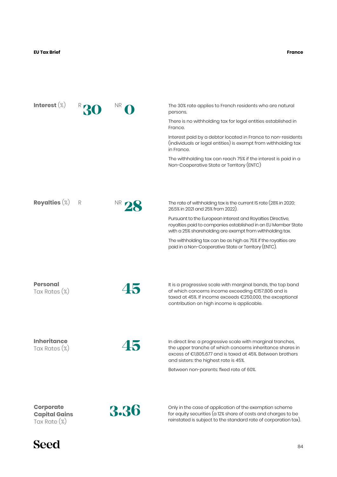| Interest $(\%)$                     |   | NR.             | The 30% rate applies to French residents who are natural<br>persons.                                                                                                                                                            |
|-------------------------------------|---|-----------------|---------------------------------------------------------------------------------------------------------------------------------------------------------------------------------------------------------------------------------|
|                                     |   |                 | There is no withholding tax for legal entities established in<br>France.                                                                                                                                                        |
|                                     |   |                 | Interest paid by a debtor located in France to non-residents<br>(individuals or legal entities) is exempt from withholding tax<br>in France.                                                                                    |
|                                     |   |                 | The withholding tax can reach 75% if the interest is paid in a<br>Non-Cooperative State or Territory (ENTC)                                                                                                                     |
|                                     |   |                 |                                                                                                                                                                                                                                 |
| Royalties $(\%)$                    | R | NR <sub>1</sub> | The rate of withholding tax is the current IS rate (28% in 2020;<br>26.5% in 2021 and 25% from 2022).                                                                                                                           |
|                                     |   |                 | Pursuant to the European Interest and Royalties Directive,<br>royalties paid to companies established in an EU Member State<br>with a 25% shareholding are exempt from withholding tax.                                         |
|                                     |   |                 | The withholding tax can be as high as 75% if the royalties are<br>paid in a Non-Cooperative State or Territory (ENTC).                                                                                                          |
|                                     |   |                 |                                                                                                                                                                                                                                 |
| <b>Personal</b><br>Tax Rates (%)    |   | 45              | It is a progressive scale with marginal bands, the top band<br>of which concerns income exceeding €157,806 and is<br>taxed at 45%. If income exceeds €250,000, the exceptional<br>contribution on high income is applicable.    |
|                                     |   |                 |                                                                                                                                                                                                                                 |
| <b>Inheritance</b><br>Tax Rates (%) |   |                 | In direct line: a progressive scale with marginal tranches,<br>the upper tranche of which concerns inheritance shares in<br>excess of €1,805,677 and is taxed at 45%. Between brothers<br>and sisters: the highest rate is 45%. |
|                                     |   |                 | Between non-parents: fixed rate of 60%.                                                                                                                                                                                         |
| <b>Corporate</b>                    |   |                 |                                                                                                                                                                                                                                 |
| <b>Capital Gains</b>                |   | 3.36            | Only in the case of application of the exemption scheme<br>for equity securities (a 12% share of costs and charges to be                                                                                                        |

Tax Rate (%)



reinstated is subject to the standard rate of corporation tax).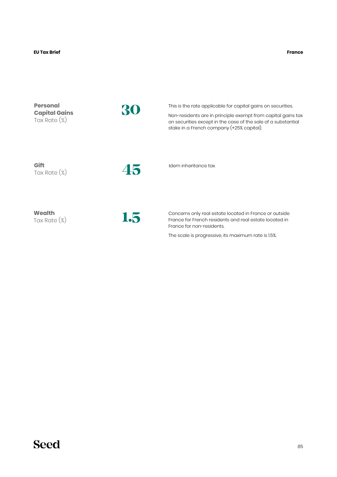**France**

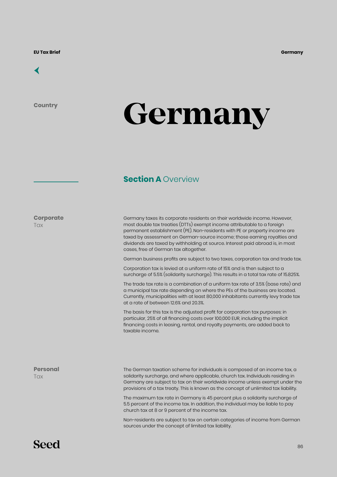

**Country**

# **Germany**

### **Section A Overview**

**Corporate Tax** 

Germany taxes its corporate residents on their worldwide income. However, most double tax treaties (DTTs) exempt income attributable to a foreign permanent establishment (PE). Non-residents with PE or property income are taxed by assessment on German-source income; those earning royalties and dividends are taxed by withholding at source. Interest paid abroad is, in most cases, free of German tax altogether.

German business profits are subject to two taxes, corporation tax and trade tax.

Corporation tax is levied at a uniform rate of 15% and is then subject to a surcharge of 5.5% (solidarity surcharge). This results in a total tax rate of 15.825%.

The trade tax rate is a combination of a uniform tax rate of 3.5% (base rate) and a municipal tax rate depending on where the PEs of the business are located. Currently, municipalities with at least 80,000 inhabitants currently levy trade tax at a rate of between 12.6% and 20.3%.

The basis for this tax is the adjusted profit for corporation tax purposes: in particular, 25% of all financing costs over 100,000 EUR, including the implicit financing costs in leasing, rental, and royalty payments, are added back to taxable income.

**Personal Tax** 

The German taxation scheme for individuals is composed of an income tax, a solidarity surcharge, and where applicable, church tax. Individuals residing in Germany are subject to tax on their worldwide income unless exempt under the provisions of a tax treaty. This is known as the concept of unlimited tax liability.

The maximum tax rate in Germany is 45 percent plus a solidarity surcharge of 5.5 percent of the income tax. In addition, the individual may be liable to pay church tax at 8 or 9 percent of the income tax.

Non-residents are subject to tax on certain categories of income from German sources under the concept of limited tax liability.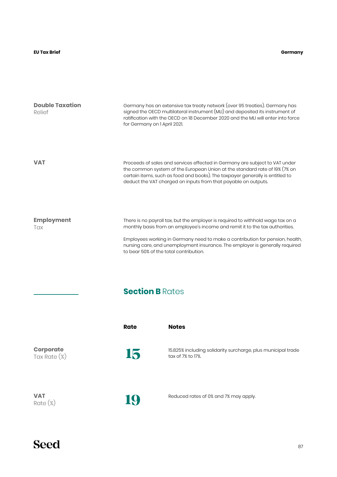#### **Germany**

| <b>Double Taxation</b><br>Relief    | Germany has an extensive tax treaty network (over 95 treaties). Germany has<br>signed the OECD multilateral instrument (MLI) and deposited its instrument of<br>ratification with the OECD on 18 December 2020 and the MLI will enter into force<br>for Germany on 1 April 2021.                                                                                           |                                                                                   |
|-------------------------------------|----------------------------------------------------------------------------------------------------------------------------------------------------------------------------------------------------------------------------------------------------------------------------------------------------------------------------------------------------------------------------|-----------------------------------------------------------------------------------|
| <b>VAT</b>                          | Proceeds of sales and services effected in Germany are subject to VAT under<br>the common system of the European Union at the standard rate of 19% (7% on<br>certain items, such as food and books). The taxpayer generally is entitled to<br>deduct the VAT charged on inputs from that payable on outputs.                                                               |                                                                                   |
| <b>Employment</b><br>Tax            | There is no payroll tax, but the employer is required to withhold wage tax on a<br>monthly basis from an employee's income and remit it to the tax authorities.<br>Employees working in Germany need to make a contribution for pension, health,<br>nursing care, and unemployment insurance. The employer is generally required<br>to bear 50% of the total contribution. |                                                                                   |
|                                     | <b>Section B Rates</b>                                                                                                                                                                                                                                                                                                                                                     |                                                                                   |
|                                     | Rate                                                                                                                                                                                                                                                                                                                                                                       | <b>Notes</b>                                                                      |
| <b>Corporate</b><br>Tax Rate $(\%)$ | 15                                                                                                                                                                                                                                                                                                                                                                         | 15.825% including solidarity surcharge, plus municipal trade<br>tax of 7% to 17%. |
| <b>VAT</b><br>$Rate (\%)$           | 19                                                                                                                                                                                                                                                                                                                                                                         | Reduced rates of 0% and 7% may apply.                                             |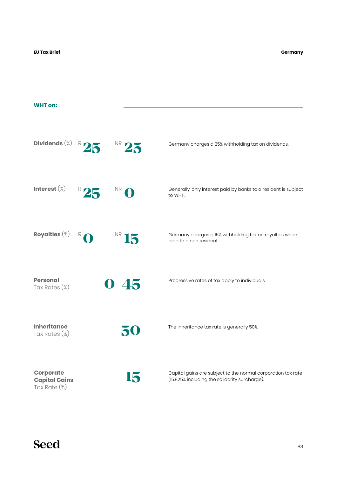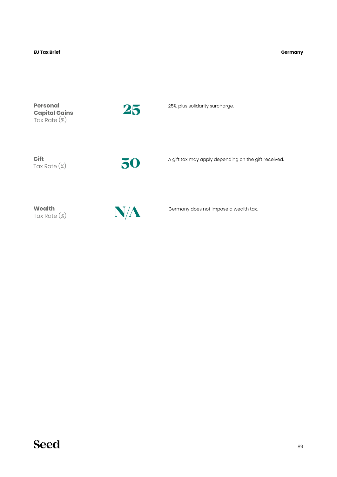#### **EU Tax Brief Germany**

**Personal Capital Gains** Tax Rate (%)



25%, plus solidarity surcharge. **25**

**Gift** Tax Rate (%)

**50**

A gift tax may apply depending on the gift received.

**Wealth** Tax Rate (%)



Germany does not impose a wealth tax.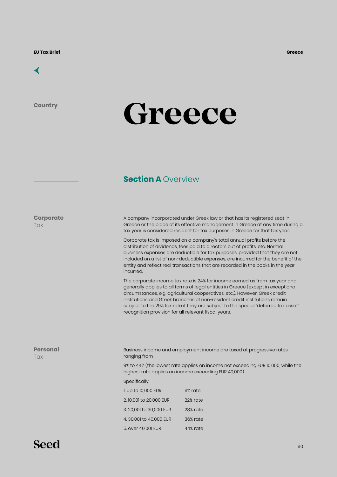

**Country**

**Corporate**

**Tax** 

# **Greece**

#### **Section A Overview**

| A company incorporated under Greek law or that has its registered seat in      |
|--------------------------------------------------------------------------------|
| Greece or the place of its effective management in Greece at any time during a |
| tax year is considered resident for tax purposes in Greece for that tax year.  |

Corporate tax is imposed on a company's total annual profits before the distribution of dividends, fees paid to directors out of profits, etc. Normal business expenses are deductible for tax purposes, provided that they are not included on a list of non-deductible expenses, are incurred for the benefit of the entity and reflect real transactions that are recorded in the books in the year incurred.

The corporate income tax rate is 24% for income earned as from tax year and generally applies to all forms of legal entities in Greece (except in exceptional circumstances, e.g. agricultural cooperatives, etc.). However, Greek credit institutions and Greek branches of non-resident credit institutions remain subject to the 29% tax rate if they are subject to the special "deferred tax asset" recognition provision for all relevant fiscal years.

| <b>Personal</b><br>Tax | ranging from            | Business income and employment income are taxed at progressive rates                                                                      |
|------------------------|-------------------------|-------------------------------------------------------------------------------------------------------------------------------------------|
|                        |                         | 9% to 44% (the lowest rate applies on income not exceeding EUR 10,000, while the<br>highest rate applies on income exceeding EUR 40,000). |
|                        | Specifically:           |                                                                                                                                           |
|                        | 1. Up to 10,000 EUR     | 9% rate                                                                                                                                   |
|                        | 2.10,001 to 20,000 EUR  | 22% rate                                                                                                                                  |
|                        | 3. 20,001 to 30,000 EUR | 28% rate                                                                                                                                  |
|                        | 4, 30,001 to 40,000 EUR | 36% rate                                                                                                                                  |
|                        | 5. over 40,001 EUR      | 44% rate                                                                                                                                  |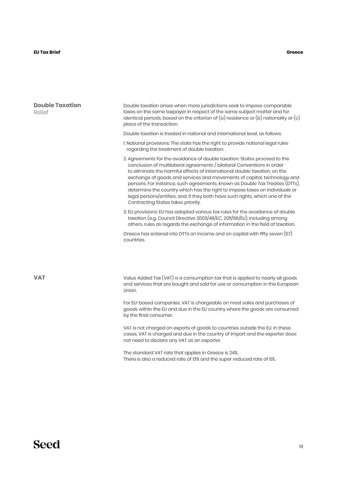| <b>Double Taxation</b><br>Relief | Double taxation arises when more jurisdictions seek to impose comparable<br>taxes on the same taxpayer in respect of the same subject matter and for<br>identical periods, based on the criterion of $(a)$ residence or $(b)$ nationality or $(c)$<br>place of the transaction.                                                                                                                                                                                                                                                                                                                  |  |  |  |
|----------------------------------|--------------------------------------------------------------------------------------------------------------------------------------------------------------------------------------------------------------------------------------------------------------------------------------------------------------------------------------------------------------------------------------------------------------------------------------------------------------------------------------------------------------------------------------------------------------------------------------------------|--|--|--|
|                                  | Double taxation is treated in national and international level, as follows:                                                                                                                                                                                                                                                                                                                                                                                                                                                                                                                      |  |  |  |
|                                  | 1. National provisions: The state has the right to provide national legal rules<br>regarding the treatment of double taxation.                                                                                                                                                                                                                                                                                                                                                                                                                                                                   |  |  |  |
|                                  | 2. Agreements for the avoidance of double taxation: States proceed to the<br>conclusion of multilateral agreements / bilateral Conventions in order<br>to eliminate the harmful effects of international double taxation, on the<br>exchange of goods and services and movements of capital, technology and<br>persons. For instance, such agreements, known as Double Tax Treaties (DTTs),<br>determine the country which has the right to impose taxes on individuals or<br>legal persons/entities, and, if they both have such rights, which one of the<br>Contracting States takes priority. |  |  |  |
|                                  | 3. EU provisions: EU has adopted various tax rules for the avoidance of double<br>taxation (e.g. Council Directive 2003/49/EC, 2011/96/EU), including among<br>others, rules as regards the exchange of information in the field of taxation.                                                                                                                                                                                                                                                                                                                                                    |  |  |  |
|                                  | Greece has entered into DTTs on income and on capital with fifty seven (57)<br>countries.                                                                                                                                                                                                                                                                                                                                                                                                                                                                                                        |  |  |  |
|                                  |                                                                                                                                                                                                                                                                                                                                                                                                                                                                                                                                                                                                  |  |  |  |
| <b>VAT</b>                       | Value Added Tax (VAT) is a consumption tax that is applied to nearly all goods<br>and services that are bought and sold for use or consumption in the European<br>Union.                                                                                                                                                                                                                                                                                                                                                                                                                         |  |  |  |
|                                  | For EU-based companies, VAT is chargeable on most sales and purchases of<br>goods within the EU and due in the EU country where the goods are consumed<br>by the final consumer.                                                                                                                                                                                                                                                                                                                                                                                                                 |  |  |  |
|                                  | VAT is not charged on exports of goods to countries outside the EU. In these<br>cases, VAT is charged and due in the country of import and the exporter does<br>not need to declare any VAT as an exporter.                                                                                                                                                                                                                                                                                                                                                                                      |  |  |  |
|                                  | The standard VAT rate that applies in Greece is 24%.<br>There is also a reduced rate of 13% and the super reduced rate of 6%.                                                                                                                                                                                                                                                                                                                                                                                                                                                                    |  |  |  |
|                                  |                                                                                                                                                                                                                                                                                                                                                                                                                                                                                                                                                                                                  |  |  |  |
|                                  |                                                                                                                                                                                                                                                                                                                                                                                                                                                                                                                                                                                                  |  |  |  |
|                                  |                                                                                                                                                                                                                                                                                                                                                                                                                                                                                                                                                                                                  |  |  |  |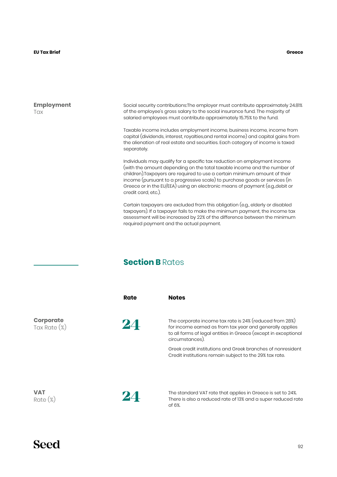**Greece**

#### **Employment Tax**

Social security contributions:The employer must contribute approximately 24.81% of the employee's gross salary to the social insurance fund. The majority of salaried employees must contribute approximately 15.75% to the fund.

Taxable income includes employment income, business income, income from capital (dividends, interest, royalties,and rental income) and capital gains from the alienation of real estate and securities. Each category of income is taxed separately.

Individuals may qualify for a specific tax reduction on employment income (with the amount depending on the total taxable income and the number of children).Taxpayers are required to use a certain minimum amount of their income (pursuant to a progressive scale) to purchase goods or services (in Greece or in the EU/EEA) using an electronic means of payment (e.g.,debit or credit card, etc.).

Certain taxpayers are excluded from this obligation (e.g., elderly or disabled taxpayers). If a taxpayer fails to make the minimum payment, the income tax assessment will be increased by 22% of the difference between the minimum required payment and the actual payment.

### **Section B** Rates

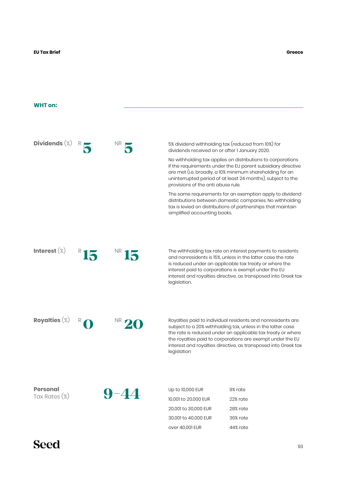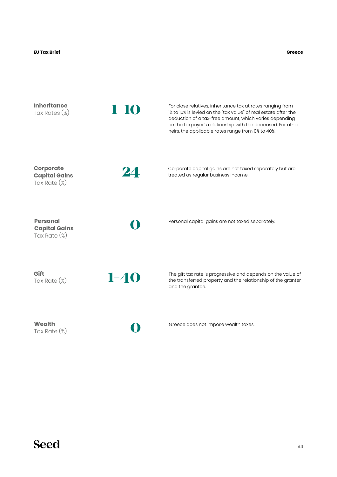**Inheritance** Tax Rates (%) For close relatives, inheritance tax at rates ranging from 1% to 10% is levied on the "tax value" of real estate after the deduction of a tax-free amount, which varies depending on the taxpayer's relationship with the deceased. For other heirs, the applicable rates range from 0% to 40%. **1-10 Personal Capital Gains** Tax Rate (%) Personal capital gains are not taxed separately. **0 Gift** Tax Rate (%) **Wealth** Tax Rate (%) The gift tax rate is progressive and depends on the value of the transferred property and the relationship of the granter and the grantee. Greece does not impose wealth taxes. **1-40 0 Corporate Capital Gains** Tax Rate (%) **24** Corporate capital gains are not taxed separately but are treated as regular business income.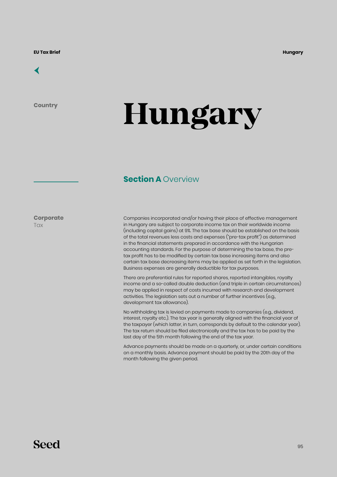

**Country**

# **Hungary**

#### **Section A Overview**

**Corporate Tax** 

Companies incorporated and/or having their place of effective management in Hungary are subject to corporate income tax on their worldwide income (including capital gains) at 9%. The tax base should be established on the basis of the total revenues less costs and expenses ("pre-tax profit") as determined in the financial statements prepared in accordance with the Hungarian accounting standards. For the purpose of determining the tax base, the pretax profit has to be modified by certain tax base increasing items and also certain tax base decreasing items may be applied as set forth in the legislation. Business expenses are generally deductible for tax purposes.

There are preferential rules for reported shares, reported intangibles, royalty income and a so-called double deduction (and triple in certain circumstances) may be applied in respect of costs incurred with research and development activities. The legislation sets out a number of further incentives (e.g., development tax allowance).

No withholding tax is levied on payments made to companies (e.g., dividend, interest, royalty etc.). The tax year is generally aligned with the financial year of the taxpayer (which latter, in turn, corresponds by default to the calendar year). The tax return should be filed electronically and the tax has to be paid by the last day of the 5th month following the end of the tax year.

Advance payments should be made on a quarterly, or, under certain conditions on a monthly basis. Advance payment should be paid by the 20th day of the month following the given period.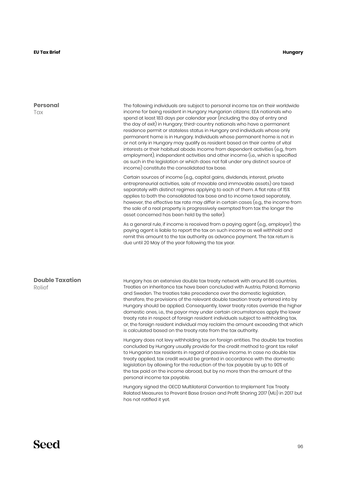**Personal Tax** 

#### **Hungary**

#### **Double Taxation** Relief income for being resident in Hungary: Hungarian citizens; EEA nationals who spend at least 183 days per calendar year (including the day of entry and the day of exit) in Hungary; third-country nationals who have a permanent residence permit or stateless status in Hungary and individuals whose only permanent home is in Hungary. Individuals whose permanent home is not in or not only in Hungary may qualify as resident based on their centre of vital interests or their habitual abode. Income from dependent activities (e.g., from employment), independent activities and other income (i.e., which is specified as such in the legislation or which does not fall under any distinct source of income) constitute the consolidated tax base. Certain sources of income (e.g., capital gains, dividends, interest, private entrepreneurial activities, sale of movable and immovable assets) are taxed separately with distinct regimes applying to each of them. A flat rate of 15% applies to both the consolidated tax base and to income taxed separately, however, the effective tax rate may differ in certain cases (e.g., the income from the sale of a real property is progressively exempted from tax the longer the asset concerned has been held by the seller). As a general rule, if income is received from a paying agent (e.g., employer), the paying agent is liable to report the tax on such income as well withhold and remit this amount to the tax authority as advance payment. The tax return is due until 20 May of the year following the tax year. Hungary has an extensive double tax treaty network with around 86 countries. Treaties on inheritance tax have been concluded with Austria, Poland, Romania and Sweden. The treaties take precedence over the domestic legislation, therefore, the provisions of the relevant double taxation treaty entered into by Hungary should be applied. Consequently, lower treaty rates override the higher domestic ones, i.e., the payor may under certain circumstances apply the lower treaty rate in respect of foreign resident individuals subject to withholding tax, or, the foreign resident individual may reclaim the amount exceeding that which is calculated based on the treaty rate from the tax authority. Hungary does not levy withholding tax on foreign entities. The double tax treaties concluded by Hungary usually provide for the credit method to grant tax relief to Hungarian tax residents in regard of passive income. In case no double tax treaty applied, tax credit would be granted in accordance with the domestic legislation by allowing for the reduction of the tax payable by up to 90% of the tax paid on the income abroad, but by no more than the amount of the personal income tax payable.

Hungary signed the OECD Multilateral Convention to Implement Tax Treaty Related Measures to Prevent Base Erosion and Profit Sharing 2017 (MLI) in 2017 but has not ratified it yet.

The following individuals are subject to personal income tax on their worldwide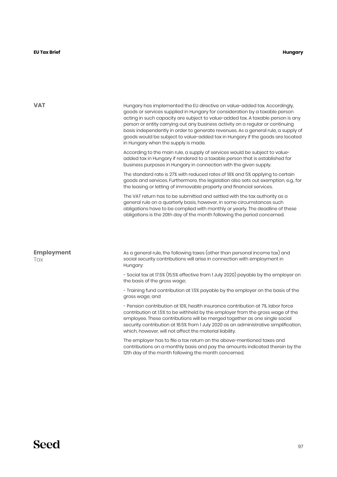| VAT                      | Hungary has implemented the EU directive on value-added tax. Accordingly,<br>goods or services supplied in Hungary for consideration by a taxable person<br>acting in such capacity are subject to value-added tax. A taxable person is any<br>person or entity carrying out any business activity on a regular or continuing<br>basis independently in order to generate revenues. As a general rule, a supply of<br>goods would be subject to value-added tax in Hungary if the goods are located<br>in Hungary when the supply is made. |
|--------------------------|--------------------------------------------------------------------------------------------------------------------------------------------------------------------------------------------------------------------------------------------------------------------------------------------------------------------------------------------------------------------------------------------------------------------------------------------------------------------------------------------------------------------------------------------|
|                          | According to the main rule, a supply of services would be subject to value-<br>added tax in Hungary if rendered to a taxable person that is established for<br>business purposes in Hungary in connection with the given supply.                                                                                                                                                                                                                                                                                                           |
|                          | The standard rate is 27% with reduced rates of 18% and 5% applying to certain<br>goods and services. Furthermore, the legislation also sets out exemption, e.g., for<br>the leasing or letting of immovable property and financial services.                                                                                                                                                                                                                                                                                               |
|                          | The VAT return has to be submitted and settled with the tax authority as a<br>general rule on a quarterly basis, however, in some circumstances such<br>obligations have to be complied with monthly or yearly. The deadline of these<br>obligations is the 20th day of the month following the period concerned.                                                                                                                                                                                                                          |
|                          |                                                                                                                                                                                                                                                                                                                                                                                                                                                                                                                                            |
| <b>Employment</b><br>Tax | As a general rule, the following taxes (other than personal income tax) and<br>social security contributions will arise in connection with employment in<br>Hungary:                                                                                                                                                                                                                                                                                                                                                                       |
|                          | - Social tax at 17.5% (15.5% effective from 1 July 2020) payable by the employer on<br>the basis of the gross wage;                                                                                                                                                                                                                                                                                                                                                                                                                        |
|                          | - Training fund contribution at 1.5% payable by the employer on the basis of the<br>gross wage; and                                                                                                                                                                                                                                                                                                                                                                                                                                        |
|                          | - Pension contribution at 10%, health insurance contribution at 7%, labor force<br>contribution at 1.5% to be withheld by the employer from the gross wage of the<br>employee. These contributions will be merged together as one single social<br>security contribution at 18.5% from 1 July 2020 as an administrative simplification,<br>which, however, will not affect the material liability.                                                                                                                                         |
|                          | The employer has to file a tax return on the above-mentioned taxes and<br>contributions on a monthly basis and pay the amounts indicated therein by the<br>12th day of the month following the month concerned.                                                                                                                                                                                                                                                                                                                            |
|                          |                                                                                                                                                                                                                                                                                                                                                                                                                                                                                                                                            |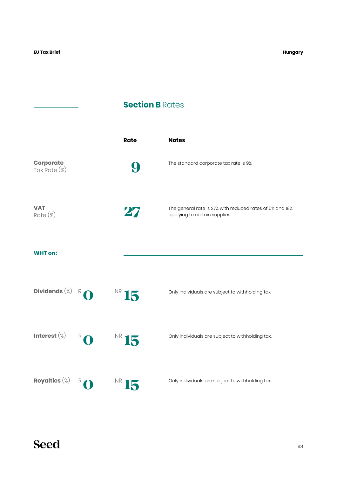## **Section B Rates**

|                           |   | <b>Rate</b> | <b>Notes</b>                                                                              |
|---------------------------|---|-------------|-------------------------------------------------------------------------------------------|
| Corporate<br>Tax Rate (%) |   | 9           | The standard corporate tax rate is 9%.                                                    |
| <b>VAT</b><br>Rate (%)    |   | 27          | The general rate is 27% with reduced rates of 5% and 18%<br>applying to certain supplies. |
| <b>WHT on:</b>            |   |             |                                                                                           |
| Dividends $(\%)$          | R | NR 15       | Only individuals are subject to withholding tax.                                          |
| Interest $(\%)$           | R | NR 15       | Only individuals are subject to withholding tax.                                          |
| Royalties $(\%)$          | R | <b>NR</b>   | Only individuals are subject to withholding tax.                                          |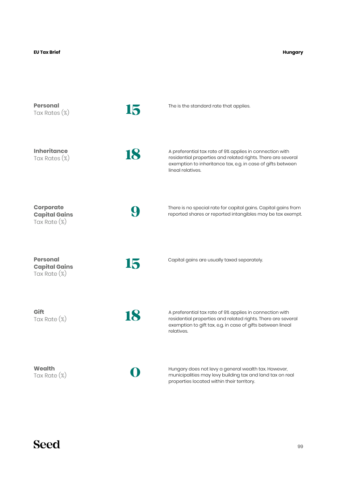#### **Hungary**

| <b>Personal</b><br>Tax Rates (%)                            | 15 | The is the standard rate that applies.                                                                                                                                                                       |
|-------------------------------------------------------------|----|--------------------------------------------------------------------------------------------------------------------------------------------------------------------------------------------------------------|
| <b>Inheritance</b><br>Tax Rates $(\%)$                      | 18 | A preferential tax rate of 9% applies in connection with<br>residential properties and related rights. There are several<br>exemption to inheritance tax, e.g. in case of gifts between<br>lineal relatives. |
| <b>Corporate</b><br><b>Capital Gains</b><br>Tax Rate $(\%)$ |    | There is no special rate for capital gains. Capital gains from<br>reported shares or reported intangibles may be tax exempt.                                                                                 |
| <b>Personal</b><br><b>Capital Gains</b><br>Tax Rate $(\%)$  | 15 | Capital gains are usually taxed separately.                                                                                                                                                                  |
| Gift<br>Tax Rate $(\%)$                                     | 18 | A preferential tax rate of 9% applies in connection with<br>residential properties and related rights. There are several<br>exemption to gift tax, e.g. in case of gifts between lineal<br>relatives.        |
| <b>Wealth</b><br>Tax Rate $(\%)$                            |    | Hungary does not levy a general wealth tax. However,<br>municipalities may levy building tax and land tax on real<br>properties located within their territory.                                              |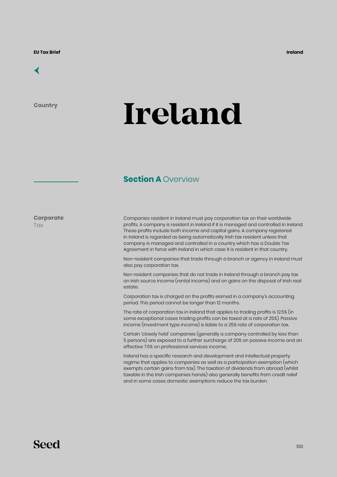### [←](#page-6-0)

**Country**

# **Ireland**

#### **Section A Overview**

**Corporate Tax** 

Companies resident in Ireland must pay corporation tax on their worldwide profits. A company is resident in Ireland if it is managed and controlled in Ireland. These profits include both income and capital gains. A company registered in Ireland is regarded as being automatically Irish tax resident unless that company is managed and controlled in a country which has a Double Tax Agreement in force with Ireland in which case it is resident in that country.

Non-resident companies that trade through a branch or agency in Ireland must also pay corporation tax.

Non resident companies that do not trade in Ireland through a branch pay tax on Irish source income (rental income) and on gains on the disposal of Irish real estate.

Corporation tax is charged on the profits earned in a company's accounting period. This period cannot be longer than 12 months.

The rate of corporation tax in Ireland that applies to trading profits is 12.5% (in some exceptional cases trading profits can be taxed at a rate of 25%). Passive income (investment type income) is liable to a 25% rate of corporation tax.

Certain 'closely held' companies (generally a company controlled by less than 5 persons) are exposed to a further surcharge of 20% on passive income and an effective 7.5% on professional services income.

Ireland has a specific research and development and intellectual property regime that applies to companies as well as a participation exemption (which exempts certain gains from tax). The taxation of dividends from abroad (whilst taxable in the Irish companies hands) also generally benefits from credit relief and in some cases domestic exemptions reduce the tax burden.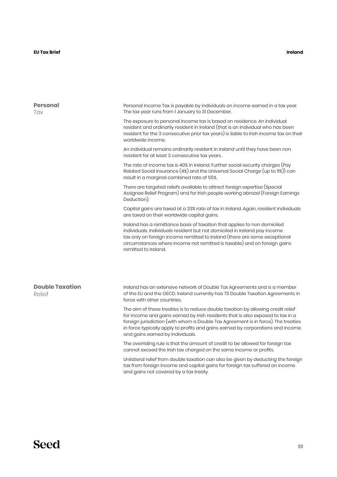#### **Ireland**

| Personal<br>Tax                  | Personal Income Tax is payable by individuals on income earned in a tax year.<br>The tax year runs from I January to 31 December.                                                                                                                                                                                                                                               |  |  |  |
|----------------------------------|---------------------------------------------------------------------------------------------------------------------------------------------------------------------------------------------------------------------------------------------------------------------------------------------------------------------------------------------------------------------------------|--|--|--|
|                                  | The exposure to personal income tax is based on residence. An individual<br>resident and ordinarily resident in Ireland (that is an individual who has been<br>resident for the 3 consecutive prior tax years) is liable to Irish income tax on their<br>worldwide income.                                                                                                      |  |  |  |
|                                  | An individual remains ordinarily resident in Ireland until they have been non<br>resident for at least 3 consecutive tax years.                                                                                                                                                                                                                                                 |  |  |  |
|                                  | The rate of income tax is 40% in Ireland. Further social security charges (Pay<br>Related Social Insurance (4%) and the Universal Social Charge (up to 11%)) can<br>result in a marginal combined rate of 55%.                                                                                                                                                                  |  |  |  |
|                                  | There are targeted reliefs available to attract foreign expertise (Special<br>Assignee Relief Program) and for Irish people working abroad (Foreign Earnings<br>Deduction).                                                                                                                                                                                                     |  |  |  |
|                                  | Capital gains are taxed at a 33% rate of tax in Ireland. Again, resident individuals<br>are taxed on their worldwide capital gains.                                                                                                                                                                                                                                             |  |  |  |
|                                  | Ireland has a remittance basis of taxation that applies to non domiciled<br>individuals. Individuals resident but not domiciled in Ireland pay income<br>tax only on foreign income remitted to Ireland (there are some exceptional<br>circumstances where income not remitted is taxable) and on foreign gains<br>remitted to Ireland.                                         |  |  |  |
|                                  |                                                                                                                                                                                                                                                                                                                                                                                 |  |  |  |
| <b>Double Taxation</b><br>Relief | Ireland has an extensive network of Double Tax Agreements and is a member<br>of the EU and the OECD. Ireland currently has 73 Double Taxation Agreements in<br>force with other countries.                                                                                                                                                                                      |  |  |  |
|                                  | The aim of these treaties is to reduce double taxation by allowing credit relief<br>for income and gains earned by Irish residents that is also exposed to tax in a<br>foreign jurisdiction (with whom a Double Tax Agreement is in force). The treaties<br>in force typically apply to profits and gains earned by corporations and income<br>and gains earned by individuals. |  |  |  |
|                                  | The overriding rule is that the amount of credit to be allowed for foreign tax<br>cannot exceed the Irish tax charged on the same income or profits.                                                                                                                                                                                                                            |  |  |  |
|                                  | Unilateral relief from double taxation can also be given by deducting the foreign<br>tax from foreign income and capital gains for foreign tax suffered on income<br>and gains not covered by a tax treaty.                                                                                                                                                                     |  |  |  |
|                                  |                                                                                                                                                                                                                                                                                                                                                                                 |  |  |  |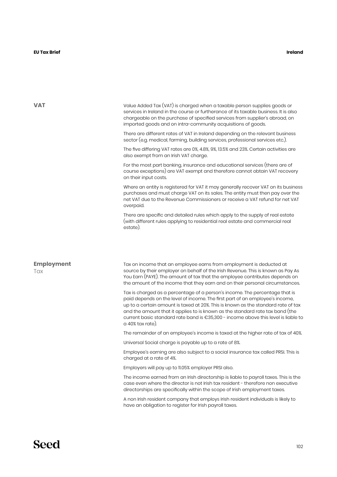| VAT               | Value Added Tax (VAT) is charged when a taxable person supplies goods or<br>services in Ireland in the course or furtherance of its taxable business. It is also<br>chargeable on the purchase of specified services from supplier's abroad, on<br>imported goods and on intra-community acquisitions of goods.                                                                                                                             |  |  |
|-------------------|---------------------------------------------------------------------------------------------------------------------------------------------------------------------------------------------------------------------------------------------------------------------------------------------------------------------------------------------------------------------------------------------------------------------------------------------|--|--|
|                   | There are different rates of VAT in Ireland depending on the relevant business<br>sector (e.g. medical, farming, building services, professional services etc.).                                                                                                                                                                                                                                                                            |  |  |
|                   | The five differing VAT rates are 0%, 4.8%, 9%, 13.5% and 23%. Certain activities are<br>also exempt from an Irish VAT charge.                                                                                                                                                                                                                                                                                                               |  |  |
|                   | For the most part banking, insurance and educational services (there are of<br>course exceptions) are VAT exempt and therefore cannot obtain VAT recovery<br>on their input costs.                                                                                                                                                                                                                                                          |  |  |
|                   | Where an entity is registered for VAT it may generally recover VAT on its business<br>purchases and must charge VAT on its sales. The entity must then pay over the<br>net VAT due to the Revenue Commissioners or receive a VAT refund for net VAT<br>overpaid.                                                                                                                                                                            |  |  |
|                   | There are specific and detailed rules which apply to the supply of real estate<br>(with different rules applying to residential real estate and commercial real<br>estate).                                                                                                                                                                                                                                                                 |  |  |
| <b>Employment</b> | Tax on income that an employee earns from employment is deducted at                                                                                                                                                                                                                                                                                                                                                                         |  |  |
| Tax               | source by their employer on behalf of the Irish Revenue. This is known as Pay As<br>You Earn (PAYE). The amount of tax that the employee contributes depends on<br>the amount of the income that they earn and on their personal circumstances.                                                                                                                                                                                             |  |  |
|                   | Tax is charged as a percentage of a person's income. The percentage that is<br>paid depends on the level of income. The first part of an employee's income,<br>up to a certain amount is taxed at 20%. This is known as the standard rate of tax<br>and the amount that it applies to is known as the standard rate tax band (the<br>current basic standard rate band is €35,300 - income above this level is liable to<br>a 40% tax rate). |  |  |
|                   | The remainder of an employee's income is taxed at the higher rate of tax of 40%.                                                                                                                                                                                                                                                                                                                                                            |  |  |
|                   | Universal Social charge is payable up to a rate of 8%.                                                                                                                                                                                                                                                                                                                                                                                      |  |  |
|                   | Employee's earning are also subject to a social insurance tax called PRSI. This is<br>charged at a rate of 4%.                                                                                                                                                                                                                                                                                                                              |  |  |
|                   | Employers will pay up to 11.05% employer PRSI also.                                                                                                                                                                                                                                                                                                                                                                                         |  |  |
|                   | The income earned from an Irish directorship is liable to payroll taxes. This is the<br>case even where the director is not Irish tax resident - therefore non executive<br>directorships are specifically within the scope of Irish employment taxes.                                                                                                                                                                                      |  |  |
|                   | A non Irish resident company that employs Irish resident individuals is likely to<br>have an obligation to register for Irish payroll taxes.                                                                                                                                                                                                                                                                                                |  |  |
|                   |                                                                                                                                                                                                                                                                                                                                                                                                                                             |  |  |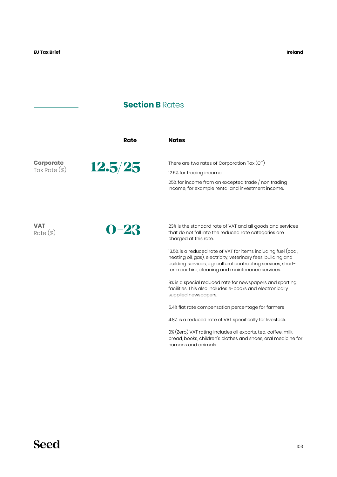### **Section B Rates**

|                  | Rate     | <b>Notes</b>                                                                                                                    |
|------------------|----------|---------------------------------------------------------------------------------------------------------------------------------|
| <b>Corporate</b> | 12.5/25  | There are two rates of Corporation Tax $(CT)$                                                                                   |
| Tax Rate $(\%)$  |          | 12.5% for trading income.                                                                                                       |
|                  |          | 25% for income from an excepted trade / non trading<br>income, for example rental and investment income.                        |
| <b>VAT</b>       |          | 23% is the standard rate of VAT and all goods and services                                                                      |
| $Rate (\%)$      | $0 - 23$ | that do not fall into the reduced rate categories are<br>charged at this rate.                                                  |
|                  |          | 13.5% is a reduced rate of VAT for items including fuel (coal,<br>heating oil, gas), electricity, veterinary fees, building and |

9% is a special reduced rate for newspapers and sporting facilities. This also includes e-books and electronically supplied newspapers.

building services, agricultural contracting services, shortterm car hire, cleaning and maintenance services.

5.4% flat rate compensation percentage for farmers

4.8% is a reduced rate of VAT specifically for livestock.

0% (Zero) VAT rating includes all exports, tea, coffee, milk, bread, books, children's clothes and shoes, oral medicine for humans and animals.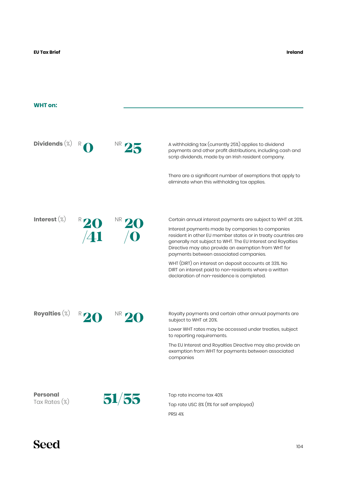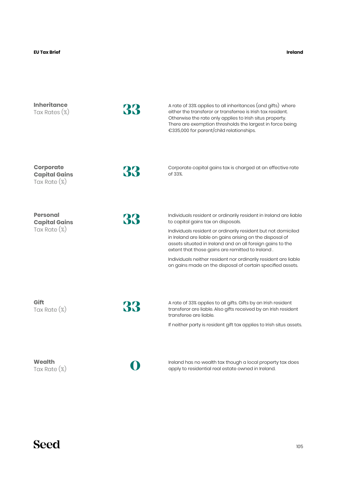| <b>Inheritance</b><br>Tax Rates $(\%)$                      | 33 | A rate of 33% applies to all inheritances (and gifts) where<br>either the transferor or transferree is Irish tax resident.<br>Otherwise the rate only applies to Irish situs property.<br>There are exemption thresholds the largest in force being<br>€335,000 for parent/child relationships.                                                                                                                                                                                          |
|-------------------------------------------------------------|----|------------------------------------------------------------------------------------------------------------------------------------------------------------------------------------------------------------------------------------------------------------------------------------------------------------------------------------------------------------------------------------------------------------------------------------------------------------------------------------------|
| <b>Corporate</b><br><b>Capital Gains</b><br>Tax Rate $(\%)$ | 33 | Corporate capital gains tax is charged at an effective rate<br>of 33%.                                                                                                                                                                                                                                                                                                                                                                                                                   |
| <b>Personal</b><br><b>Capital Gains</b><br>Tax Rate $(\%)$  | 33 | Individuals resident or ordinarily resident in Ireland are liable<br>to capital gains tax on disposals.<br>Individuals resident or ordinarily resident but not domiciled<br>in Ireland are liable on gains arising on the disposal of<br>assets situated in Ireland and on all foreign gains to the<br>extent that those gains are remitted to Ireland.<br>Individuals neither resident nor ordinarily resident are liable<br>on gains made on the disposal of certain specified assets. |
| Gift<br>Tax Rate $(\%)$                                     | 33 | A rate of 33% applies to all gifts. Gifts by an Irish resident<br>transferor are liable. Also gifts received by an Irish resident<br>transferee are liable.<br>If neither party is resident gift tax applies to Irish situs assets.                                                                                                                                                                                                                                                      |
| Wealth<br>Tax Rate $(\%)$                                   |    | Ireland has no wealth tax though a local property tax does<br>apply to residential real estate owned in Ireland.                                                                                                                                                                                                                                                                                                                                                                         |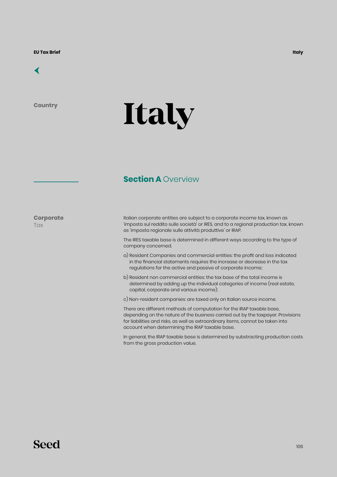**Country**

# **Italy**

### **Section A Overview**

**Corporate Tax** 

Italian corporate entities are subject to a corporate income tax, known as 'imposta sul reddito sulle società' or IRES, and to a regional production tax, known as 'imposta regionale sulle attività produttive' or IRAP.

The IRES taxable base is determined in different ways according to the type of company concerned.

- a) Resident Companies and commercial entities: the profit and loss indicated in the financial statements requires the increase or decrease in the tax regulations for the active and passive of corporate income;
- b) Resident non commercial entities: the tax base of the total income is determined by adding up the individual categories of income (real estate, capital, corporate and various income);
- c) Non-resident companies: are taxed only on Italian source income.

There are different methods of computation for the IRAP taxable base, depending on the nature of the business carried out by the taxpayer. Provisions for liabilities and risks, as well as extraordinary items, cannot be taken into account when determining the IRAP taxable base.

In general, the IRAP taxable base is determined by substracting production costs from the gross production value.

### **Seed**

**Italy**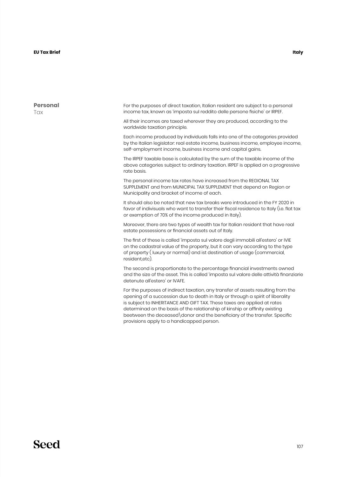**T**ax

**Personal** For the purposes of direct taxation, Italian resident are subject to a personal income tax, known as 'imposta sul reddito delle persone fisiche' or IRPEF. All their incomes are taxed wherever they are produced, according to the worldwide taxation principle. Each income produced by individuals falls into one of the categories provided by the Italian legislator: real estate income, business income, employee income, self-employment income, business income and capital gains. The IRPEF taxable base is calculated by the sum of the taxable income of the above categories subject to ordinary taxation. IRPEF is applied on a progressive rate basis. The personal income tax rates have increased from the REGIONAL TAX SUPPLEMENT and from MUNICIPAL TAX SUPPLEMENT that depend on Region or Municipality and bracket of income of each. It should also be noted that new tax breaks were introduced in the FY 2020 in

favor of indivisuals who want to transfer their fiscal residence to Italy (i.e. flat tax or exemption of 70% of the income produced in Italy).

Moreover, there are two types of wealth tax for Italian resident that have real estate possessions or financial assets out of Italy.

The first of these is called 'imposta sul valore degli immobili all'estero' or IVIE on the cadastral value of the property, but it can vary according to the type of property ( luxury or normal) and ist destination of usage (commercial, resident etc)

The second is proportionate to the percentage financial investments owned and the size of the asset. This is called 'imposta sul valore delle attività finanziarie detenute all'estero' or IVAFE.

For the purposes of indirect taxation, any transfer of assets resulting from the opening of a succession due to death in Italy or through a spirit of liberality is subject to INHERITANCE AND GIFT TAX. These taxes are applied at rates determinad on the basis of the relationship of kinship or affinity existing beetween the deceased\donor and the beneficiary of the transfer. Specific provisions apply to a handicapped person.

#### **Italy**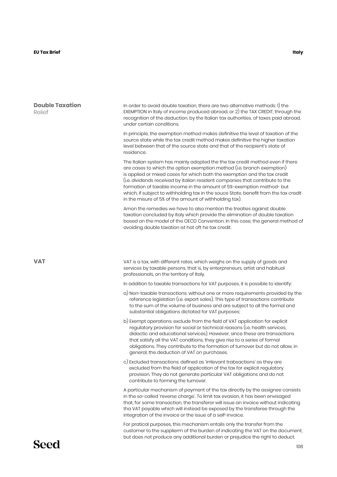#### **EU Tax Brief Italy**

| <b>Double Taxation</b><br>Relief | In order to avoid double taxation, there are two alternative methods: 1) the<br>EXEMPTION in Italy of income produced abroad, or 2) the TAX CREDIT, through the<br>recognition of the deduction, by the Italian tax authorities, of taxes paid abroad,<br>under certain conditions.                                                                                                                                                                                                                                                              |  |  |  |
|----------------------------------|--------------------------------------------------------------------------------------------------------------------------------------------------------------------------------------------------------------------------------------------------------------------------------------------------------------------------------------------------------------------------------------------------------------------------------------------------------------------------------------------------------------------------------------------------|--|--|--|
|                                  | In principle, the exemption method makes definitive the level of taxation of the<br>source state while the tax credit method makes definitive the higher taxation<br>level between that of the source state and that of the recipient's state of<br>residence.                                                                                                                                                                                                                                                                                   |  |  |  |
|                                  | The Italian system has mainly adopted the the tax credit method even if there<br>are cases to which the option exemption method (i.e. branch exemption)<br>is applied or mixed cases for which both the exemption and the tax credit<br>(i.e. dividends received by italian resident companies that contribute to the<br>formation of taxable income in the amount of 5%-exemption method- but<br>which, if subject to withholding tax in the souce State, benefit from the tax credit<br>in the misure of 5% of the amount of withholding tax). |  |  |  |
|                                  | Amon the remedies we have to also mention the treaties against double<br>taxation concluded by Italy which provide the elimination of double taxation<br>based on the model of the OECD Convention. In this case, the general method of<br>avoiding double taxation ist hat oft he tax credit.                                                                                                                                                                                                                                                   |  |  |  |
|                                  |                                                                                                                                                                                                                                                                                                                                                                                                                                                                                                                                                  |  |  |  |
| <b>VAT</b>                       | VAT is a tax, with different rates, which weighs on the supply of goods and<br>services by taxable persons, that is, by enterpreneurs, artist and habitual<br>professionals, on the territory of Italy.                                                                                                                                                                                                                                                                                                                                          |  |  |  |
|                                  | In addition to taxable transactions for VAT purposes, it is possible to identify:                                                                                                                                                                                                                                                                                                                                                                                                                                                                |  |  |  |
|                                  | a) Non-taxable transactions: without one or more requirements provided by the<br>reference legislation (i.e. export sales). This type of transactions contribute<br>to the sum of the volume of business and are subject to all the formal and<br>substantial obligations dictated for VAT purposes;                                                                                                                                                                                                                                             |  |  |  |
|                                  | b) Exempt operations: exclude from the field of VAT application for explicit<br>regulatory provision for social or technical reasons (i.e. health services,<br>didactic and educational services). However, since these are transactions<br>that satisfy all the VAT conditions, they give rise to a series of formal<br>obligations. They contribute to the formation of turnover but do not allow, in<br>general, the deduction of VAT on purchases.                                                                                           |  |  |  |
|                                  | c) Excluded transactions: defined as 'irrilevant trabsactions' as they are<br>excluded from the field of application of the tax for explicit regulatory<br>provision. They do not generate particular VAT obligations and do not<br>contribute to forming the turnover.                                                                                                                                                                                                                                                                          |  |  |  |
|                                  | A particular mechanism of payment of the tax directly by the assignee consists<br>in the so-called 'reverse charge'. To limit tax evasion, it has been envisaged<br>that, for some transaction, the transferor will issue an invoice without indicating<br>tha VAT payable which will instead be exposed by the transferee through the<br>integration of the invoice or the issue of a self-invoice.                                                                                                                                             |  |  |  |
|                                  | For pratical purposes, this mechanism entails only the transfer from the<br>customer to the supplierm of the burden of indicating the VAT on the document,<br>but does not produce any additional burden or prejudice the right to deduct.                                                                                                                                                                                                                                                                                                       |  |  |  |
| Seed                             | 108                                                                                                                                                                                                                                                                                                                                                                                                                                                                                                                                              |  |  |  |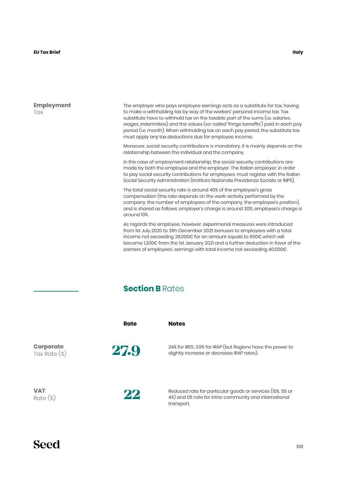#### **EU Tax Brief Italy**

**Employment** Tax

The employer who pays employee earnings acts as a substitute for tax, having to make a withholding tax by way of the workers' personal income tax. Tax substitute have to withhold tax on the taxable part of the sums (i.e. salaries, wages, indemnities) and the values (so-called 'fringe benefits') paid in each pay period (i.e. month). When withholding tax on each pay period, the substitute tax must apply any tax deductions due for employee income.

Moreover, social security contributions is mandatory. It is mainly depends on the relationship between the individual and the company.

In the case of employment relationship, the social security contributions are made by both the employee and the employer. The Italian employer, in order to pay social security contributions for employees, must register with the Italian Social Security Administration (Instituto Nazionale Previdenza Sociale or INPS).

The total social security rate is around 40% of the employee's gross compensation (the rate depends on the work-activity performed by the company, the number of employees of the company, the employee's position), and is shared as follows: employer's charge is around 30%; employee's charge is around 10%.

As regards the employee, however, experimenal measures were introduced from 1st July 2020 to 31th December 2021: bonuses to employees with a total income not exceeding 28.000€ for an amount equals to 600€ which will become 1.200€ from the 1st January 2021 and a further deduction in favor of the earners of employees' earnings with total income not exceeding 40.000€.

### **Section B** Rates

|                                  | Rate | <b>Notes</b>                                                                                                                     |
|----------------------------------|------|----------------------------------------------------------------------------------------------------------------------------------|
| <b>Corporate</b><br>Tax Rate (%) | 27.9 | 24% for IRES; 3.9% for IRAP (but Regions have the power to<br>slightly increase or decrease IRAP rates).                         |
| <b>VAT</b><br>$Rate (\%)$        | 22   | Reduced rate for particular goods or services (10%, 5% or<br>4%) and 0% rate for Intra-community and international<br>transport. |

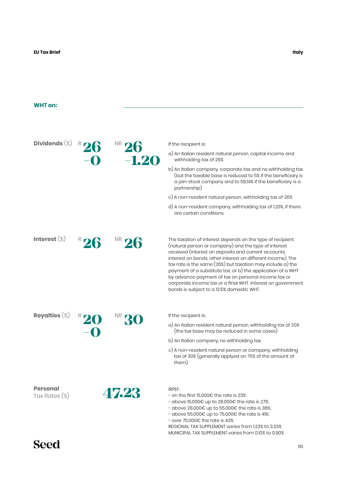### **WHT on:**

| Dividends $(\%)$                 |         | If the recipient is:                                                                                                                                                                                                                                                                                                                                                                                                                                                                                                                       |
|----------------------------------|---------|--------------------------------------------------------------------------------------------------------------------------------------------------------------------------------------------------------------------------------------------------------------------------------------------------------------------------------------------------------------------------------------------------------------------------------------------------------------------------------------------------------------------------------------------|
|                                  | $-1.20$ | a) An Italian resident natural person, capital income and<br>withholding tax of 26%                                                                                                                                                                                                                                                                                                                                                                                                                                                        |
|                                  |         | b) An Italian company, corporate tax and no withholding tax<br>(but the taxable base is reduced to 5% if the beneficiary is<br>a join-stock company and to 58,14% if the beneficiary is a<br>partnership)                                                                                                                                                                                                                                                                                                                                  |
|                                  |         | c) A non-resident natural person, withholding tax of 26%                                                                                                                                                                                                                                                                                                                                                                                                                                                                                   |
|                                  |         | d) A non-resident company, withholding tax of 1.20%, if there<br>are certain conditions.                                                                                                                                                                                                                                                                                                                                                                                                                                                   |
| Interest $(\%)$                  |         | The taxation of interest depends on the type of recipient<br>(natural person or company) and the type of interest<br>received (interest on deposits and current accounts,<br>interest on bonds, other interest on different income). The<br>$tax$ rate is the same (26%) but taxation may include a) the<br>payment of a substitute tax; or b) the application of a WHT<br>by advance payment of tax on personal income tax or<br>corporate income tax or a final WHT. Interest on government<br>bonds is subject to a 12.5% domestic WHT. |
| Royalties $(\%)$                 |         | If the recipient is:                                                                                                                                                                                                                                                                                                                                                                                                                                                                                                                       |
|                                  |         | a) An Italian resident natural person, withholding tax of 20%<br>(the tax base may be reduced in some cases)                                                                                                                                                                                                                                                                                                                                                                                                                               |
|                                  |         | b) An Italian company, no withholding tax                                                                                                                                                                                                                                                                                                                                                                                                                                                                                                  |
|                                  |         | c) A non-resident natural person or company, withholding<br>tax of 30% (generally applyed on 75% of the amount of<br>them).                                                                                                                                                                                                                                                                                                                                                                                                                |
| <b>Personal</b><br>Tax Rates (%) | 47.28   | IRPEF:<br>- on the first 15.000€ the rate is 23%;<br>- above 15.000€ up to 28.000€ the rate is 27%;<br>- above 28.000 $\epsilon$ up to 55.000 $\epsilon$ the rate is 38%;<br>- above 55.000€ up to 75.000€ the rate is 41%;<br>- over 75.000€ the rate is 43%.<br>REGIONAL TAX SUPPLEMENT varies from 1.23% to 3.33%<br>MUNICIPAL TAX SUPPLEMENT varies from 0.10% to 0.90%                                                                                                                                                                |

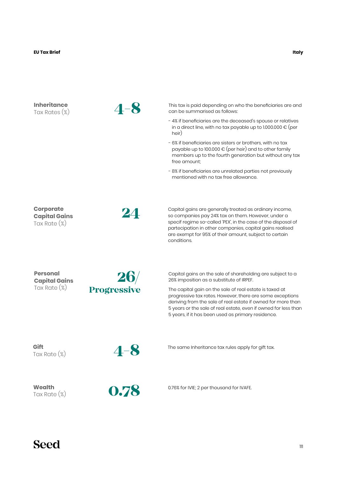| <b>Inheritance</b><br>Tax Rates (%)                         | -8                 | This tax is paid depending on who the beneficiaries are and<br>can be summarised as follows:                                                                                                                                                                                                                        |
|-------------------------------------------------------------|--------------------|---------------------------------------------------------------------------------------------------------------------------------------------------------------------------------------------------------------------------------------------------------------------------------------------------------------------|
|                                                             |                    | - 4% if beneficiaries are the deceased's spouse or relatives<br>in a direct line, with no tax payable up to 1.000.000 € (per<br>heir)                                                                                                                                                                               |
|                                                             |                    | - 6% if beneficiaries are sisters or brothers, with no tax<br>payable up to 100.000 $\epsilon$ (per heir) and to other family<br>members up to the fourth generation but without any tax<br>free amount:                                                                                                            |
|                                                             |                    | - 8% if beneficiaries are unrelated parties not previously<br>mentioned with no tax free allowance.                                                                                                                                                                                                                 |
| <b>Corporate</b><br><b>Capital Gains</b><br>Tax Rate $(\%)$ | 24                 | Capital gains are generally treated as ordinary income,<br>so companies pay 24% tax on them. However, under a<br>specif regime so-called 'PEX', in the case of the disposal of<br>partecipation in other companies, capital gains realised<br>are exempt for 95% of their amount, subject to certain<br>conditions. |
| <b>Personal</b><br><b>Capital Gains</b>                     | 26/                | Capital gains on the sale of shareholding are subject to a<br>26% imposition as a substitute of IRPEF.                                                                                                                                                                                                              |
| Tax Rate $(\%)$                                             | <b>Progressive</b> | The capital gain on the sale of real estate is taxed at<br>progressive tax rates. However, there are some exceptions<br>deriving from the sale of real estate if owned for more than<br>5 years or the sale of real estate, even if owned for less than<br>5 years, if it has been used as primary residence.       |
| Gift<br>Tax Rate (%)                                        | $4 - 8$            | The same Inheritance tax rules apply for gift tax.                                                                                                                                                                                                                                                                  |
| Wealth<br>Tax Rate $(\%)$                                   | 0.78               | 0.76% for IVIE; 2 per thousand for IVAFE.                                                                                                                                                                                                                                                                           |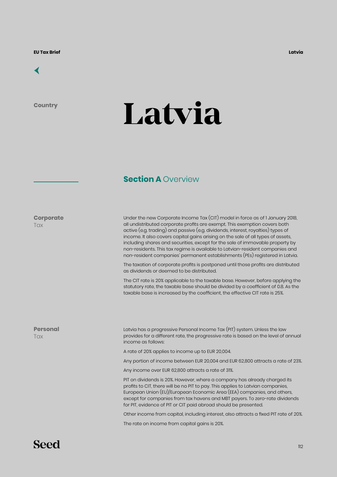

**Country**

# **Latvia**

### **Section A Overview**

**Corporate Tax** 

Under the new Corporate Income Tax (CIT) model in force as of 1 January 2018, all undistributed corporate profits are exempt. This exemption covers both active (e.g. trading) and passive (e.g. dividends, interest, royalties) types of income. It also covers capital gains arising on the sale of all types of assets, including shares and securities, except for the sale of immovable property by non-residents. This tax regime is available to Latvian-resident companies and non-resident companies' permanent establishments (PEs) registered in Latvia.

The taxation of corporate profits is postponed until those profits are distributed as dividends or deemed to be distributed.

The CIT rate is 20% applicable to the taxable base. However, before applying the statutory rate, the taxable base should be divided by a coefficient of 0.8. As the taxable base is increased by the coefficient, the effective CIT rate is 25%.

**Personal Tax** 

Latvia has a progressive Personal Income Tax (PIT) system. Unless the law provides for a different rate, the progressive rate is based on the level of annual income as follows:

A rate of 20% applies to income up to EUR 20,004.

Any portion of income between EUR 20,004 and EUR 62,800 attracts a rate of 23%.

Any income over EUR 62,800 attracts a rate of 31%.

PIT on dividends is 20%. However, where a company has already charged its profits to CIT, there will be no PIT to pay. This applies to Latvian companies, European Union (EU)/European Economic Area (EEA) companies, and others, except for companies from tax havens and MBT payers. To zero-rate dividends for PIT, evidence of PIT or CIT paid abroad should be presented.

Other income from capital, including interest, also attracts a fixed PIT rate of 20%.

The rate on income from capital gains is 20%.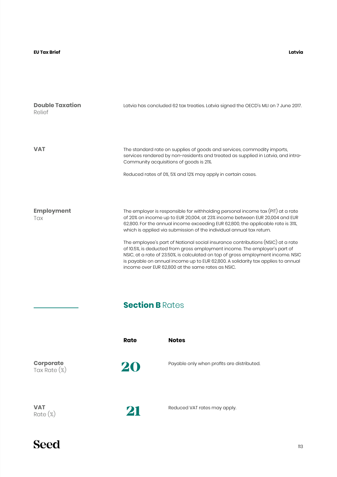#### **Latvia**

| <b>Double Taxation</b><br>Relief    |                        | Latvia has concluded 62 tax treaties. Latvia signed the OECD's MLI on 7 June 2017.                                                                                                                                                                                                                                                                                                         |
|-------------------------------------|------------------------|--------------------------------------------------------------------------------------------------------------------------------------------------------------------------------------------------------------------------------------------------------------------------------------------------------------------------------------------------------------------------------------------|
| <b>VAT</b>                          |                        | The standard rate on supplies of goods and services, commodity imports,<br>services rendered by non-residents and treated as supplied in Latvia, and intra-<br>Community acquisitions of goods is 21%.<br>Reduced rates of 0%, 5% and 12% may apply in certain cases.                                                                                                                      |
|                                     |                        |                                                                                                                                                                                                                                                                                                                                                                                            |
| <b>Employment</b><br>Tax            |                        | The employer is responsible for withholding personal income $\text{tax}(\text{PIT})$ at a rate<br>of 20% on income up to EUR 20,004, at 23% income between EUR 20,004 and EUR<br>62,800. For the annual income exceeding EUR 62,800, the applicable rate is 31%,<br>which is applied via submission of the individual annual tax return.                                                   |
|                                     |                        | The employee's part of National social insurance contributions (NSIC) at a rate<br>of 10.5%, is deducted from gross employment income. The employer's part of<br>NSIC, at a rate of 23.50%, is calculated on top of gross employment income. NSIC<br>is payable on annual income up to EUR 62,800. A solidarity tax applies to annual<br>income over EUR 62,800 at the same rates as NSIC. |
|                                     | <b>Section B Rates</b> |                                                                                                                                                                                                                                                                                                                                                                                            |
|                                     | <b>Rate</b>            | <b>Notes</b>                                                                                                                                                                                                                                                                                                                                                                               |
| <b>Corporate</b><br>Tax Rate $(\%)$ | 20                     | Payable only when profits are distributed.                                                                                                                                                                                                                                                                                                                                                 |
| <b>VAT</b><br>$Rate (\%)$           | 21                     | Reduced VAT rates may apply.                                                                                                                                                                                                                                                                                                                                                               |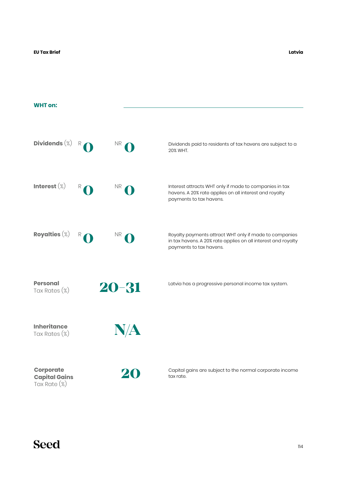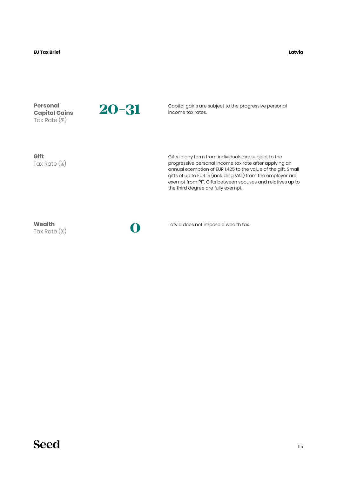| <b>Personal</b><br><b>Capital Gains</b><br>Tax Rate (%) | 20-31 | Capital gains are subject to the progressive personal<br>income tax rates.                                                                                                                                                                                                                                                                          |
|---------------------------------------------------------|-------|-----------------------------------------------------------------------------------------------------------------------------------------------------------------------------------------------------------------------------------------------------------------------------------------------------------------------------------------------------|
| Gift<br>Tax Rate $(\%)$                                 |       | Gifts in any form from individuals are subject to the<br>progressive personal income tax rate after applying an<br>annual exemption of EUR 1,425 to the value of the gift. Small<br>gifts of up to EUR 15 (including VAT) from the employer are<br>exempt from PIT. Gifts between spouses and relatives up to<br>the third degree are fully exempt. |
| Wealth<br>Tax Rate $(\%)$                               |       | Latvia does not impose a wealth tax.                                                                                                                                                                                                                                                                                                                |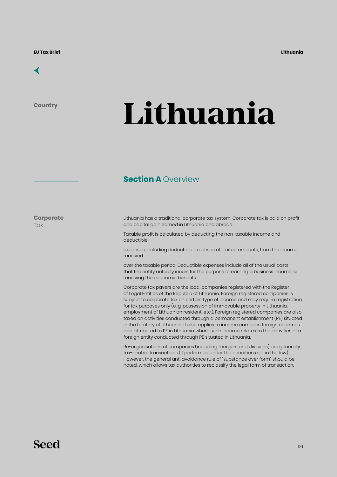## [←](#page-6-0)

**Country**

# **Lithuania**

### **Section A Overview**

**Corporate Tax** 

Lithuania has a traditional corporate tax system. Corporate tax is paid on profit and capital gain earned in Lithuania and abroad.

Taxable profit is calculated by deducting the non-taxable income and deductible

expenses, including deductible expenses of limited amounts, from the income received

over the taxable period. Deductible expenses include all of the usual costs that the entity actually incurs for the purpose of earning a business income, or receiving the economic benefits.

Corporate tax payers are the local companies registered with the Register of Legal Entities of the Republic of Lithuania. Foreign registered companies is subject to corporate tax on certain type of income and may require registration for tax purposes only (e. g. possession of immovable property in Lithuania, employment of Lithuanian resident, etc.). Foreign registered companies are also taxed on activities conducted through a permanent establishment (PE) situated in the territory of Lithuania. It also applies to income earned in foreign countries and attributed to PE in Lithuania where such income relates to the activities of a foreign entity conducted through PE situated in Lithuania.

Re-organisations of companies (including mergers and divisions) are generally tax-neutral transactions (if performed under the conditions set in the law). However, the general anti avoidance rule of "substance over form" should be noted, which allows tax authorities to reclassify the legal form of transaction.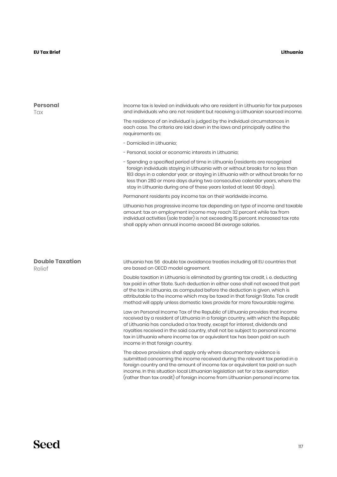#### **Lithuania**

| <b>Personal</b><br>Tax           | Income tax is levied on individuals who are resident in Lithuania for tax purposes<br>and individuals who are not resident but receiving a Lithuanian sourced income.                                                                                                                                                                                                                                                                               |
|----------------------------------|-----------------------------------------------------------------------------------------------------------------------------------------------------------------------------------------------------------------------------------------------------------------------------------------------------------------------------------------------------------------------------------------------------------------------------------------------------|
|                                  | The residence of an individual is judged by the individual circumstances in<br>each case. The criteria are laid down in the laws and principally outline the<br>requirements as:                                                                                                                                                                                                                                                                    |
|                                  | - Domiciled in Lithuania;                                                                                                                                                                                                                                                                                                                                                                                                                           |
|                                  | - Personal, social or economic interests in Lithuania;                                                                                                                                                                                                                                                                                                                                                                                              |
|                                  | - Spending a specified period of time in Lithuania (residents are recognized<br>foreign individuals staying in Lithuania with or without breaks for no less than<br>183 days in a calendar year, or staying in Lithuania with or without breaks for no<br>less than 280 or more days during two consecutive calendar years, where the<br>stay in Lithuania during one of these years lasted at least 90 days).                                      |
|                                  | Permanent residents pay income tax on their worldwide income.                                                                                                                                                                                                                                                                                                                                                                                       |
|                                  | Lithuania has progressive income tax depending on type of income and taxable<br>amount: tax on employment income may reach 32 percent while tax from<br>individual activities (sole trader) is not exceeding 15 percent. Increased tax rate<br>shall apply when annual income exceed 84 average salaries.                                                                                                                                           |
| <b>Double Taxation</b><br>Relief | Lithuania has 56 double tax avoidance treaties including all EU countries that<br>are based on OECD model agreement.                                                                                                                                                                                                                                                                                                                                |
|                                  | Double taxation in Lithuania is eliminated by granting tax credit, i. e. deducting<br>tax paid in other State. Such deduction in either case shall not exceed that part<br>of the tax in Lithuania, as computed before the deduction is given, which is<br>attributable to the income which may be taxed in that foreign State. Tax credit<br>method will apply unless domestic laws provide for more favourable regime.                            |
|                                  | Law on Personal Income Tax of the Republic of Lithuania provides that income<br>received by a resident of Lithuania in a foreign country, with which the Republic<br>of Lithuania has concluded a tax treaty, except for interest, dividends and<br>royalties received in the said country, shall not be subject to personal income<br>tax in Lithuania where income tax or equivalent tax has been paid on such<br>income in that foreign country. |
|                                  | The above provisions shall apply only where documentary evidence is<br>submitted concerning the income received during the relevant tax period in a<br>foreign country and the amount of income tax or equivalent tax paid on such<br>income. In this situation local Lithuanian legislation set for a tax exemption<br>(rather than tax credit) of foreign income from Lithuanian personal income tax.                                             |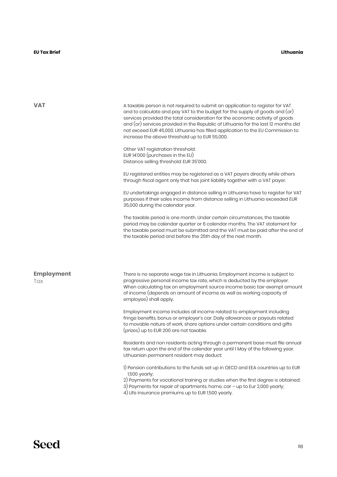| <b>VAT</b>               | A taxable person is not required to submit an application to register for VAT<br>and to calculate and pay VAT to the budget for the supply of goods and (or)<br>services provided the total consideration for the economic activity of goods<br>and (or) services provided in the Republic of Lithuania for the last 12 months did<br>not exceed EUR 45,000. Lithuania has filled application to the EU Commission to<br>increase the above threshold up to EUR 55,000.<br>Other VAT registration threshold:<br>EUR 14'000 (purchases in the EU)<br>Distance selling threshold: EUR 35'000. |
|--------------------------|---------------------------------------------------------------------------------------------------------------------------------------------------------------------------------------------------------------------------------------------------------------------------------------------------------------------------------------------------------------------------------------------------------------------------------------------------------------------------------------------------------------------------------------------------------------------------------------------|
|                          | EU registered entities may be registered as a VAT payers directly while others<br>through fiscal agent only that has joint liability together with a VAT payer.                                                                                                                                                                                                                                                                                                                                                                                                                             |
|                          | EU undertakings engaged in distance selling in Lithuania have to register for VAT<br>purposes if their sales income from distance selling in Lithuania exceeded EUR<br>35,000 during the calendar year.                                                                                                                                                                                                                                                                                                                                                                                     |
|                          | The taxable period is one month. Under certain circumstances, the taxable<br>period may be calendar quarter or 6 calendar months. The VAT statement for<br>the taxable period must be submitted and the VAT must be paid after the end of<br>the taxable period and before the 25th day of the next month.                                                                                                                                                                                                                                                                                  |
| <b>Employment</b><br>Tax | There is no separate wage tax in Lithuania. Employment income is subject to<br>progressive personal income tax rate, which is deducted by the employer.<br>When calculating tax on employment source income basic tax-exempt amount<br>of income (depends on amount of income as well as working capacity of<br>employee) shall apply.                                                                                                                                                                                                                                                      |
|                          | Employment income includes all income related to employment including<br>fringe benefits, bonus or employer's car. Daily allowances or payouts related<br>to movable nature of work, share options under certain conditions and gifts<br>(prizes) up to EUR 200 are not taxable.                                                                                                                                                                                                                                                                                                            |
|                          | Residents and non residents acting through a permanent base must file annual<br>tax return upon the end of the calendar year until I May of the following year.<br>Lithuanian permanent resident may deduct:                                                                                                                                                                                                                                                                                                                                                                                |
|                          | 1) Pension contributions to the funds set up in OECD and EEA countries up to EUR<br>1,500 yearly;<br>2) Payments for vocational training or studies when the first degree is obtained;<br>3) Payments for repair of apartments, home, car - up to Eur 2,000 yearly;<br>4) Life insurance premiums up to EUR 1,500 yearly.                                                                                                                                                                                                                                                                   |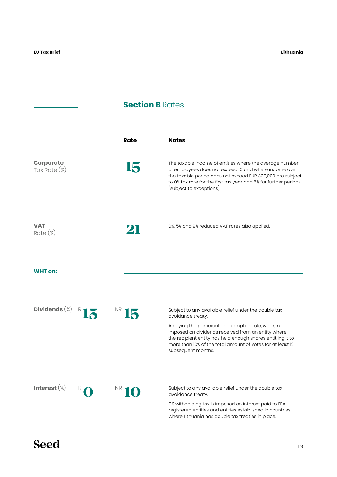## **Section B Rates**

|                                     | Rate | <b>Notes</b>                                                                                                                                                                                                                                                                                                                                |
|-------------------------------------|------|---------------------------------------------------------------------------------------------------------------------------------------------------------------------------------------------------------------------------------------------------------------------------------------------------------------------------------------------|
| <b>Corporate</b><br>Tax Rate $(\%)$ | 15   | The taxable income of entities where the average number<br>of employees does not exceed 10 and where income over<br>the taxable period does not exceed EUR 300,000 are subject<br>to 0% tax rate for the first tax year and 5% for further periods<br>(subject to exceptions).                                                              |
| VAT<br>$Rate (\%)$                  | 21   | 0%, 5% and 9% reduced VAT rates also applied.                                                                                                                                                                                                                                                                                               |
| <b>WHT</b> on:                      |      |                                                                                                                                                                                                                                                                                                                                             |
| Dividends $(\%)$                    | IF   | Subject to any available relief under the double tax<br>avoidance treaty.<br>Applying the participation exemption rule, wht is not<br>imposed on dividends received from an entity where<br>the recipient entity has held enough shares entitling it to<br>more than 10% of the total amount of votes for at least 12<br>subsequent months. |
| Interest $(\%)$                     |      | Subject to any available relief under the double tax<br>avoidance treaty.<br>0% withholding tax is imposed on interest paid to EEA<br>registered entities and entities established in countries<br>where Lithuania has double tax treaties in place.                                                                                        |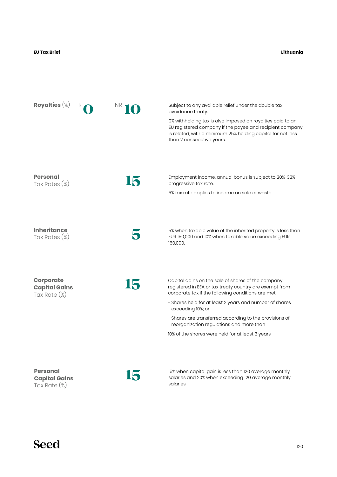#### **Lithuania**

| Royalties $(\%)$                                         |    | Subject to any available relief under the double tax<br>avoidance treaty.                                                                                                                                          |
|----------------------------------------------------------|----|--------------------------------------------------------------------------------------------------------------------------------------------------------------------------------------------------------------------|
|                                                          |    | 0% withholding tax is also imposed on royalties paid to an<br>EU registered company if the payee and recipient company<br>is related, with a minimum 25% holding capital for not less<br>than 2 consecutive years. |
|                                                          |    |                                                                                                                                                                                                                    |
| <b>Personal</b><br>Tax Rates (%)                         | 15 | Employment income, annual bonus is subject to 20%-32%<br>progressive tax rate.                                                                                                                                     |
|                                                          |    | 5% tax rate applies to income on sale of waste.                                                                                                                                                                    |
|                                                          |    |                                                                                                                                                                                                                    |
| <b>Inheritance</b><br>Tax Rates $(\%)$                   |    | 5% when taxable value of the inherited property is less than<br>EUR 150,000 and 10% when taxable value exceeding EUR<br>150,000.                                                                                   |
|                                                          |    |                                                                                                                                                                                                                    |
| <b>Corporate</b><br><b>Capital Gains</b><br>Tax Rate (%) | 15 | Capital gains on the sale of shares of the company<br>registered in EEA or tax treaty country are exempt from<br>corporate tax if the following conditions are met:                                                |
|                                                          |    | - Shares held for at least 2 years and number of shares<br>exceeding 10%; or                                                                                                                                       |
|                                                          |    | - Shares are transferred according to the provisions of<br>reorganization regulations and more than                                                                                                                |
|                                                          |    | 10% of the shares were held for at least 3 years                                                                                                                                                                   |
|                                                          |    |                                                                                                                                                                                                                    |
| <b>Personal</b><br><b>Capital Gains</b><br>Tax Rate (%)  | L  | 15% when capital gain is less than 120 average monthly<br>salaries and 20% when exceeding 120 average monthly<br>salaries.                                                                                         |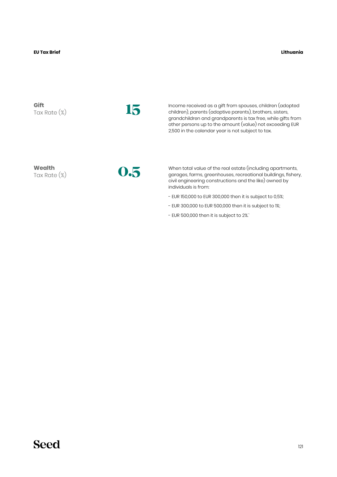**Lithuania**

**Gift** Tax Rate (%)

**15**

Income received as a gift from spouses, children (adopted children), parents (adoptive parents), brothers, sisters, grandchildren and grandparents is tax free, while gifts from other persons up to the amount (value) not exceeding EUR 2,500 in the calendar year is not subject to tax.

**Wealth** Tax Rate (%)

**0.5**

When total value of the real estate (including apartments, garages, farms, greenhouses, recreational buildings, fishery, civil engineering constructions and the like) owned by individuals is from:

- EUR 150,000 to EUR 300,000 then it is subject to 0,5%;
- EUR 300,000 to EUR 500,000 then it is subject to 1%;
- EUR 500,000 then it is subject to 2%.`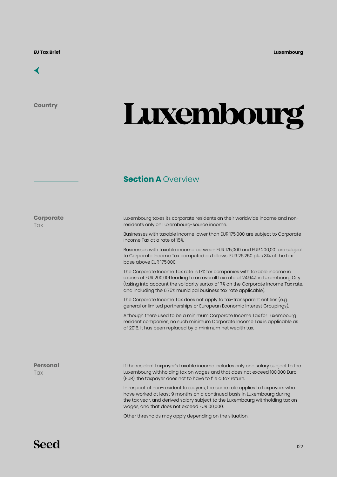

**Country**

**Corporate**

**Tax** 

# **Luxembourg**

## **Section A Overview**

Luxembourg taxes its corporate residents on their worldwide income and nonresidents only on Luxembourg-source income.

Businesses with taxable income lower than EUR 175,000 are subject to Corporate Income Tax at a rate of 15%.

Businesses with taxable income between EUR 175,000 and EUR 200,001 are subject to Corporate Income Tax computed as follows: EUR 26,250 plus 31% of the tax base above EUR 175,000.

The Corporate Income Tax rate is 17% for companies with taxable income in excess of EUR 200,001 leading to an overall tax rate of 24.94% in Luxembourg City (taking into account the solidarity surtax of 7% on the Corporate Income Tax rate, and including the 6.75% municipal business tax rate applicable).

The Corporate Income Tax does not apply to tax-transparent entities (e.g. general or limited partnerships or European Economic Interest Groupings).

Although there used to be a minimum Corporate Income Tax for Luxembourg resident companies, no such minimum Corporate Income Tax is applicable as of 2016. It has been replaced by a minimum net wealth tax.

**Personal Tax** 

If the resident taxpayer's taxable income includes only one salary subject to the Luxembourg withholding tax on wages and that does not exceed 100,000 Euro (EUR), the taxpayer does not to have to file a tax return.

In respect of non-resident taxpayers, the same rule applies to taxpayers who have worked at least 9 months on a continued basis in Luxembourg during the tax year, and derived salary subject to the Luxembourg withholding tax on wages, and that does not exceed EUR100,000.

Other thresholds may apply depending on the situation.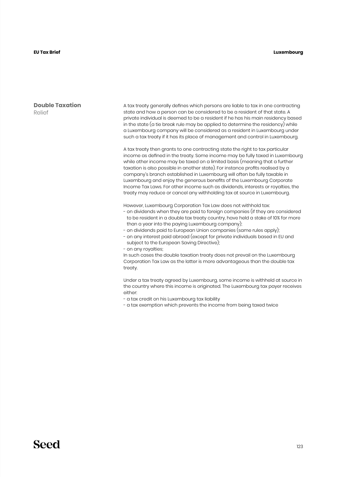#### **Luxembourg**

**Double Taxation** Relief

A tax treaty generally defines which persons are liable to tax in one contracting state and how a person can be considered to be a resident of that state. A private individual is deemed to be a resident if he has his main residency based in the state (a tie break rule may be applied to determine the residency) while a Luxembourg company will be considered as a resident in Luxembourg under such a tax treaty if it has its place of management and control in Luxembourg.

A tax treaty then grants to one contracting state the right to tax particular income as defined in the treaty. Some income may be fully taxed in Luxembourg while other income may be taxed on a limited basis (meaning that a further taxation is also possible in another state). For instance profits realised by a company's branch established in Luxembourg will often be fully taxable in Luxembourg and enjoy the generous benefits of the Luxembourg Corporate Income Tax Laws. For other income such as dividends, interests or royalties, the treaty may reduce or cancel any withholding tax at source in Luxembourg.

However, Luxembourg Corporation Tax Law does not withhold tax:

- on dividends when they are paid to foreign companies (if they are considered to be resident in a double tax treaty country, have held a stake of 10% for more than a year into the paying Luxembourg company);
- on dividends paid to European Union companies (same rules apply);
- on any interest paid abroad (except for private individuals based in EU and subject to the European Saving Directive);

- on any royalties;

In such cases the double taxation treaty does not prevail on the Luxembourg Corporation Tax Law as the latter is more advantageous than the double tax treaty.

Under a tax treaty agreed by Luxembourg, some income is withheld at source in the country where this income is originated. The Luxembourg tax payer receives either:

- a tax credit on his Luxembourg tax liability

- a tax exemption which prevents the income from being taxed twice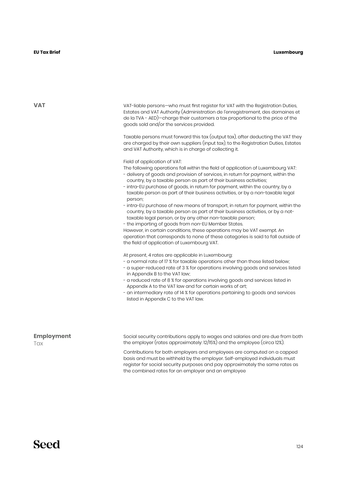VAT VAT-liable persons—who must first register for VAT with the Registration Duties, Estates and VAT Authority (Administration de l'enregistrement, des domaines et de la TVA - AED)—charge their customers a tax proportional to the price of the goods sold and/or the services provided.

> Taxable persons must forward this tax (output tax), after deducting the VAT they are charged by their own suppliers (input tax), to the Registration Duties, Estates and VAT Authority, which is in charge of collecting it.

Field of application of VAT:

The following operations fall within the field of application of Luxembourg VAT:

- delivery of goods and provision of services, in return for payment, within the country, by a taxable person as part of their business activities;
- intra-EU purchase of goods, in return for payment, within the country, by a taxable person as part of their business activities, or by a non-taxable legal person;
- intra-EU purchase of new means of transport, in return for payment, within the country, by a taxable person as part of their business activities, or by a nottaxable legal person, or by any other non-taxable person;
- the importing of goods from non-EU Member States.

However, in certain conditions, these operations may be VAT exempt. An operation that corresponds to none of these categories is said to fall outside of the field of application of Luxembourg VAT.

At present, 4 rates are applicable in Luxembourg:

- a normal rate of 17 % for taxable operations other than those listed below;
- a super-reduced rate of 3 % for operations involving goods and services listed in Appendix B to the VAT law;
- a reduced rate of 8 % for operations involving goods and services listed in Appendix A to the VAT law and for certain works of art;
- an intermediary rate of 14 % for operations pertaining to goods and services listed in Appendix C to the VAT law.

#### **Employment Tax**

Social security contributions apply to wages and salaries and are due from both the employer (rates approximately: 12/15%) and the employee (circa 12%).

Contributions for both employers and employees are computed on a capped basis and must be withheld by the employer. Self-employed individuals must register for social security purposes and pay approximately the same rates as the combined rates for an employer and an employee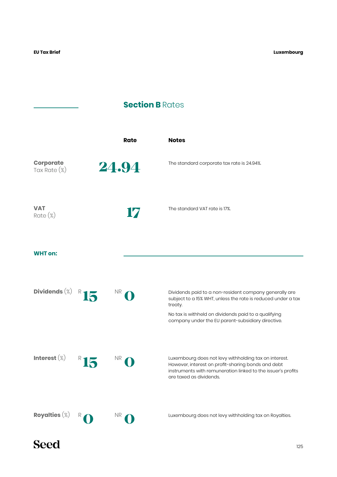**Luxembourg**

## **Section B** Rates



125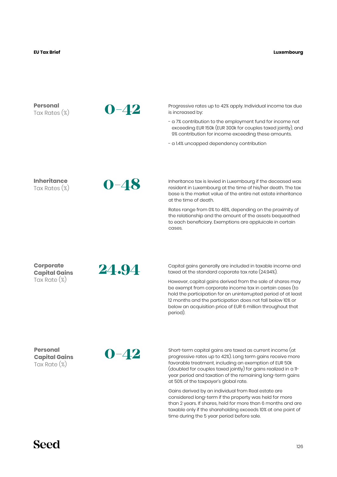| <b>Personal</b><br>Tax Rates $(\%)$                 | $0 - 42$ | Progressive rates up to 42% apply. Individual income tax due<br>is increased by:                                                                                                                                                                                                                                                                          |
|-----------------------------------------------------|----------|-----------------------------------------------------------------------------------------------------------------------------------------------------------------------------------------------------------------------------------------------------------------------------------------------------------------------------------------------------------|
|                                                     |          | - a 7% contribution to the employment fund for income not<br>exceeding EUR 150k (EUR 300k for couples taxed jointly), and<br>9% contribution for income exceeding these amounts.                                                                                                                                                                          |
|                                                     |          | - a 1.4% uncapped dependency contribution                                                                                                                                                                                                                                                                                                                 |
| <b>Inheritance</b>                                  |          | Inheritance tax is levied in Luxembourg if the deceased was                                                                                                                                                                                                                                                                                               |
| Tax Rates (%)                                       | $0 - 48$ | resident in Luxembourg at the time of his/her death. The tax<br>base is the market value of the entire net estate inheritance<br>at the time of death.                                                                                                                                                                                                    |
|                                                     |          | Rates range from 0% to 48%, depending on the proximity of<br>the relationship and the amount of the assets bequeathed<br>to each beneficiary. Exemptions are appluicale in certain<br>cases.                                                                                                                                                              |
|                                                     |          |                                                                                                                                                                                                                                                                                                                                                           |
| <b>Corporate</b><br><b>Capital Gains</b>            | 24.94    | Capital gains generally are included in taxable income and<br>taxed at the standard coporate tax rate (24.94%).                                                                                                                                                                                                                                           |
| Tax Rate $(\%)$                                     |          | However, capital gains derived from the sale of shares may<br>be exempt from corporate income tax in certain cases (to<br>hold the participation for an uninterrupted period of at least<br>12 months and the participation does not fall below 10% or<br>below an acquisition price of EUR 6 million throughout that<br>period).                         |
|                                                     |          |                                                                                                                                                                                                                                                                                                                                                           |
| Personal<br><b>Capital Gains</b><br>Tax Rate $(\%)$ | $0 - 42$ | Short-term capital gains are taxed as current income (at<br>progressive rates up to 42%). Long term gains receive more<br>favorable treatment, including an exemption of EUR 50k<br>(doubled for couples taxed jointly) for gains realized in a 11-<br>year period and taxation of the remaining long-term gains<br>at 50% of the taxpayer's global rate. |

Gains derived by an individual from Real estate are considered long-term if the property was held for more than 2 years. If shares, held for more than 6 months and are taxable only if the shareholding exceeds 10% at one point of time during the 5 year period before sale.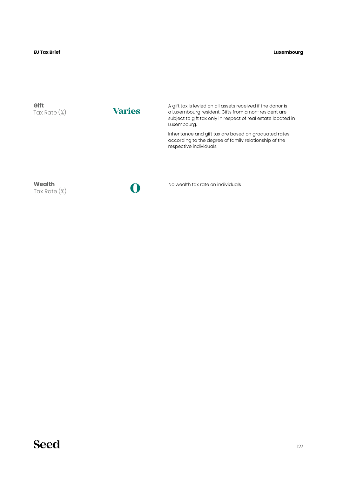#### **Luxembourg**

| Gift<br>Tax Rate $(\%)$   | <b>Varies</b> | A gift tax is levied on all assets received if the donor is<br>a Luxembourg resident. Gifts from a non-resident are<br>subject to gift tax only in respect of real estate located in<br>Luxembourg. |
|---------------------------|---------------|-----------------------------------------------------------------------------------------------------------------------------------------------------------------------------------------------------|
|                           |               | Inheritance and gift tax are based on graduated rates<br>according to the degree of family relationship of the<br>respective individuals.                                                           |
| Wealth<br>Tax Rate $(\%)$ |               | No wealth tax rate on individuals                                                                                                                                                                   |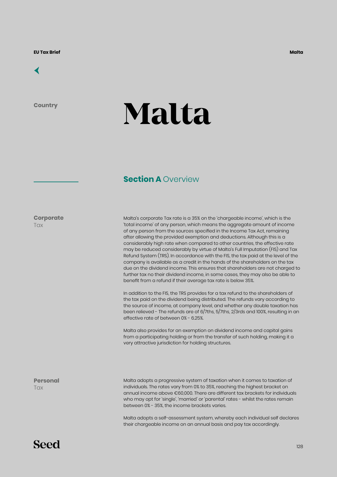## [←](#page-6-0)

**Country**

# **Malta**

## **Section A Overview**

**Corporate**

**Tax** 

Malta's corporate Tax rate is a 35% on the 'chargeable income', which is the 'total income' of any person, which means the aggregate amount of income of any person from the sources specified in the Income Tax Act, remaining after allowing the provided exemption and deductions. Although this is a considerably high rate when compared to other countries, the effective rate may be reduced considerably by virtue of Malta's Full Imputation (FIS) and Tax Refund System (TRS). In accordance with the FIS, the tax paid at the level of the company is available as a credit in the hands of the shareholders on the tax due on the dividend income. This ensures that shareholders are not charged to further tax no their dividend income, in some cases, they may also be able to benefit from a refund if their average tax rate is below 35%.

In addition to the FIS, the TRS provides for a tax refund to the shareholders of the tax paid on the dividend being distributed. The refunds vary according to the source of income, at company level, and whether any double taxation has been relieved - The refunds are of 6/7ths, 5/7ths, 2/3rds and 100%, resulting in an effective rate of between 0% - 6.25%.

Malta also provides for an exemption on dividend income and capital gains from a participating holding or from the transfer of such holding, making it a very attractive jurisdiction for holding structures.

**Personal Tax** 

Malta adopts a progressive system of taxation when it comes to taxation of individuals. The rates vary from 0% to 35%, reaching the highest bracket on annual income above €60,000. There are different tax brackets for individuals who may opt for 'single', 'married' or 'parental' rates - whilst the rates remain between 0% - 35%, the income brackets varies.

Malta adopts a self-assessment system, whereby each individual self declares their chargeable income on an annual basis and pay tax accordingly.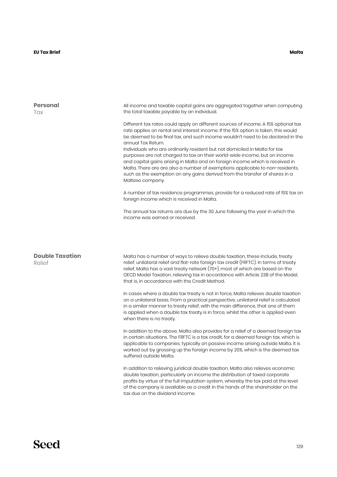| <b>Personal</b><br>Tax           | All income and taxable capital gains are aggregated together when computing<br>the total taxable payable by an individual.<br>Different tax rates could apply on different sources of income. A 15% optional tax<br>rate applies on rental and interest income. If the 15% option is taken, this would<br>be deemed to be final tax, and such income wouldn't need to be declared in the<br>annual Tax Return.<br>Individuals who are ordinarily resident but not domiciled in Malta for tax<br>purposes are not charged to tax on their world-wide income, but on income<br>and capital gains arising in Malta and on foreign income which is received in<br>Malta. There are are also a number of exemptions applicable to non-residents,<br>such as the exemption on any gains derived from the transfer of shares in a<br>Maltese company.<br>A number of tax residence programmes, provide for a reduced rate of 15% tax on<br>foreign income which is received in Malta.                                                                                                                                                              |
|----------------------------------|---------------------------------------------------------------------------------------------------------------------------------------------------------------------------------------------------------------------------------------------------------------------------------------------------------------------------------------------------------------------------------------------------------------------------------------------------------------------------------------------------------------------------------------------------------------------------------------------------------------------------------------------------------------------------------------------------------------------------------------------------------------------------------------------------------------------------------------------------------------------------------------------------------------------------------------------------------------------------------------------------------------------------------------------------------------------------------------------------------------------------------------------|
| <b>Double Taxation</b><br>Relief | The annual tax returns are due by the 30 June following the year in which the<br>income was earned or received.<br>Malta has a number of ways to relieve double taxation, these include, treaty<br>relief, unilateral relief and flat-rate foreign tax credit (FRFTC). In terms of treaty<br>relief, Malta has a vast treaty network (70+), most of which are based on the<br>OECD Model Taxation, relieving tax in accordance with Article 23B of the Model,<br>that is, in accordance with the Credit Method.                                                                                                                                                                                                                                                                                                                                                                                                                                                                                                                                                                                                                             |
|                                  | In cases where a double tax treaty is not in force, Malta relieves double taxation<br>on a unilateral basis. From a practical perspective, unilateral relief is calculated<br>in a similar manner to treaty relief, with the main difference, that one of them<br>is applied when a double tax treaty is in force, whilst the other is applied even<br>when there is no treaty.<br>In addition to the above, Malta also provides for a relief of a deemed foreign tax<br>in certain situations. The FRFTC is a tax credit, for a deemed foreign tax, which is<br>applicable to companies, typically on passive income arising outside Malta. It is<br>worked out by grossing up the foreign income by 20%, which is the deemed tax<br>suffered outside Malta.<br>In addition to relieving juridical double taxation, Malta also relieves economic<br>double taxation, particularly on income the distribution of taxed corporate<br>profits by virtue of the full imputation system, whereby the tax paid at the level<br>of the company is available as a credit in the hands of the shareholder on the<br>tax due on the dividend income. |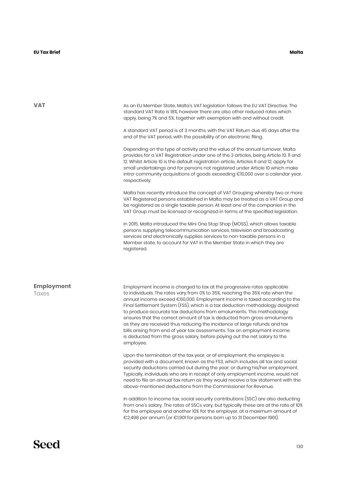**VAT**

As an EU Member State, Malta's VAT legislation follows the EU VAT Directive. The standard VAT Rate is 18%, however there are also other reduced rates which apply, being 7% and 5%, together with exemption with and without credit.

A standard VAT period is of 3 months, with the VAT Return due 45 days after the end of the VAT period, with the possibility of an electronic filing.

Depending on the type of activity and the value of the annual turnover, Malta provides for a VAT Registration under one of the 3 articles, being Article 10, 11 and 12. Whilst Article 10 is the default registration article, Articles 11 and 12, apply for small undertakings and for persons not registered under Article 10 which make intra-community acquisitions of goods exceeding €10,000 over a calendar year, respectively.

Malta has recently introduce the concept of VAT Grouping whereby two or more VAT Registered persons established in Malta may be treated as a VAT Group and be registered as a single taxable person. At least one of the companies in the VAT Group must be licensed or recognized in terms of the specified legislation.

In 2015, Malta introduced the Mini One Stop Shop (MOSS), which allows taxable persons supplying telecommunication services, television and broadcasting services and electronically supplies services to non-taxable persons in a Member state, to account for VAT in the Member State in which they are registered.

#### **Employment Taxes**

Employment income is charged to tax at the progressive rates applicable to individuals. The rates vary from 0% to 35%, reaching the 35% rate when the annual income exceed €60,000. Employment income is taxed according to the Final Settlement System (FSS), which is a tax deduction methodology designed to produce accurate tax deductions from emoluments. This methodology ensures that the correct amount of tax is deducted from gross emoluments as they are received thus reducing the incidence of large refunds and tax bills arising from end of year tax assessments. Tax on employment income is deducted from the gross salary, before paying out the net salary to the employee.

Upon the termination of the tax year, or of employment, the employee is provided with a document, known as the FS3, which includes all tax and social security deductions carried out during the year, or during his/her employment. Typically, individuals who are in receipt of only employment income, would not need to file an annual tax return as they would receive a tax statement with the above-mentioned deductions from the Commissioner for Revenue.

In addition to income tax, social security contributions (SSC) are also deducting from one's salary. The rates of SSCs vary, but typically these are at the rate of 10% for the employee and another 10% for the employer, at a maximum amount of €2,498 per annum (or €1,901 for persons born up to 31 December 1961).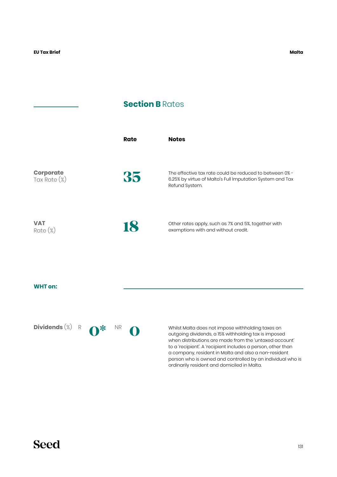## **Section B Rates**

|                                  | Rate | <b>Notes</b>                                                                                                                           |
|----------------------------------|------|----------------------------------------------------------------------------------------------------------------------------------------|
| <b>Corporate</b><br>Tax Rate (%) | 35   | The effective tax rate could be reduced to between 0% -<br>6.25% by virtue of Malta's Full Imputation System and Tax<br>Refund System. |
| <b>VAT</b><br>$Rate (\%)$        | 18   | Other rates apply, such as 7% and 5%, together with<br>exemptions with and without credit.                                             |

#### **WHT on:**

Dividends  $(\%)$  R  $\bigodot^*$  NR  $\bigodot$ 

Whilst Malta does not impose withholding taxes on outgoing dividends, a 15% withholding tax is imposed when distributions are made from the 'untaxed account' to a 'recipient'. A 'recipient includes a person, other than a company, resident in Malta and also a non-resident person who is owned and controlled by an individual who is ordinarily resident and domiciled in Malta.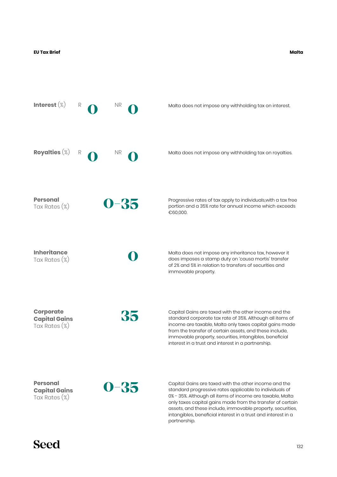**Malta**



only taxes capital gains made from the transfer of certain assets, and these include, immovable property, securities, intangibles, beneficial interest in a trust and interest in a partnership.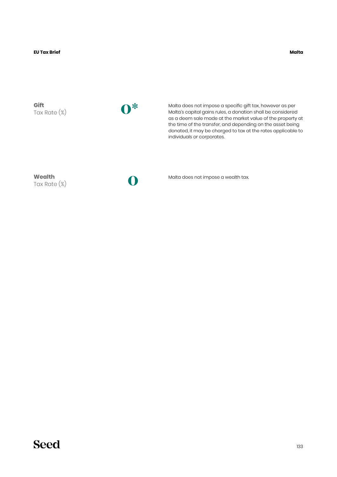**Malta**

**Gift** Tax Rate (%) **0\***

Malta does not impose a specific gift tax, however as per Malta's capital gains rules, a donation shall be considered as a deem sale made at the market value of the property at the time of the transfer, and depending on the asset being donated, it may be charged to tax at the rates applicable to individuals or corporates.

**Wealth** Tax Rate (%)

**0**

Malta does not impose a wealth tax.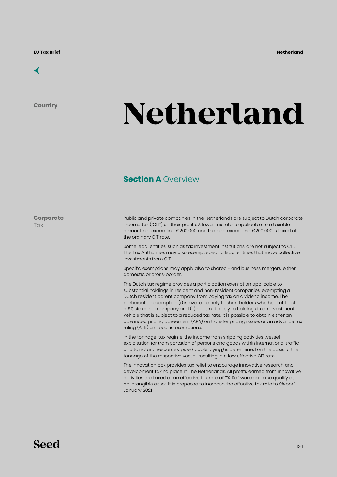

**Country**

# **Netherland**

## **Section A Overview**

**Corporate Tax** 

Public and private companies in the Netherlands are subject to Dutch corporate income tax ("CIT") on their profits. A lower tax rate is applicable to a taxable amount not exceeding €200,000 and the part exceeding €200,000 is taxed at the ordinary CIT rate.

Some legal entities, such as tax investment institutions, are not subject to CIT. The Tax Authorities may also exempt specific legal entities that make collective investments from CIT.

Specific exemptions may apply also to shared - and business mergers, either domestic or cross-border.

The Dutch tax regime provides a participation exemption applicable to substantial holdings in resident and non-resident companies, exempting a Dutch resident parent company from paying tax on dividend income. The participation exemption (i) is available only to shareholders who hold at least a 5% stake in a company and (ii) does not apply to holdings in an investment vehicle that is subject to a reduced tax rate. It is possible to obtain either an advanced pricing agreement (APA) on transfer pricing issues or an advance tax ruling (ATR) on specific exemptions.

In the tonnage-tax regime, the income from shipping activities (vessel exploitation for transportation of persons and goods within international traffic and to natural resources, pipe / cable laying) is determined on the basis of the tonnage of the respective vessel, resulting in a low effective CIT rate.

The innovation box provides tax relief to encourage innovative research and development taking place in The Netherlands. All profits earned from innovative activities are taxed at an effective tax rate of 7%. Software can also qualify as an intangible asset. It is proposed to increase the effective tax rate to 9% per 1 January 2021.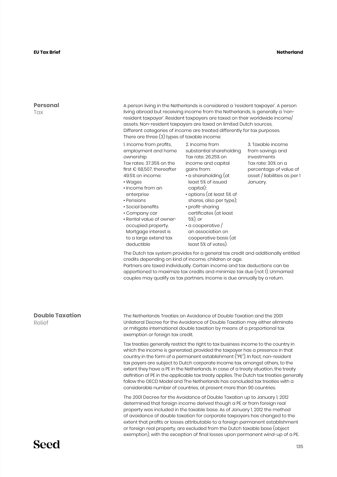#### **Netherland**

#### **Personal T**ax

A person living in the Netherlands is considered a 'resident taxpayer'. A person living abroad but receiving income from the Netherlands, is generally a 'nonresident taxpayer'. Resident taxpayers are taxed on their worldwide income/ assets. Non-resident taxpayers are taxed on limited Dutch sources. Different categories of income are treated differently for tax purposes. There are three (3) types of taxable income:

1. Income from profits, employment and home ownership Tax rates: 37.35% on the

first € 68,507, thereafter gains from: 49.5% on income: • Wages

- 
- Income from an enterprise
- Pensions
- Social benefits
- Company car
- Rental value of owneroccupied property. Mortgage interest is to a large extend tax deductible

2. Income from substantial shareholding Tax rate: 26.25% on income and capital

- a shareholding (at least 5% of issued capital); • options (at least 5% of
- shares, also per type); • profit-sharing
- certificates (at least 5%), or
- a cooperative / an association on cooperative basis (at

3. Taxable income from savings and investments Tax rate: 30% on a percentage of value of asset / liabilities as per 1 January.

The Dutch tax system provides for a general tax credit and additionally entitled credits depending on kind of income, children or age.

least 5% of votes).

Partners are taxed individually. Certain income and tax deductions can be apportioned to maximize tax credits and minimize tax due (not 1). Unmarried couples may qualify as tax partners. Income is due annually by a return.

## **Double Taxation**

Relief

The Netherlands Treaties on Avoidance of Double Taxation and the 2001 Unilateral Decree for the Avoidance of Double Taxation may either eliminate or mitigate international double taxation by means of a proportional tax exemption or foreign tax credit.

Tax treaties generally restrict the right to tax business income to the country in which the income is generated, provided the taxpayer has a presence in that country in the form of a permanent establishment ("PE"). In fact, non-resident tax payers are subject to Dutch corporate income tax, amongst others, to the extent they have a PE in the Netherlands. In case of a treaty situation, the treaty definition of PE in the applicable tax treaty applies. The Dutch tax treaties generally follow the OECD Model and The Netherlands has concluded tax treaties with a considerable number of countries, at present more than 90 countries.

The 2001 Decree for the Avoidance of Double Taxation up to January 1, 2012 determined that foreign income derived though a PE or from foreign real property was included in the taxable base. As of January 1, 2012 the method of avoidance of double taxation for corporate taxpayers has changed to the extent that profits or losses attributable to a foreign permanent establishment or foreign real property, are excluded from the Dutch taxable base (object exemption), with the exception of final losses upon permanent wind-up of a PE.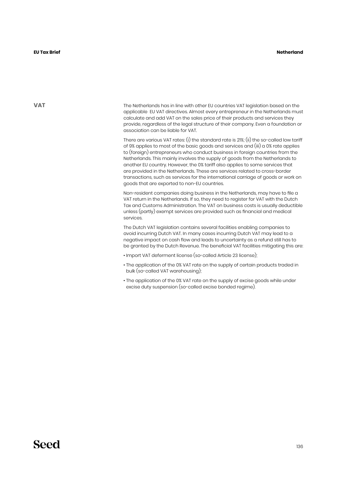**VAT**

The Netherlands has in line with other EU countries VAT legislation based on the applicable EU VAT directives. Almost every entrepreneur in the Netherlands must calculate and add VAT on the sales price of their products and services they provide, regardless of the legal structure of their company. Even a foundation or association can be liable for VAT.

There are various VAT rates: (i) the standard rate is 21%; (ii) the so-called low tariff of 9% applies to most of the basic goods and services and (iii) a 0% rate applies to (foreign) entrepreneurs who conduct business in foreign countries from the Netherlands. This mainly involves the supply of goods from the Netherlands to another EU country. However, the 0% tariff also applies to some services that are provided in the Netherlands. These are services related to cross-border transactions, such as services for the international carriage of goods or work on goods that are exported to non-EU countries.

Non-resident companies doing business in the Netherlands, may have to file a VAT return in the Netherlands. If so, they need to register for VAT with the Dutch Tax and Customs Administration. The VAT on business costs is usually deductible unless (partly) exempt services are provided such as financial and medical services.

The Dutch VAT legislation contains several facilities enabling companies to avoid incurring Dutch VAT. In many cases incurring Dutch VAT may lead to a negative impact on cash flow and leads to uncertainty as a refund still has to be granted by the Dutch Revenue. The beneficial VAT facilities mitigating this are:

- Import VAT deferment license (so-called Article 23 license);
- The application of the 0% VAT rate on the supply of certain products traded in bulk (so-called VAT warehousing);
- The application of the 0% VAT rate on the supply of excise goods while under excise duty suspension (so-called excise bonded regime).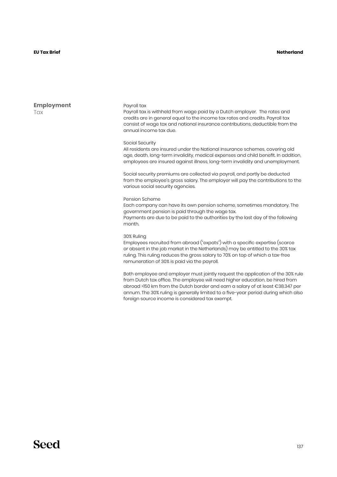#### **Netherland**

**Employment** Tax

#### Payroll tax

Payroll tax is withheld from wage paid by a Dutch employer. The rates and credits are in general equal to the income tax rates and credits. Payroll tax consist of wage tax and national insurance contributions, deductible from the annual income tax due.

#### Social Security

All residents are insured under the National Insurance schemes, covering old age, death, long-term invalidity, medical expenses and child benefit. In addition, employees are insured against illness, long-term invalidity and unemployment.

Social security premiums are collected via payroll, and partly be deducted from the employee's gross salary. The employer will pay the contributions to the various social security agencies.

#### Pension Scheme

Each company can have its own pension scheme, sometimes mandatory. The government pension is paid through the wage tax. Payments are due to be paid to the authorities by the last day of the following month.

#### 30% Ruling

Employees recruited from abroad ("expats") with a specific expertise (scarce or absent in the job market in the Netherlands) may be entitled to the 30% tax ruling. This ruling reduces the gross salary to 70% on top of which a tax-free remuneration of 30% is paid via the payroll.

Both employee and employer must jointly request the application of the 30% rule from Dutch tax office. The employee will need higher education, be hired from abroad >150 km from the Dutch border and earn a salary of at least €38.347 per annum. The 30% ruling is generally limited to a five-year period during which also foreign source income is considered tax exempt.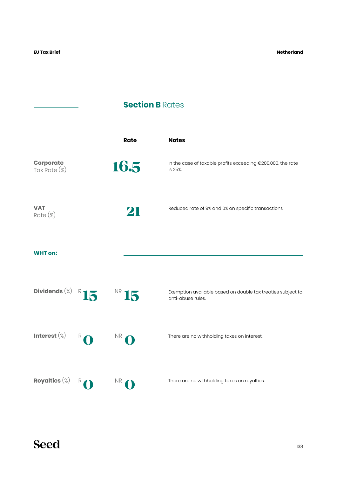**Netherland**

## **Section B Rates**

|                                  |              | Rate      | <b>Notes</b>                                                                     |
|----------------------------------|--------------|-----------|----------------------------------------------------------------------------------|
| <b>Corporate</b><br>Tax Rate (%) |              | 16.5      | In the case of taxable profits exceeding €200,000, the rate<br>is 25%.           |
| <b>VAT</b><br>$Rate (\%)$        |              | 21        | Reduced rate of 9% and 0% on specific transactions.                              |
| <b>WHT on:</b>                   |              |           |                                                                                  |
| Dividends $(\%)$ R 15            |              | NR 15     | Exemption available based on double tax treaties subject to<br>anti-abuse rules. |
| Interest $(\%)$                  | $R$ $\Omega$ | NR        | There are no withholding taxes on interest.                                      |
| Royalties $(\%)$                 |              | <b>NR</b> | There are no withholding taxes on royalties.                                     |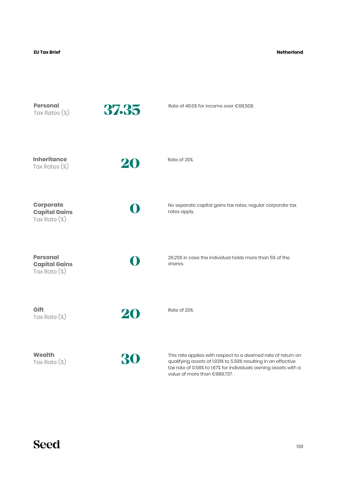#### **Netherland**

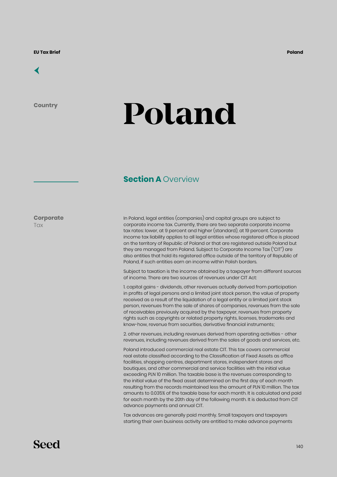# [←](#page-6-0)

**Country**

# **Poland**

## **Section A Overview**

**Corporate Tax** 

In Poland, legal entities (companies) and capital groups are subject to corporate income tax. Currently, there are two separate corporate income tax rates: lower, at 9 percent and higher (standard), at 19 percent. Corporate income tax liability applies to all legal entities whose registered office is placed on the territory of Republic of Poland or that are registered outside Poland but they are managed from Poland. Subject to Corporate Income Tax ("CIT") are also entities that hold its registered office outside of the territory of Republic of Poland, if such entities earn an income within Polish borders.

Subject to taxation is the income obtained by a taxpayer from different sources of income. There are two sources of revenues under CIT Act:

1. capital gains - dividends, other revenues actually derived from participation in profits of legal persons and a limited joint stock person, the value of property received as a result of the liquidation of a legal entity or a limited joint stock person, revenues from the sale of shares of companies, revenues from the sale of receivables previously acquired by the taxpayer, revenues from property rights such as copyrights or related property rights, licenses, trademarks and know-how, revenue from securities, derivative financial instruments;

2. other revenues, including revenues derived from operating activities - other revenues, including revenues derived from the sales of goods and services, etc.

Poland introduced commercial real estate CIT. This tax covers commercial real estate classified according to the Classification of Fixed Assets as office facilities, shopping centres, department stores, independent stores and boutiques, and other commercial and service facilities with the initial value exceeding PLN 10 million. The taxable base is the revenues corresponding to the initial value of the fixed asset determined on the first day of each month resulting from the records maintained less the amount of PLN 10 million. The tax amounts to 0.035% of the taxable base for each month. It is calculated and paid for each month by the 20th day of the following month. It is deducted from CIT advance payments and annual CIT.

Tax advances are generally paid monthly. Small taxpayers and taxpayers starting their own business activity are entitled to make advance payments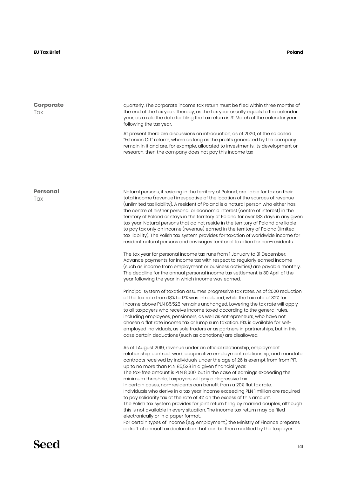| <b>Corporate</b><br>Tax | quarterly. The corporate income tax return must be filed within three months of<br>the end of the tax year. Thereby, as the tax year usually equals to the calendar<br>year, as a rule the date for filing the tax return is 31 March of the calendar year<br>following the tax year.<br>At present there are discussions on introduction, as of 2020, of the so called<br>"Estonian CIT" reform, where as long as the profits generated by the company<br>remain in it and are, for example, allocated to investments, its development or<br>research, then the company does not pay this income tax                                                                                                                                                                                                                                                                                                                                                                                                                                                                                                                                                                                                                                                                                                                                                                                                                                                                                                                                                                                                                                                                                                                                                                                                                                                                                                                                                                                                                                                                                                                                                                                                                                                                                                                                                                                                                                                                                                                                                                                                                                                                                                                                                                                                                                                                                                  |
|-------------------------|--------------------------------------------------------------------------------------------------------------------------------------------------------------------------------------------------------------------------------------------------------------------------------------------------------------------------------------------------------------------------------------------------------------------------------------------------------------------------------------------------------------------------------------------------------------------------------------------------------------------------------------------------------------------------------------------------------------------------------------------------------------------------------------------------------------------------------------------------------------------------------------------------------------------------------------------------------------------------------------------------------------------------------------------------------------------------------------------------------------------------------------------------------------------------------------------------------------------------------------------------------------------------------------------------------------------------------------------------------------------------------------------------------------------------------------------------------------------------------------------------------------------------------------------------------------------------------------------------------------------------------------------------------------------------------------------------------------------------------------------------------------------------------------------------------------------------------------------------------------------------------------------------------------------------------------------------------------------------------------------------------------------------------------------------------------------------------------------------------------------------------------------------------------------------------------------------------------------------------------------------------------------------------------------------------------------------------------------------------------------------------------------------------------------------------------------------------------------------------------------------------------------------------------------------------------------------------------------------------------------------------------------------------------------------------------------------------------------------------------------------------------------------------------------------------------------------------------------------------------------------------------------------------|
| <b>Personal</b><br>Tax  | Natural persons, if residing in the territory of Poland, are liable for tax on their<br>total income (revenue) irrespective of the location of the sources of revenue<br>(unlimited tax liability). A resident of Poland is a natural person who either has<br>the centre of his/her personal or economic interest (centre of interest) in the<br>territory of Poland or stays in the territory of Poland for over 183 days in any given<br>tax year. Natural persons that do not reside in the territory of Poland are liable<br>to pay tax only on income (revenue) earned in the territory of Poland (limited<br>tax liability). The Polish tax system provides for taxation of worldwide income for<br>resident natural persons and envisages territorial taxation for non-residents.<br>The tax year for personal income tax runs from 1 January to 31 December.<br>Advance payments for income tax with respect to regularly earned income<br>(such as income from employment or business activities) are payable monthly.<br>The deadline for the annual personal income tax settlement is 30 April of the<br>year following the year in which income was earned.<br>Principal system of taxation assumes progressive tax rates. As of 2020 reduction<br>of the tax rate from 18% to 17% was introduced, while the tax rate of 32% for<br>income above PLN 85,528 remains unchanged. Lowering the tax rate will apply<br>to all taxpayers who receive income taxed according to the general rules,<br>including employees, pensioners, as well as entrepreneurs, who have not<br>chosen a flat rate income tax or lump sum taxation. 19% is available for self-<br>employed individuals, as sole traders or as partners in partnerships, but in this<br>case certain deductions (such as donations) are disallowed.<br>As of 1 August 2019, revenue under an official relationship, employment<br>relationship, contract work, cooperative employment relationship, and mandate<br>contracts received by individuals under the age of 26 is exempt from from PIT,<br>up to no more than PLN 85,528 in a given financial year.<br>The tax-free amount is PLN 8,000. but in the case of earnings exceeding the<br>minimum threshold, taxpayers will pay a degressive tax.<br>In certain cases, non-residents can benefit from a 20% flat tax rate.<br>Individuals who derive in a tax year income exceeding PLN 1 million are required<br>to pay solidarity tax at the rate of 4% on the excess of this amount.<br>The Polish tax system provides for joint return filing by married couples, although<br>this is not available in every situation. The income tax return may be filed<br>electronically or in a paper format.<br>For certain types of income (e.g. employment,) the Ministry of Finance prepares<br>a draft of annual tax declaration that can be then modified by the taxpayer. |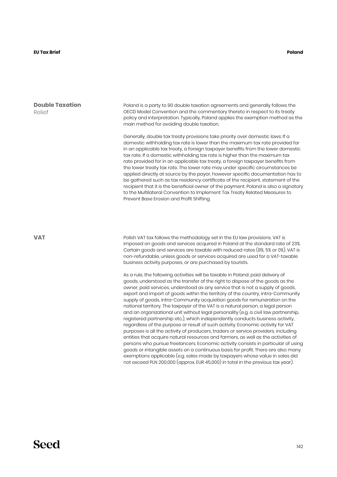#### **EU Tax Brief Poland**

## **Double Taxation** Relief

Poland is a party to 90 double taxation agreements and generally follows the OECD Model Convention and the commentary thereto in respect to its treaty policy and interpretation. Typically, Poland applies the exemption method as the main method for avoiding double taxation.

Generally, double tax treaty provisions take priority over domestic laws: If a domestic withholding tax rate is lower than the maximum tax rate provided for in an applicable tax treaty, a foreign taxpayer benefits from the lower domestic tax rate. If a domestic withholding tax rate is higher than the maximum tax rate provided for in an applicable tax treaty, a foreign taxpayer benefits from the lower treaty tax rate. The lower rate may under specific circumstances be applied directly at source by the payor, however specific documentation has to be gathered such as tax residency certificate of the recipient, statement of the recipient that it is the beneficial owner of the payment. Poland is also a signatory to the Multilateral Convention to Implement Tax Treaty Related Measures to Prevent Base Erosion and Profit Shifting.

**VAT**

Polish VAT tax follows the methodology set in the EU law provisions. VAT is imposed on goods and services acquired in Poland at the standard rate of 23%. Certain goods and services are taxable with reduced rates (8%, 5% or 0%). VAT is non-refundable, unless goods or services acquired are used for a VAT-taxable business activity purposes, or are purchased by tourists.

As a rule, the following activities will be taxable in Poland: paid delivery of goods, understood as the transfer of the right to dispose of the goods as the owner, paid services, understood as any service that is not a supply of goods, export and import of goods within the territory of the country, intra-Community supply of goods, intra-Community acquisition goods for remuneration on the national territory. The taxpayer of the VAT is a natural person, a legal person and an organizational unit without legal personality (e.g. a civil law partnership, registered partnership etc.), which independently conducts business activity, regardless of the purpose or result of such activity. Economic activity for VAT purposes is all the activity of producers, traders or service providers, including entities that acquire natural resources and farmers, as well as the activities of persons who pursue freelancers. Economic activity consists in particular of using goods or intangible assets on a continuous basis for profit. There are also many exemptions applicable (e.g. sales made by taxpayers whose value in sales did not exceed PLN 200,000 (approx. EUR 45,000) in total in the previous tax year).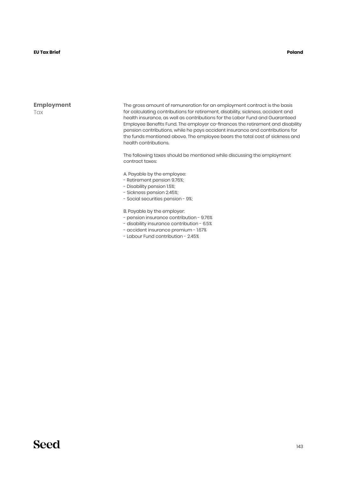#### **EU Tax Brief Poland**

#### **Employment** Tax

The gross amount of remuneration for an employment contract is the basis for calculating contributions for retirement, disability, sickness, accident and health insurance, as well as contributions for the Labor Fund and Guaranteed Employee Benefits Fund. The employer co-finances the retirement and disability pension contributions, while he pays accident insurance and contributions for the funds mentioned above. The employee bears the total cost of sickness and health contributions.

The following taxes should be mentioned while discussing the employment contract taxes:

A. Payable by the employee:

- Retirement pension 9.76%;
- Disability pension 1.5%;
- Sickness pension 2.45%;
- Social securities pension 9%;

B. Payable by the employer:

- pension insurance contribution 9.76%
- disability insurance contribution 6.5%
- accident insurance premium 1.67%
- Labour Fund contribution 2.45%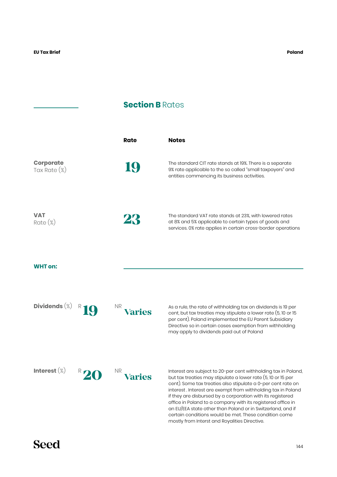## **Section B** Rates

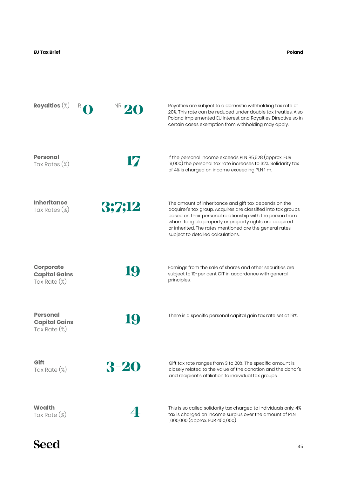**Poland**

| Royalties $(\%)$                                            | NR.      | Royalties are subject to a domestic withholding tax rate of<br>20%. This rate can be reduced under double tax treaties. Also<br>Poland implemented EU Interest and Royalties Directive so in<br>certain cases exemption from withholding may apply.                                                                                            |
|-------------------------------------------------------------|----------|------------------------------------------------------------------------------------------------------------------------------------------------------------------------------------------------------------------------------------------------------------------------------------------------------------------------------------------------|
| <b>Personal</b><br>Tax Rates (%)                            | 17       | If the personal income exceeds PLN 85,528 (approx. EUR<br>19,000) the personal tax rate increases to 32%. Solidarity tax<br>of 4% is charged on income exceeding PLN 1 m.                                                                                                                                                                      |
| <b>Inheritance</b><br>Tax Rates (%)                         | 3;7;12   | The amount of inheritance and gift tax depends on the<br>acquirer's tax group. Acquires are classified into tax groups<br>based on their personal relationship with the person from<br>whom tangible property or property rights are acquired<br>or inherited. The rates mentioned are the general rates,<br>subject to detailed calculations. |
| <b>Corporate</b><br><b>Capital Gains</b><br>Tax Rate $(\%)$ | 19       | Earnings from the sale of shares and other securities are<br>subject to 19-per cent CIT in accordance with general<br>principles.                                                                                                                                                                                                              |
| <b>Personal</b><br><b>Capital Gains</b><br>Tax Rate $(\%)$  | IQ)      | There is a specific personal capital gain tax rate set at 19%.                                                                                                                                                                                                                                                                                 |
| Gift<br>Tax Rate $(\%)$                                     | $3 - 20$ | Gift tax rate ranges from 3 to 20%. The specific amount is<br>closely related to the value of the donation and the donor's<br>and recipient's affiliation to individual tax groups                                                                                                                                                             |
| Wealth<br>Tax Rate (%)                                      |          | This is so called solidarity tax charged to individuals only. 4%<br>tax is charged on income surplus over the amount of PLN<br>1,000,000 (approx. EUR 450,000)                                                                                                                                                                                 |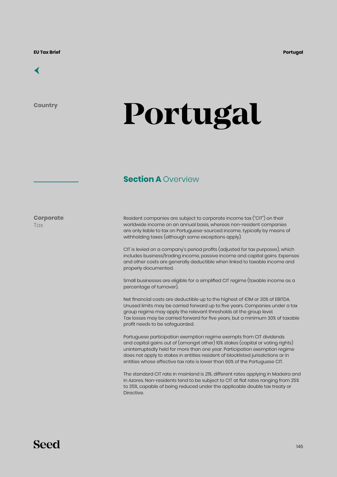### [←](#page-6-0)

**Country**

# **Portugal**

### **Section A Overview**

**Corporate Tax** 

Resident companies are subject to corporate income tax ("CIT") on their worldwide income on an annual basis, whereas non-resident companies are only liable to tax on Portuguese-sourced income, typically by means of withholding taxes (although some exceptions apply).

CIT is levied on a company's period profits (adjusted for tax purposes), which includes business/trading income, passive income and capital gains. Expenses and other costs are generally deductible when linked to taxable income and properly documented.

Small businesses are eligible for a simplified CIT regime (taxable income as a percentage of turnover).

Net financial costs are deductible up to the highest of €1M or 30% of EBITDA. Unused limits may be carried forward up to five years. Companies under a tax group regime may apply the relevant thresholds at the group level. Tax losses may be carried forward for five years, but a minimum 30% of taxable profit needs to be safeguarded.

Portuguese participation exemption regime exempts from CIT dividends and capital gains out of (amongst other) 10% stakes (capital or voting rights) uninterruptedly held for more than one year. Participation exemption regime does not apply to stakes in entities resident of blacklisted jurisdictions or in entities whose effective tax rate is lower than 60% of the Portuguese CIT.

The standard CIT rate in mainland is 21%, different rates applying in Madeira and in Azores. Non-residents tend to be subject to CIT at flat rates ranging from 25% to 35%, capable of being reduced under the applicable double tax treaty or Directive.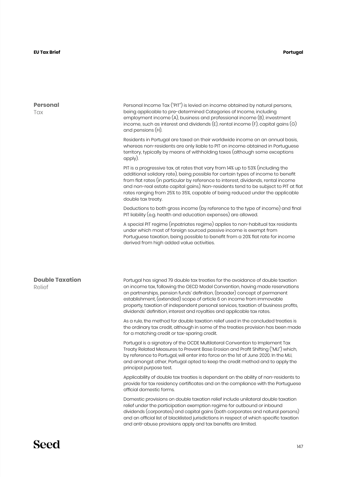| Personal Income Tax ("PIT") is levied on income obtained by natural persons,                                                                                                                                                                                                                                                                 |
|----------------------------------------------------------------------------------------------------------------------------------------------------------------------------------------------------------------------------------------------------------------------------------------------------------------------------------------------|
| employment income $(A)$ , business and professional income $(B)$ , investment<br>income, such as interest and dividends $(E)$ , rental income $(F)$ , capital gains $(G)$                                                                                                                                                                    |
| Residents in Portugal are taxed on their worldwide income on an annual basis,<br>whereas non-residents are only liable to PIT on income obtained in Portuguese<br>territory, typically by means of withholding taxes (although some exceptions                                                                                               |
| additional solidary rate), being possible for certain types of income to benefit<br>from flat rates (in particular by reference to interest, dividends, rental income<br>and non-real estate capital gains). Non-residents tend to be subject to PIT at flat<br>rates ranging from 25% to 35%, capable of being reduced under the applicable |
| Deductions to both gross income (by reference to the type of income) and final                                                                                                                                                                                                                                                               |
| A special PIT regime (inpatriates regime) applies to non-habitual tax residents<br>Portuguese taxation, being possible to benefit from a 20% flat rate for income                                                                                                                                                                            |
|                                                                                                                                                                                                                                                                                                                                              |
| Portugal has signed 79 double tax treaties for the avoidance of double taxation<br>on income tax, following the OECD Model Convention, having made reservations<br>property, taxation of independent personal services, taxation of business profits,                                                                                        |
| As a rule, the method for double taxation relief used in the concluded treaties is<br>the ordinary tax credit, although in some of the treaties provision has been made                                                                                                                                                                      |
| Portugal is a signatory of the OCDE Multilateral Convention to Implement Tax<br>Treaty Related Measures to Prevent Base Erosion and Profit Shifting ("MLI") which,<br>by reference to Portugal, will enter into force on the 1st of June 2020. In the MLI,<br>and amongst other, Portugal opted to keep the credit method and to apply the   |
| Applicability of double tax treaties is dependent on the ability of non-residents to<br>provide for tax residency certificates and on the compliance with the Portuguese                                                                                                                                                                     |
| Domestic provisions on double taxation relief include unilateral double taxation<br>dividends (corporates) and capital gains (both corporates and natural persons)<br>and an official list of blacklisted jurisdictions in respect of which specific taxation                                                                                |
|                                                                                                                                                                                                                                                                                                                                              |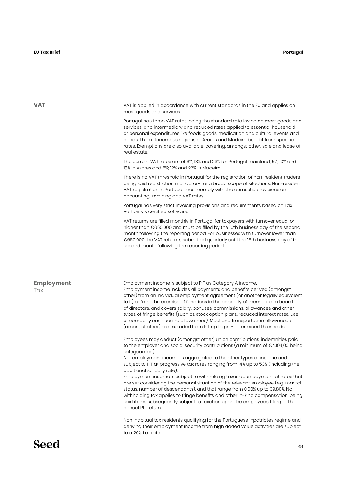#### **EU Tax Brief Portugal**

| <b>VAT</b>               | VAT is applied in accordance with current standards in the EU and applies on<br>most goods and services.                                                                                                                                                                                                                                                                                                                                                                                                                                                                                                                                                                                                                                                                                                                            |
|--------------------------|-------------------------------------------------------------------------------------------------------------------------------------------------------------------------------------------------------------------------------------------------------------------------------------------------------------------------------------------------------------------------------------------------------------------------------------------------------------------------------------------------------------------------------------------------------------------------------------------------------------------------------------------------------------------------------------------------------------------------------------------------------------------------------------------------------------------------------------|
|                          | Portugal has three VAT rates, being the standard rate levied on most goods and<br>services, and intermediary and reduced rates applied to essential household<br>or personal expenditures like foods goods, medication and cultural events and<br>goods. The autonomous regions of Azores and Madeira benefit from specific<br>rates. Exemptions are also available, covering, amongst other, sale and lease of<br>real estate.                                                                                                                                                                                                                                                                                                                                                                                                     |
|                          | The current VAT rates are of 6%, 13% and 23% for Portugal mainland, 5%, 10% and<br>18% in Azores and 5%; 12% and 22% in Madeira                                                                                                                                                                                                                                                                                                                                                                                                                                                                                                                                                                                                                                                                                                     |
|                          | There is no VAT threshold in Portugal for the registration of non-resident traders<br>being said registration mandatory for a broad scope of situations. Non-resident<br>VAT registration in Portugal must comply with the domestic provisions on<br>accounting, invoicing and VAT rates.                                                                                                                                                                                                                                                                                                                                                                                                                                                                                                                                           |
|                          | Portugal has very strict invoicing provisions and requirements based on Tax<br>Authority's certified software.                                                                                                                                                                                                                                                                                                                                                                                                                                                                                                                                                                                                                                                                                                                      |
|                          | VAT returns are filled monthly in Portugal for taxpayers with turnover equal or<br>higher than €650,000 and must be filled by the 10th business day of the second<br>month following the reporting period. For businesses with turnover lower than<br>€650,000 the VAT return is submitted quarterly until the 15th business day of the<br>second month following the reporting period.                                                                                                                                                                                                                                                                                                                                                                                                                                             |
| <b>Employment</b><br>Tax | Employment income is subject to PIT as Category A income.<br>Employment income includes all payments and benefits derived (amongst<br>other) from an individual employment agreement (or another legally equivalent<br>to it) or from the exercise of functions in the capacity of member of a board<br>of directors, and covers salary, bonuses, commissions, allowances and other<br>types of fringe benefits (such as stock option plans, reduced interest rates, use<br>of company car, housing allowances). Meal and transportation allowances<br>(amongst other) are excluded from PIT up to pre-determined thresholds.                                                                                                                                                                                                       |
|                          | Employees may deduct (amongst other) union contributions, indemnities paid<br>to the employer and social security contributions (a minimum of $\epsilon$ 4.104,00 being<br>safeguarded).<br>Net employment income is aggregated to the other types of income and<br>subject to PIT at progressive tax rates ranging from 14% up to 53% (including the<br>additional solidary rate).<br>Employment income is subject to withholding taxes upon payment, at rates that<br>are set considering the personal situation of the relevant employee (e.g. marital<br>status, number of descendants), and that range from 0,00% up to 39,80%. No<br>withholding tax applies to fringe benefits and other in-kind compensation, being<br>said items subsequently subject to taxation upon the employee's filling of the<br>annual PIT return. |
|                          | Non-habitual tax residents qualifying for the Portuguese inpatriates regime and<br>deriving their employment income from high added value activities are subject<br>to a 20% flat rate.                                                                                                                                                                                                                                                                                                                                                                                                                                                                                                                                                                                                                                             |
|                          |                                                                                                                                                                                                                                                                                                                                                                                                                                                                                                                                                                                                                                                                                                                                                                                                                                     |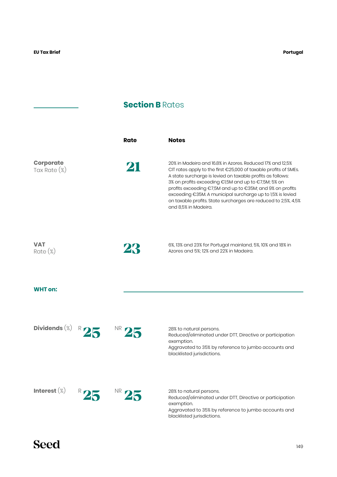## **Section B Rates**

|                                     |     | Rate | <b>Notes</b>                                                                                                                                                                                                                                                                                                                                                                                                                                                             |
|-------------------------------------|-----|------|--------------------------------------------------------------------------------------------------------------------------------------------------------------------------------------------------------------------------------------------------------------------------------------------------------------------------------------------------------------------------------------------------------------------------------------------------------------------------|
| <b>Corporate</b><br>Tax Rate $(\%)$ |     | 21   | 20% in Madeira and 16.8% in Azores. Reduced 17% and 12,5%<br>CIT rates apply to the first €25,000 of taxable profits of SMEs.<br>A state surcharge is levied on taxable profits as follows:<br>3% on profits exceeding €1,5M and up to €7,5M; 5% on<br>profits exceeding €7,5M and up to €35M; and 9% on profits<br>exceeding €35M. A municipal surcharge up to 1,5% is levied<br>on taxable profits. State surcharges are reduced to 2,5%, 4,5%<br>and 8,5% in Madeira. |
| <b>VAT</b><br>$Rate (\%)$           |     | 23   | 6%, 13% and 23% for Portugal mainland, 5%, 10% and 18% in<br>Azores and 5%; 12% and 22% in Madeira.                                                                                                                                                                                                                                                                                                                                                                      |
| <b>WHT</b> on:                      |     |      |                                                                                                                                                                                                                                                                                                                                                                                                                                                                          |
| Dividends $(\%)$                    |     |      | 28% to natural persons.<br>Reduced/eliminated under DTT, Directive or participation<br>exemption.<br>Aggravated to 35% by reference to jumbo accounts and<br>blacklisted jurisdictions.                                                                                                                                                                                                                                                                                  |
| Interest $(\%)$                     | NR. |      | 28% to natural persons.<br>Reduced/eliminated under DTT, Directive or participation<br>exemption.<br>Aggravated to 35% by reference to jumbo accounts and<br>blacklisted jurisdictions.                                                                                                                                                                                                                                                                                  |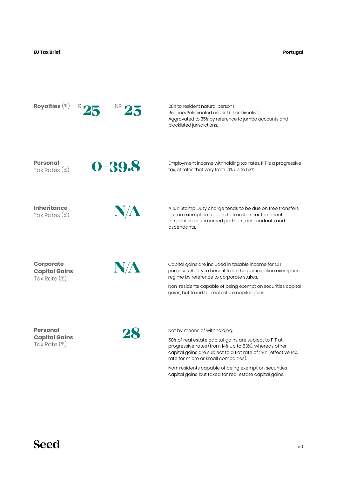**Portugal**



capital gains, but taxed for real estate capital gains.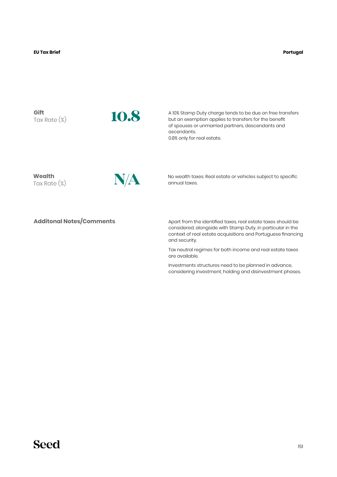**Gift** Tax Rate (%)



A 10% Stamp Duty charge tends to be due on free transfers but an exemption applies to transfers for the benefit of spouses or unmarried partners, descendants and ascendants. 0.8% only for real estate.

**Wealth** Tax Rate (%)



N/**A** No wealth taxes. Real estate or vehicles subject to specific annual taxes.

#### **Additonal Notes/Comments**

Apart from the identified taxes, real estate taxes should be considered, alongside with Stamp Duty, in particular in the context of real estate acquisitions and Portuguese financing and security.

Tax neutral regimes for both income and real estate taxes are available.

Investments structures need to be planned in advance, considering investment, holding and disinvestment phases.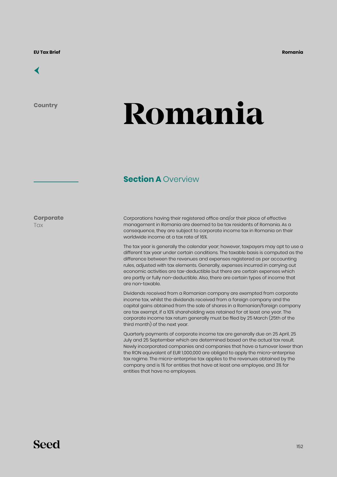### [←](#page-6-0)

**Country**

# **Romania**

### **Section A Overview**

**Corporate Tax** 

Corporations having their registered office and/or their place of effective management in Romania are deemed to be tax residents of Romania. As a consequence, they are subject to corporate income tax in Romania on their worldwide income at a tax rate of 16%.

The tax year is generally the calendar year; however, taxpayers may opt to use a different tax year under certain conditions. The taxable basis is computed as the difference between the revenues and expenses registered as per accounting rules, adjusted with tax elements. Generally, expenses incurred in carrying out economic activities are tax-deductible but there are certain expenses which are partly or fully non-deductible. Also, there are certain types of income that are non-taxable.

Dividends received from a Romanian company are exempted from corporate income tax, whilst the dividends received from a foreign company and the capital gains obtained from the sale of shares in a Romanian/foreign company are tax exempt, if a 10% shareholding was retained for at least one year. The corporate income tax return generally must be filed by 25 March (25th of the third month) of the next year.

Quarterly payments of corporate income tax are generally due on 25 April, 25 July and 25 September which are determined based on the actual tax result. Newly incorporated companies and companies that have a turnover lower than the RON equivalent of EUR 1,000,000 are obliged to apply the micro-enterprise tax regime. The micro-enterprise tax applies to the revenues obtained by the company and is 1% for entities that have at least one employee, and 3% for entities that have no employees.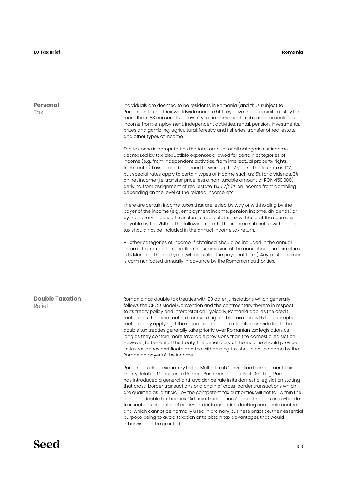| <b>Personal</b>                  | Individuals are deemed to be residents in Romania (and thus subject to                                                                                                                                                                                                                                                                                                                                                                                                                                                                                                                                                                                                                                                                                                                       |
|----------------------------------|----------------------------------------------------------------------------------------------------------------------------------------------------------------------------------------------------------------------------------------------------------------------------------------------------------------------------------------------------------------------------------------------------------------------------------------------------------------------------------------------------------------------------------------------------------------------------------------------------------------------------------------------------------------------------------------------------------------------------------------------------------------------------------------------|
| Tax                              | Romanian tax on their worldwide income) if they have their domicile or stay for<br>more than 183 consecutive days a year in Romania. Taxable income includes<br>income from: employment, independent activities, rental, pension, investments,<br>prizes and gambling, agricultural, forestry and fisheries, transfer of real estate<br>and other types of income.                                                                                                                                                                                                                                                                                                                                                                                                                           |
|                                  | The tax base is computed as the total amount of all categories of income<br>decreased by tax-deductible expenses allowed for certain categories of<br>income (e.g., from independent activities, from intellectual property rights,<br>from rental). Losses can be carried forward up to 7 years. The tax rate is 10%,<br>but special rates apply to certain types of income such as: 5% for dividends, 3%<br>on net income (i.e. transfer price less a non-taxable amount of RON 450,000)<br>deriving from assignment of real estate, 1%/16%/25% on income from gambling<br>depending on the level of the related income, etc.                                                                                                                                                              |
|                                  | There are certain income taxes that are levied by way of withholding by the<br>payer of the income (e.g., employment income, pension income, dividends) or<br>by the notary in case of transfers of real estate. Tax withheld at the source is<br>payable by the 25th of the following month. The income subject to withholding<br>tax should not be included in the annual income tax return.                                                                                                                                                                                                                                                                                                                                                                                               |
|                                  | All other categories of income, if obtained, should be included in the annual<br>income tax return. The deadline for submission of the annual income tax return<br>is 15 March of the next year (which is also the payment term). Any postponement<br>is communicated annually in advance by the Romanian authorities.                                                                                                                                                                                                                                                                                                                                                                                                                                                                       |
| <b>Double Taxation</b><br>Relief | Romania has double tax treaties with 90 other jurisdictions which generally<br>follows the OECD Model Convention and the commentary thereto in respect<br>to its treaty policy and interpretation. Typically, Romania applies the credit<br>method as the main method for avoiding double taxation, with the exemption<br>method only applying if the respective double tax treaties provide for it. The<br>double tax treaties generally take priority over Romanian tax legislation, as<br>long as they contain more favorable provisions than the domestic legislation<br>However, to benefit of the treaty, the beneficiary of the income should provide<br>its tax residency certificate and the withholding tax should not be borne by the<br>Romanian payer of the income.            |
|                                  | Romania is also a signatory to the Multilateral Convention to Implement Tax<br>Treaty Related Measures to Prevent Base Erosion and Profit Shifting. Romania<br>has introduced a general anti-avoidance rule in its domestic legislation stating<br>that cross-border transactions or a chain of cross-border transactions which<br>are qualified as "artificial" by the competent tax authorities will not fall within the<br>scope of double tax treaties. "Artificial transactions" are defined as cross-border<br>transactions or chains of cross-border transactions lacking economic content<br>and which cannot be normally used in ordinary business practice, their essential<br>purpose being to avoid taxation or to obtain tax advantages that would<br>otherwise not be granted. |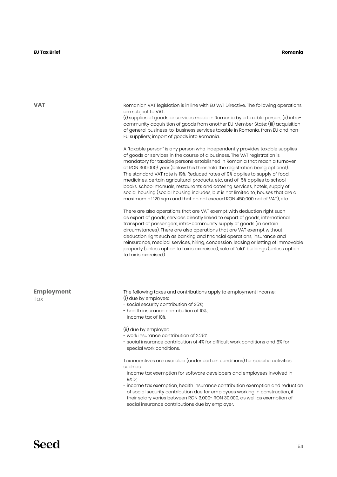#### **EU Tax Brief Romania**

**VAT**

**Employment Tax** Romanian VAT legislation is in line with EU VAT Directive. The following operations are subject to VAT: (i) supplies of goods or services made in Romania by a taxable person; (ii) intracommunity acquisition of goods from another EU Member State; (iii) acquisition of general business-to-business services taxable in Romania, from EU and non-EU suppliers; import of goods into Romania. A "taxable person" is any person who independently provides taxable supplies of goods or services in the course of a business. The VAT registration is mandatory for taxable persons established in Romania that reach a turnover of RON 300,000/ year (below this threshold the registration being optional). The standard VAT rate is 19%. Reduced rates of 9% applies to supply of food, medicines, certain agricultural products, etc. and of 5% applies to school books, school manuals, restaurants and catering services, hotels, supply of social housing (social housing includes, but is not limited to, houses that are a maximum of 120 sqm and that do not exceed RON 450,000 net of VAT), etc. There are also operations that are VAT exempt with deduction right such as export of goods, services directly linked to export of goods, international transport of passengers, intra-community supply of goods (in certain circumstances). There are also operations that are VAT exempt without deduction right such as banking and financial operations, insurance and reinsurance, medical services, hiring, concession, leasing or letting of immovable property (unless option to tax is exercised), sale of "old" buildings (unless option to tax is exercised). The following taxes and contributions apply to employment income: (i) due by employee: - social security contribution of 25%; - health insurance contribution of 10%; - income tax of 10%. (ii) due by employer: - work insurance contribution of 2.25% - social insurance contribution of 4% for difficult work conditions and 8% for special work conditions. Tax incentives are available (under certain conditions) for specific activities such as: - income tax exemption for software developers and employees involved in R&D; - income tax exemption, health insurance contribution exemption and reduction of social security contribution due for employees working in construction, if their salary varies between RON 3,000- RON 30,000, as well as exemption of social insurance contributions due by employer.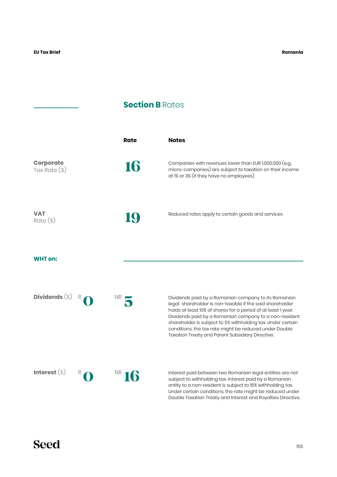J.

## **Section B Rates**

|                                     |   | <b>Rate</b>     | <b>Notes</b>                                                                                                                                                                                                                                                                                                                                                                                                             |
|-------------------------------------|---|-----------------|--------------------------------------------------------------------------------------------------------------------------------------------------------------------------------------------------------------------------------------------------------------------------------------------------------------------------------------------------------------------------------------------------------------------------|
| <b>Corporate</b><br>Tax Rate $(\%)$ |   | 16              | Companies with revenues lower than EUR 1,000,000 (e.g.,<br>micro-companies) are subject to taxation on their income<br>at 1% or 3% (if they have no employees).                                                                                                                                                                                                                                                          |
| <b>VAT</b><br>$Rate (\%)$           |   | 19              | Reduced rates apply to certain goods and services                                                                                                                                                                                                                                                                                                                                                                        |
| <b>WHT on:</b>                      |   |                 |                                                                                                                                                                                                                                                                                                                                                                                                                          |
| Dividends $(\%)$                    |   | NR              | Dividends paid by a Romanian company to its Romanian<br>legal shareholder is non-taxable if the said shareholder<br>holds at least 10% of shares for a period of at least 1 year.<br>Dividends paid by a Romanian company to a non-resident<br>shareholder is subject to 5% withholding tax. Under certain<br>conditions, the tax rate might be reduced under Double<br>Taxation Treaty and Parent Subsidiary Directive. |
| Interest $(\%)$                     | R | NR <sub>1</sub> | Interest paid between two Romanian legal entities are not<br>subject to withholding tax. Interest paid by a Romanian<br>entity to a non-resident is subject to 16% withholding tax.<br>Under certain conditions, the rate might be reduced under<br>Double Taxation Treaty and Interest and Royalties Directive.                                                                                                         |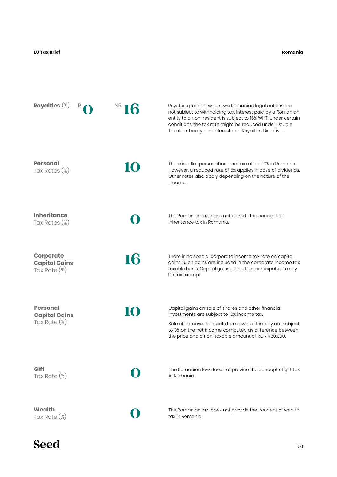**Romania**

| Royalties $(\%)$                                            | NR. | Royalties paid between two Romanian legal entities are<br>not subject to withholding tax. Interest paid by a Romanian<br>entity to a non-resident is subject to 16% WHT. Under certain<br>conditions, the tax rate might be reduced under Double<br>Taxation Treaty and Interest and Royalties Directive. |
|-------------------------------------------------------------|-----|-----------------------------------------------------------------------------------------------------------------------------------------------------------------------------------------------------------------------------------------------------------------------------------------------------------|
| <b>Personal</b><br>Tax Rates (%)                            | 10  | There is a flat personal income tax rate of 10% in Romania.<br>However, a reduced rate of 5% applies in case of dividends.<br>Other rates also apply depending on the nature of the<br>income.                                                                                                            |
| <b>Inheritance</b><br>Tax Rates (%)                         |     | The Romanian law does not provide the concept of<br>inheritance tax in Romania.                                                                                                                                                                                                                           |
| <b>Corporate</b><br><b>Capital Gains</b><br>Tax Rate $(\%)$ | 16  | There is no special corporate income tax rate on capital<br>gains. Such gains are included in the corporate income tax<br>taxable basis. Capital gains on certain participations may<br>be tax exempt.                                                                                                    |
| <b>Personal</b><br><b>Capital Gains</b><br>Tax Rate (%)     | IO  | Capital gains on sale of shares and other financial<br>investments are subject to 10% income tax.<br>Sale of immovable assets from own patrimony are subject<br>to 3% on the net income computed as difference between<br>the price and a non-taxable amount of RON 450,000.                              |
| Gift<br>Tax Rate $(\%)$                                     |     | The Romanian law does not provide the concept of gift tax<br>in Romania.                                                                                                                                                                                                                                  |
| Wealth<br>Tax Rate (%)                                      |     | The Romanian law does not provide the concept of wealth<br>tax in Romania.                                                                                                                                                                                                                                |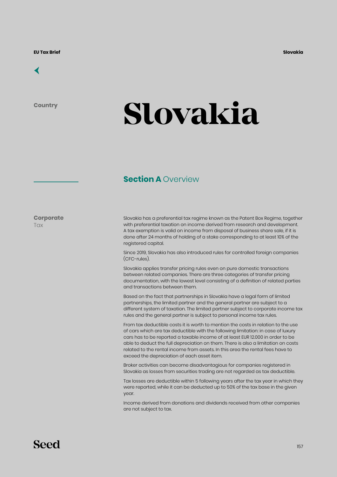

**Country**

## **Slovakia**

#### **Section A Overview**

**Corporate Tax** 

Slovakia has a preferential tax regime known as the Patent Box Regime, together with preferential taxation on income derived from research and development. A tax exemption is valid on income from disposal of business share sale, if it is done after 24 months of holding of a stake corresponding to at least 10% of the registered capital.

Since 2019, Slovakia has also introduced rules for controlled foreign companies (CFC-rules).

Slovakia applies transfer pricing rules even on pure domestic transactions between related companies. There are three categories of transfer pricing documentation, with the lowest level consisting of a definition of related parties and transactions between them.

Based on the fact that partnerships in Slovakia have a legal form of limited partnerships, the limited partner and the general partner are subject to a different system of taxation. The limited partner subject to corporate income tax rules and the general partner is subject to personal income tax rules.

From tax deductible costs it is worth to mention the costs in relation to the use of cars which are tax deductible with the following limitation: in case of luxury cars has to be reported a taxable income of at least EUR 12.000 in order to be able to deduct the full depreciation on them. There is also a limitation on costs related to the rental income from assets. In this area the rental fees have to exceed the depreciation of each asset item.

Broker activities can become disadvantagious for companies registered in Slovakia as losses from securities trading are not regarded as tax deductible.

Tax losses are deductible within 5 following years after the tax year in which they were reported, while it can be deducted up to 50% of the tax base in the given year.

Income derived from donations and dividends received from other companies are not subject to tax.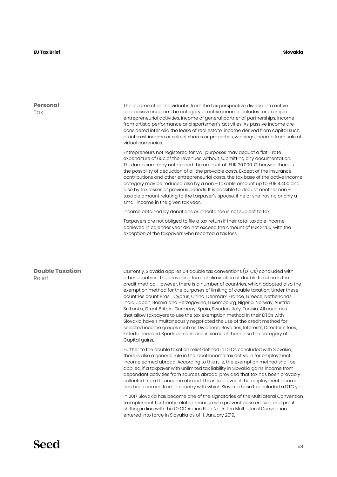#### **Slovakia**

| The income of an individual is from the tax perspective divided into active<br>and passive income. The category of active income includes for example<br>entrepreneurial activities, income of general partner of partnerships, income<br>from artistic performance and sportsmen's activities. As passive income are<br>considered inter alia the lease of real estate, income derived from capital such<br>as interest income or sale of shares or properties, winnings, income from sale of<br>virtual currencies.                                                                                                                                                                                                                                                                                                                                                                                                                                                                                                                                                                                                                                                                                                                                                                                                                                                                                                                                                                                                                                                                                                                                                                                                                                                                                                               |
|-------------------------------------------------------------------------------------------------------------------------------------------------------------------------------------------------------------------------------------------------------------------------------------------------------------------------------------------------------------------------------------------------------------------------------------------------------------------------------------------------------------------------------------------------------------------------------------------------------------------------------------------------------------------------------------------------------------------------------------------------------------------------------------------------------------------------------------------------------------------------------------------------------------------------------------------------------------------------------------------------------------------------------------------------------------------------------------------------------------------------------------------------------------------------------------------------------------------------------------------------------------------------------------------------------------------------------------------------------------------------------------------------------------------------------------------------------------------------------------------------------------------------------------------------------------------------------------------------------------------------------------------------------------------------------------------------------------------------------------------------------------------------------------------------------------------------------------|
| Entrepreneurs not registered for VAT purposes may deduct a flat - rate<br>expenditure of 60% of the revenues without submitting any documentation.<br>This lump sum may not exceed the amount of EUR 20.000. Otherwise there is<br>the possbility of deduction of all the provable costs. Except of the insurance<br>contributions and other entrepreneurial costs, the tax base of the active income<br>category may be reduced also by a non - taxable amount up to EUR 4.400 and<br>also by tax losses of previous periods. It is possible to deduct another non -<br>taxable amount relating to the taxpayer's spouse, if he or she has no or only a<br>small income in the given tax year.                                                                                                                                                                                                                                                                                                                                                                                                                                                                                                                                                                                                                                                                                                                                                                                                                                                                                                                                                                                                                                                                                                                                     |
| Income obtained by donations or inheritance is not subject to tax.                                                                                                                                                                                                                                                                                                                                                                                                                                                                                                                                                                                                                                                                                                                                                                                                                                                                                                                                                                                                                                                                                                                                                                                                                                                                                                                                                                                                                                                                                                                                                                                                                                                                                                                                                                  |
| Taxpayers are not obliged to file a tax return if their total taxable income<br>achieved in calender year did not exceed the amount of EUR 2.200, with the<br>exception of the taxpayers who reported a tax loss.                                                                                                                                                                                                                                                                                                                                                                                                                                                                                                                                                                                                                                                                                                                                                                                                                                                                                                                                                                                                                                                                                                                                                                                                                                                                                                                                                                                                                                                                                                                                                                                                                   |
| Currently, Slovakia applies 64 double tax conventions (DTCs) concluded with<br>other countries. The prevailing form of elimination of double taxation is the<br>credit method. However, there is a number of countries, which adopted also the<br>exemption method for the purposes of limiting of double taxation. Under these<br>countries count Brasil, Cyprus, China, Denmark, France, Greece, Netherlands,<br>India, Japan, Bosnia and Herzegovina, Luxembourg, Nigeria, Norway, Austria,<br>Sri Lanka, Great Britain, Germany, Spain, Sweden, Italy, Tunisia. All countries<br>that allow taxpayers to use the tax exemption method in their DTCs with<br>Slovakia have simultaneously negotiated the use of the credit method for<br>selected income groups such as Dividends, Royalties, Interests, Director's fees,<br>Entertainers and Sportspersons and in some of them also the category of<br>Capital gains.<br>Further to the double taxation relief defined in DTCs concluded with Slovakia,<br>there is also a general rule in the local Income tax act valid for employment<br>income earned abroad. According to this rule, the exemption method shall be<br>applied, if a taxpayer with unlimited tax liability in Slovakia gains income from<br>dependant activities from sources abroad, provided that tax has been provably<br>collected from this income abroad. This is true even if the employment income<br>has been earned from a country with which Slovakia hasn't concluded a DTC yet.<br>In 2017 Slovakia has become one of the signatories of the Multilateral Convention<br>to implement tax treaty related measures to prevent base erosion and profit<br>shifting in line with the OECD Action Plan Nr. 15. The Multilateral Convention<br>entered into force in Slovakia as of 1. January 2019. |
|                                                                                                                                                                                                                                                                                                                                                                                                                                                                                                                                                                                                                                                                                                                                                                                                                                                                                                                                                                                                                                                                                                                                                                                                                                                                                                                                                                                                                                                                                                                                                                                                                                                                                                                                                                                                                                     |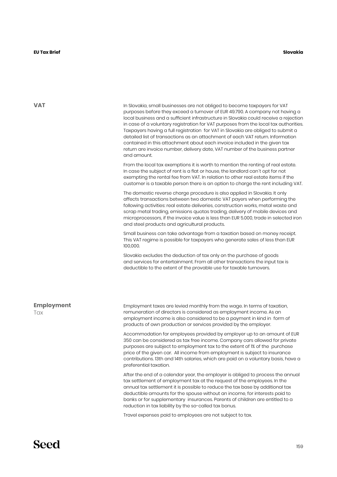**VAT**

In Slovakia, small businesses are not obliged to become taxpayers for VAT purposes before they exceed a turnover of EUR 49.790. A company not having a local business and a sufficient infrastructure in Slovakia could receive a rejection in case of a voluntary registration for VAT purposes from the local tax authorities. Taxpayers having a full registration for VAT in Slovakia are obliged to submit a detailed list of transactions as an attachment of each VAT return. Information contained in this attachment about each invoice included in the given tax return are invoice number, delivery date, VAT number of the business partner and amount.

From the local tax exemptions it is worth to mention the renting of real estate. In case the subject of rent is a flat or house, the landlord can´t opt for not exempting the rental fee from VAT. In relation to other real estate items if the customer is a taxable person there is an option to charge the rent including VAT.

The domestic reverse charge procedure is also applied in Slovakia. It only affects transactions between two domestic VAT payers when performing the following activities: real estate deliveries, construction works, metal waste and scrap metal trading, emissions quotas trading, delivery of mobile devices and microprocessors, if the invoice value is less than EUR 5.000, trade in selected iron and steel products and agricultural products.

Small business can take advantage from a taxation based on money receipt. This VAT regime is possible for taxpayers who generate sales of less than EUR 100,000.

Slovakia excludes the deduction of tax only on the purchase of goods and services for entertainment. From all other transactions the input tax is deductible to the extent of the provable use for taxable turnovers.

**Employment**

**Tax** 

Employment taxes are levied monthly from the wage. In terms of taxation, remuneration of directors is considered as employment income. As an employment income is also considered to be a payment in kind in form of products of own production or services provided by the employer.

Accommodation for employees provided by employer up to an amount of EUR 350 can be considered as tax free income. Company cars allowed for private purposes are subject to employment tax to the extent of 1% of the purchase price of the given car. All income from employment is subject to insurance contributions. 13th and 14th salaries, which are paid on a voluntary basis, have a preferential taxation.

After the end of a calendar year, the employer is obliged to process the annual tax settlement of employment tax at the request of the employees. In the annual tax settlement it is possible to reduce the tax base by additional tax deductible amounts for the spouse without an income, for interests paid to banks or for supplementary insurances. Parents of children are entitled to a reduction in tax liability by the so-called tax bonus.

Travel expenses paid to employees are not subject to tax.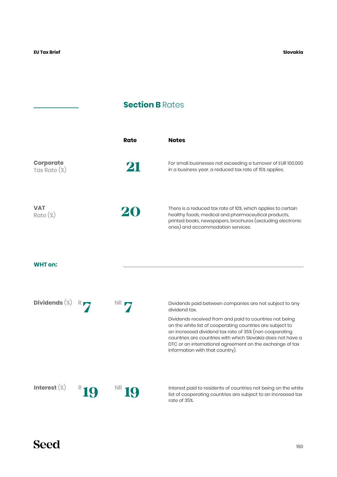## **Section B Rates**

|                                     | Rate | <b>Notes</b>                                                                                                                                                                                                                                                                                                                                                                                                             |
|-------------------------------------|------|--------------------------------------------------------------------------------------------------------------------------------------------------------------------------------------------------------------------------------------------------------------------------------------------------------------------------------------------------------------------------------------------------------------------------|
| <b>Corporate</b><br>Tax Rate $(\%)$ | 21   | For small businesses not exceeding a turnover of EUR 100,000<br>in a business year, a reduced tax rate of 15% applies.                                                                                                                                                                                                                                                                                                   |
| <b>VAT</b><br>Rate (%)              |      | There is a reduced tax rate of 10%, which applies to certain<br>healthy foods, medical and pharmaceutical products,<br>printed books, newspapers, brochures (excluding electronic<br>ones) and accommodation services.                                                                                                                                                                                                   |
| <b>WHT</b> on:                      |      |                                                                                                                                                                                                                                                                                                                                                                                                                          |
| Dividends $(\%)$                    | NR.  | Dividends paid between companies are not subject to any<br>dividend tax.<br>Dividends received from and paid to countries not being<br>on the white list of cooperating countries are subject to<br>an increased dividend tax rate of 35% (non cooperating<br>countries are countries with which Slovakia does not have a<br>DTC or an international agreement on the exchange of tax<br>information with that country). |
| Interest $(\%)$                     |      | Interest paid to residents of countries not being on the white<br>list of cooperating countries are subject to an increased tax<br>rate of 35%.                                                                                                                                                                                                                                                                          |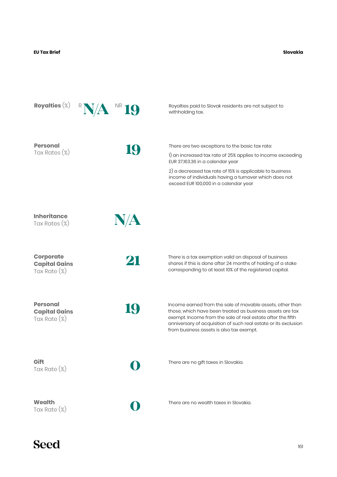**Slovakia**

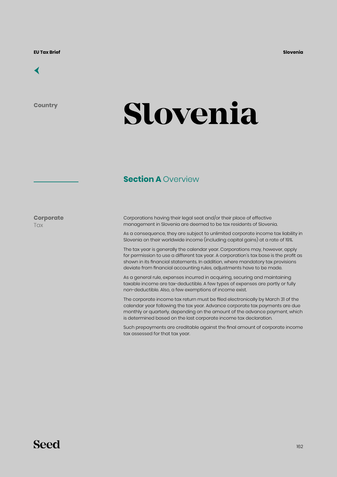

**Country**

# **Slovenia**

### **Section A Overview**

**Corporate Tax** 

Corporations having their legal seat and/or their place of effective management in Slovenia are deemed to be tax residents of Slovenia.

As a consequence, they are subject to unlimited corporate income tax liability in Slovenia on their worldwide income (including capital gains) at a rate of 19%.

The tax year is generally the calendar year. Corporations may, however, apply for permission to use a different tax year. A corporation's tax base is the profit as shown in its financial statements. In addition, where mandatory tax provisions deviate from financial accounting rules, adjustments have to be made.

As a general rule, expenses incurred in acquiring, securing and maintaining taxable income are tax-deductible. A few types of expenses are partly or fully non-deductible. Also, a few exemptions of income exist.

The corporate income tax return must be filed electronically by March 31 of the calendar year following the tax year. Advance corporate tax payments are due monthly or quarterly, depending on the amount of the advance payment, which is determined based on the last corporate income tax declaration.

Such prepayments are creditable against the final amount of corporate income tax assessed for that tax year.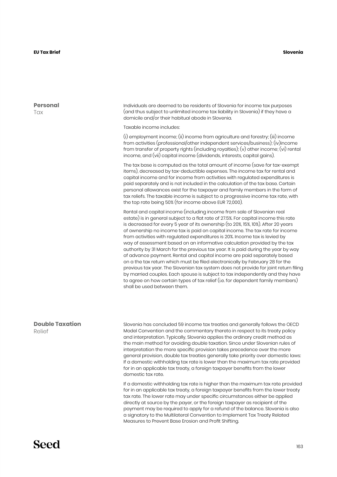#### **Slovenia**

**Personal T**ax

Individuals are deemed to be residents of Slovenia for income tax purposes (and thus subject to unlimited income tax liability in Slovenia) if they have a domicile and/or their habitual abode in Slovenia.

Taxable income includes:

(i) employment income; (ii) income from agriculture and forestry; (iii) income from activities (professional/other independent services/business); (iv)income from transfer of property rights (including royalties); (v) other income; (vi) rental income, and (vii) capital income (dividends, interests, capital gains).

The tax base is computed as the total amount of income (save for tax-exempt items), decreased by tax-deductible expenses. The income tax for rental and capital income and for income from activities with regulated expenditures is paid separately and is not included in the calculation of the tax base. Certain personal allowances exist for the taxpayer and family members in the form of tax reliefs. The taxable income is subject to a progressive income tax rate, with the top rate being 50% (for income above EUR 72,000).

Rental and capital income (including income from sale of Slovenian real estate) is in general subject to a flat rate of 27.5%. For capital income this rate is decreased for every 5 year of its ownership (to 20%, 15%, 10%). After 20 years of ownership no income tax is paid on capital income. The tax rate for income from activities with regulated expenditures is 20%. Income tax is levied by way of assessment based on an informative calculation provided by the tax authority by 31 March for the previous tax year. It is paid during the year by way of advance payment. Rental and capital income are paid separately based on a the tax return which must be filed electronically by February 28 for the previous tax year. The Slovenian tax system does not provide for joint return filing by married couples. Each spouse is subject to tax independently and they have to agree on how certain types of tax relief (i.e. for dependent family members) shall be used between them.

#### **Double Taxation** Relief

Slovenia has concluded 59 income tax treaties and generally follows the OECD Model Convention and the commentary thereto in respect to its treaty policy and interpretation. Typically, Slovenia applies the ordinary credit method as the main method for avoiding double taxation. Since under Slovenian rules of interpretation the more specific provision takes precedence over the more general provision, double tax treaties generally take priority over domestic laws: If a domestic withholding tax rate is lower than the maximum tax rate provided for in an applicable tax treaty, a foreign taxpayer benefits from the lower domestic tax rate.

If a domestic withholding tax rate is higher than the maximum tax rate provided for in an applicable tax treaty, a foreign taxpayer benefits from the lower treaty tax rate. The lower rate may under specific circumstances either be applied directly at source by the payer, or the foreign taxpayer as recipient of the payment may be required to apply for a refund of the balance. Slovenia is also a signatory to the Multilateral Convention to Implement Tax Treaty Related Measures to Prevent Base Erosion and Profit Shifting.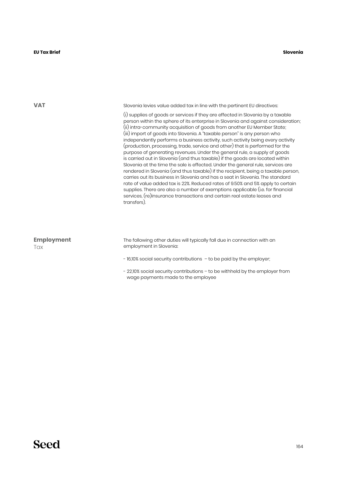**VAT**

Slovenia levies value added tax in line with the pertinent EU directives:

(i) supplies of goods or services if they are effected in Slovenia by a taxable person within the sphere of its enterprise in Slovenia and against consideration; (ii) intra-community acquisition of goods from another EU Member State; (iii) import of goods into Slovenia. A "taxable person" is any person who independently performs a business activity, such activity being every activity (production, processing, trade, service and other) that is performed for the purpose of generating revenues. Under the general rule, a supply of goods is carried out in Slovenia (and thus taxable) if the goods are located within Slovenia at the time the sale is effected. Under the general rule, services are rendered in Slovenia (and thus taxable) if the recipient, being a taxable person, carries out its business in Slovenia and has a seat in Slovenia. The standard rate of value added tax is 22%. Reduced rates of 9.50% and 5% apply to certain supplies. There are also a number of exemptions applicable (i.e. for financial services, (re)insurance transactions and certain real estate leases and transfers).

| <b>Employment</b> | The following other duties will typically fall due in connection with an |  |
|-------------------|--------------------------------------------------------------------------|--|
| Tax               | employment in Slovenia:                                                  |  |
|                   | - 16,10% social security contributions - to be paid by the employer;     |  |

- 22,10% social security contributions – to be withheld by the employer from wage payments made to the employee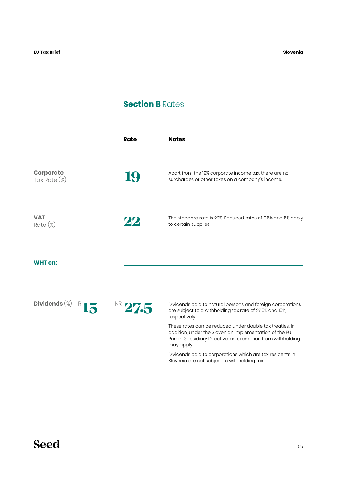### **Section B Rates**

|                                     | <b>Rate</b> | <b>Notes</b>                                                                                                                                                                                                                                                |
|-------------------------------------|-------------|-------------------------------------------------------------------------------------------------------------------------------------------------------------------------------------------------------------------------------------------------------------|
| <b>Corporate</b><br>Tax Rate $(\%)$ | IŲ,         | Apart from the 19% corporate income tax, there are no<br>surcharges or other taxes on a company's income.                                                                                                                                                   |
| <b>VAT</b><br>$Rate (\%)$           | 22          | The standard rate is 22%. Reduced rates of 9.5% and 5% apply<br>to certain supplies.                                                                                                                                                                        |
| <b>WHT on:</b>                      |             |                                                                                                                                                                                                                                                             |
| Dividends $(\%)$                    | NR 27.5     | Dividends paid to natural persons and foreign corporations<br>are subject to a withholding tax rate of 27.5% and 15%,<br>respectively.                                                                                                                      |
|                                     |             | These rates can be reduced under double tax treaties. In<br>addition, under the Slovenian implementation of the EU<br>Parent Subsidiary Directive, an exemption from withholding<br>may apply.<br>Dividends paid to corporations which are tax residents in |
|                                     |             | Slovenia are not subject to withholding tax.                                                                                                                                                                                                                |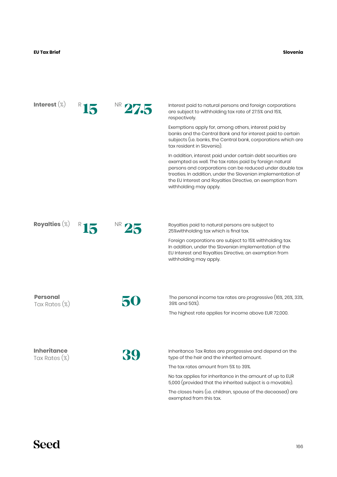#### **EU Tax Brief Slovenia**

| Interest $(\%)$                     |  | Interest paid to natural persons and foreign corporations<br>are subject to withholding tax rate of 27.5% and 15%,<br>respectively.                                                                                                                                                                                                         |
|-------------------------------------|--|---------------------------------------------------------------------------------------------------------------------------------------------------------------------------------------------------------------------------------------------------------------------------------------------------------------------------------------------|
|                                     |  | Exemptions apply for, among others, interest paid by<br>banks and the Central Bank and for interest paid to certain<br>subjects (i.e. banks, the Central bank, corporations which are<br>tax resident in Slovenia).                                                                                                                         |
|                                     |  | In addition, interest paid under certain debt securities are<br>exempted as well. The tax rates paid by foreign natural<br>persons and corporations can be reduced under double tax<br>treaties. In addition, under the Slovenian implementation of<br>the EU Interest and Royalties Directive, an exemption from<br>withholding may apply. |
|                                     |  |                                                                                                                                                                                                                                                                                                                                             |
| Royalties $(\%)$                    |  | Royalties paid to natural persons are subject to<br>25% with holding tax which is final tax.                                                                                                                                                                                                                                                |
|                                     |  | Foreign corporations are subject to 15% withholding tax.<br>In addition, under the Slovenian implementation of the<br>EU Interest and Royalties Directive, an exemption from<br>withholding may apply.                                                                                                                                      |
|                                     |  |                                                                                                                                                                                                                                                                                                                                             |
| <b>Personal</b><br>Tax Rates (%)    |  | The personal income tax rates are progressive (16%, 26%, 33%,<br>39% and 50%).                                                                                                                                                                                                                                                              |
|                                     |  | The highest rate applies for income above EUR 72,000.                                                                                                                                                                                                                                                                                       |
|                                     |  |                                                                                                                                                                                                                                                                                                                                             |
| <b>Inheritance</b><br>Tax Rates (%) |  | Inheritance Tax Rates are progressive and depend on the<br>type of the heir and the inherited amount.                                                                                                                                                                                                                                       |
|                                     |  | The tax rates amount from 5% to 39%.                                                                                                                                                                                                                                                                                                        |
|                                     |  | No tax applies for inheritance in the amount of up to EUR<br>5,000 (provided that the inherited subject is a movable).                                                                                                                                                                                                                      |
|                                     |  | The closes heirs (i.e. children, spouse of the deceased) are<br>exempted from this tax.                                                                                                                                                                                                                                                     |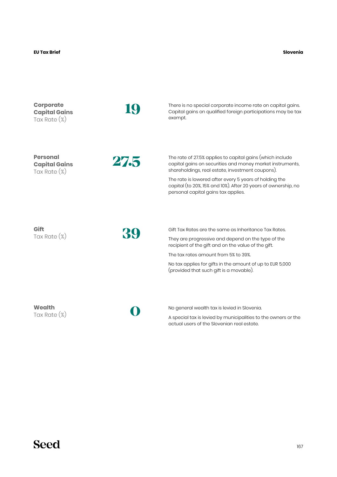#### **EU Tax Brief Slovenia**

| <b>Corporate</b><br><b>Capital Gains</b><br>Tax Rate $(\%)$ |      | There is no special corporate income rate on capital gains.<br>Capital gains on qualified foreign participations may be tax<br>exempt.                                                                                                                                                                                                        |
|-------------------------------------------------------------|------|-----------------------------------------------------------------------------------------------------------------------------------------------------------------------------------------------------------------------------------------------------------------------------------------------------------------------------------------------|
| <b>Personal</b><br><b>Capital Gains</b><br>Tax Rate $(\%)$  | 27.5 | The rate of 27.5% applies to capital gains (which include<br>capital gains on securities and money market instruments,<br>shareholdings, real estate, investment coupons).<br>The rate is lowered after every 5 years of holding the<br>capital (to 20%, 15% and 10%). After 20 years of ownership, no<br>personal capital gains tax applies. |
| Gift<br>Tax Rate $(\%)$                                     |      | Gift Tax Rates are the same as Inheritance Tax Rates.<br>They are progressive and depend on the type of the<br>recipient of the gift and on the value of the gift.<br>The tax rates amount from 5% to 39%.<br>No tax applies for gifts in the amount of up to EUR 5,000<br>(provided that such gift is a movable).                            |
| Wealth<br>Tax Rate $(\%)$                                   |      | No general wealth tax is levied in Slovenia.<br>A special tax is levied by municipalities to the owners or the<br>actual users of the Slovenian real estate.                                                                                                                                                                                  |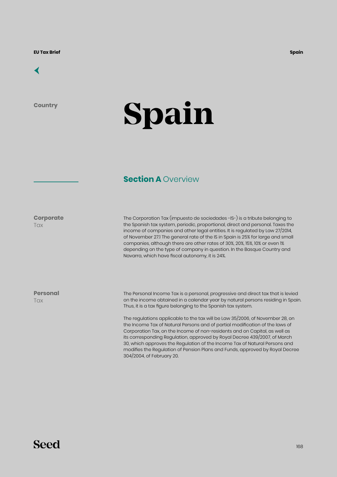

**Country**

# **Spain**

### **Section A Overview**

**Corporate**

**Tax** 

The Corporation Tax (impuesto de sociedades -IS-) is a tribute belonging to the Spanish tax system, periodic, proportional, direct and personal. Taxes the income of companies and other legal entities. It is regulated by Law 27/2014, of November 27.1 The general rate of the IS in Spain is 25% for large and small companies, although there are other rates of 30%, 20%, 15%, 10% or even 1% depending on the type of company in question. In the Basque Country and Navarra, which have fiscal autonomy, it is 24%.

**Personal Tax** 

The Personal Income Tax is a personal, progressive and direct tax that is levied on the income obtained in a calendar year by natural persons residing in Spain. Thus, it is a tax figure belonging to the Spanish tax system.

The regulations applicable to the tax will be Law 35/2006, of November 28, on the Income Tax of Natural Persons and of partial modification of the laws of Corporation Tax, on the Income of non-residents and on Capital, as well as its corresponding Regulation, approved by Royal Decree 439/2007, of March 30, which approves the Regulation of the Income Tax of Natural Persons and modifies the Regulation of Pension Plans and Funds, approved by Royal Decree 304/2004, of February 20.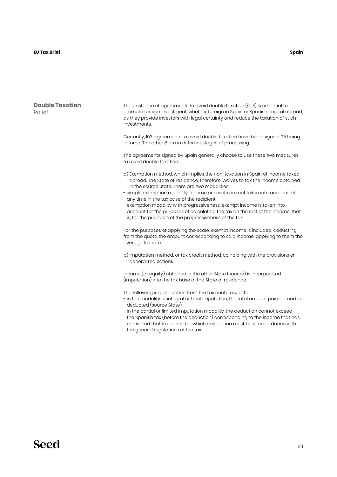#### **Double Taxation** Relief

The existence of agreements to avoid double taxation (CDI) is essential to promote foreign investment, whether foreign in Spain or Spanish capital abroad, as they provide investors with legal certainty and reduce the taxation of such investments.

Currently, 103 agreements to avoid double taxation have been signed, 95 being in force. The other 8 are in different stages of processing.

The agreements signed by Spain generally choose to use these two measures to avoid double taxation:

- a) Exemption method, which implies the non-taxation in Spain of income taxed abroad. The State of residence, therefore, waives to tax the income obtained in the source State. There are two modalities:
- simple exemption modality: income or assets are not taken into account, at any time in the tax base of the recipient,
- exemption modality with progressiveness: exempt income is taken into account for the purposes of calculating the tax on the rest of the income, that is, for the purposes of the progressiveness of the tax.

For the purposes of applying the scale, exempt income is included, deducting from the quota the amount corresponding to said income, applying to them the average tax rate.

b) Imputation method, or tax credit method, coinciding with the provisions of general regulations.

Income (or equity) obtained in the other State (source) is incorporated (imputation) into the tax base of the State of residence.

The following is a deduction from the tax quota equal to:

- in the modality of integral or total imputation, the total amount paid abroad is deducted (source State)
- In the partial or limited imputation modality, the deduction cannot exceed the Spanish tax (before the deduction) corresponding to the income that has motivated that tax, a limit for which calculation must be in accordance with the general regulations of the tax .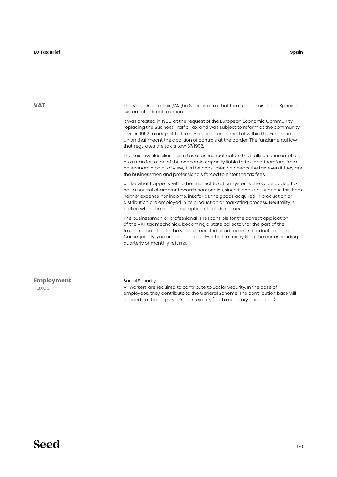**VAT** The Value Added Tax (VAT) in Spain is a tax that forms the basis of the Spanish system of indirect taxation. It was created in 1986, at the request of the European Economic Community, replacing the Business Traffic Tax, and was subject to reform at the community level in 1992 to adapt it to the so-called internal market within the European Union that meant the abolition of controls at the border. The fundamental law that regulates the tax is Law 37/1992. The Tax Law classifies it as a tax of an indirect nature that falls on consumption, as a manifestation of the economic capacity liable to tax, and therefore, from an economic point of view, it is the consumer who bears the tax, even if they are the businessmen and professionals forced to enter the tax fees. Unlike what happens with other indirect taxation systems, the value added tax has a neutral character towards companies, since it does not suppose for them neither expense nor income, insofar as the goods acquired in production or distribution are employed in its production or marketing process. Neutrality is broken when the final consumption of goods occurs. The businessman or professional is responsible for the correct application of the VAT tax mechanics, becoming a State collector, for the part of the tax corresponding to the value generated or added in its production phase. Consequently, you are obliged to self-settle the tax by filing the corresponding quarterly or monthly returns. Social Security All workers are required to contribute to Social Security. In the case of employees, they contribute to the General Scheme. The contribution base will **Employment** Taxes

depend on the employee's gross salary (both monetary and in kind).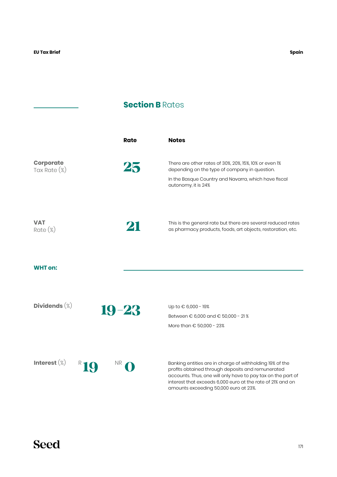## **Section B Rates**

|                                     | <b>Rate</b> | <b>Notes</b>                                                                                                                                                                                                                                                                         |
|-------------------------------------|-------------|--------------------------------------------------------------------------------------------------------------------------------------------------------------------------------------------------------------------------------------------------------------------------------------|
| <b>Corporate</b><br>Tax Rate $(\%)$ | 25          | There are other rates of 30%, 20%, 15%, 10% or even 1%<br>depending on the type of company in question.                                                                                                                                                                              |
|                                     |             | In the Basque Country and Navarra, which have fiscal<br>autonomy, it is 24%                                                                                                                                                                                                          |
| <b>VAT</b><br>$Rate (\%)$           | 21          | This is the general rate but there are several reduced rates<br>as pharmacy products, foods, art objects, restoration, etc.                                                                                                                                                          |
| <b>WHT</b> on:                      |             |                                                                                                                                                                                                                                                                                      |
| Dividends $(\%)$                    |             | Up to € 6,000 - 19%                                                                                                                                                                                                                                                                  |
| $19 - 23$                           |             | Between € 6,000 and € 50,000 - 21 %<br>More than € 50,000 - 23%                                                                                                                                                                                                                      |
| Interest $(\%)$<br><b>NR</b>        |             | Banking entities are in charge of withholding 19% of the<br>profits obtained through deposits and remunerated<br>accounts. Thus, one will only have to pay tax on the part of<br>interest that exceeds 6,000 euro at the rate of 21% and on<br>amounts exceeding 50,000 euro at 23%. |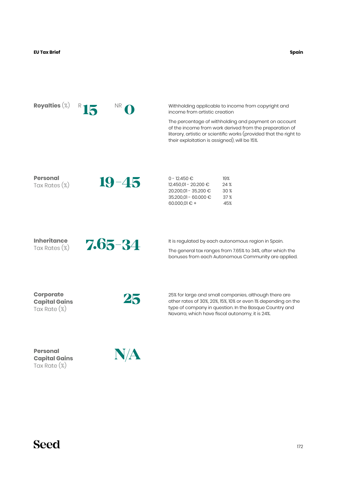| Royalties $(\%)$                                            | ΝR          | Withholding applicable to income from copyright and<br>income from artistic creation<br>The percentage of withholding and payment on account<br>of the income from work derived from the preparation of<br>literary, artistic or scientific works (provided that the right to<br>their exploitation is assigned), will be 15%. |
|-------------------------------------------------------------|-------------|--------------------------------------------------------------------------------------------------------------------------------------------------------------------------------------------------------------------------------------------------------------------------------------------------------------------------------|
| <b>Personal</b><br>Tax Rates (%)                            | $19 - 45$   | $0 - 12.450 \in$<br>19%<br>24%<br>12.450,01 - 20.200 €<br>30 %<br>20.200,01 - 35.200 €<br>35.200,01 - 60.000 €<br>37%<br>45%<br>60.000,01 $\in$ +                                                                                                                                                                              |
| <b>Inheritance</b><br>Tax Rates $(\%)$                      | $7.65 - 34$ | It is regulated by each autonomous region in Spain.<br>The general tax ranges from 7.65% to 34%, after which the<br>bonuses from each Autonomous Community are applied.                                                                                                                                                        |
| <b>Corporate</b><br><b>Capital Gains</b><br>Tax Rate $(\%)$ | 25          | 25% for large and small companies, although there are<br>other rates of 30%, 20%, 15%, 10% or even 1% depending on the<br>type of company in question. In the Basque Country and<br>Navarra, which have fiscal autonomy, it is 24%.                                                                                            |
| <b>Personal</b><br><b>Capital Gains</b><br>Tax Rate $(\%)$  | N/A         |                                                                                                                                                                                                                                                                                                                                |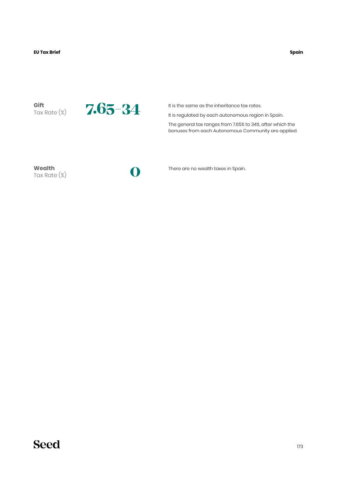**Spain**

**Gift**



It is the same as the inheritance tax rates.

It is regulated by each autonomous region in Spain.

The general tax ranges from 7.65% to 34%, after which the bonuses from each Autonomous Community are applied.

**Wealth** Tax Rate (%)

There are no wealth taxes in Spain.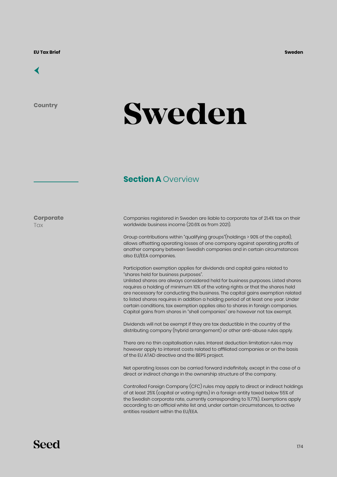

**Country**

## **Sweden**

#### **Section A Overview**

**Corporate Tax** 

Companies registered in Sweden are liable to corporate tax of 21.4% tax on their worldwide business income (20.6% as from 2021).

Group contributions within "qualifying groups"(holdings > 90% of the capital), allows offsetting operating losses of one company against operating profits of another company between Swedish companies and in certain circumstances also EU/EEA companies.

Participation exemption applies for dividends and capital gains related to "shares held for business purposes".

Unlisted shares are always considered held for business purposes. Listed shares requires a holding of minimum 10% of the voting rights or that the shares held are necessary for conducting the business. The capital gains exemption related to listed shares requires in addition a holding period of at least one year. Under certain conditions, tax exemption applies also to shares in foreign companies. Capital gains from shares in "shell companies" are however not tax exempt.

Dividends will not be exempt if they are tax deductible in the country of the distributing company (hybrid arrangement) or other anti-abuse rules apply.

There are no thin capitalisation rules. Interest deduction limitation rules may however apply to interest costs related to affiliated companies or on the basis of the EU ATAD directive and the BEPS project.

Net operating losses can be carried forward indefinitely, except in the case of a direct or indirect change in the ownership structure of the company.

Controlled Foreign Company (CFC) rules may apply to direct or indirect holdings of at least 25% (capital or voting rights) in a foreign entity taxed below 55% of the Swedish corporate rate, currently corresponding to 11.77%). Exemptions apply according to an official white list and, under certain circumstances, to active entities resident within the EU/EEA.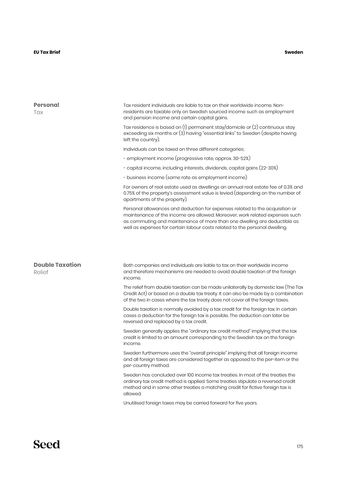| <b>Personal</b><br>Tax           | Tax resident individuals are liable to tax on their worldwide income. Non-<br>residents are taxable only on Swedish sourced income such as employment<br>and pension income and certain capital gains.                                                                                                                 |  |  |  |
|----------------------------------|------------------------------------------------------------------------------------------------------------------------------------------------------------------------------------------------------------------------------------------------------------------------------------------------------------------------|--|--|--|
|                                  | Tax residence is based on (1) permanent stay/domicile or (2) continuous stay<br>exceeding six months or (3) having "essential links" to Sweden (despite having<br>left the country).                                                                                                                                   |  |  |  |
|                                  | Individuals can be taxed on three different categories;                                                                                                                                                                                                                                                                |  |  |  |
|                                  | - employment income (progressive rate, approx. 30-52%)                                                                                                                                                                                                                                                                 |  |  |  |
|                                  | - capital income, including interests, dividends, capital gains (22-30%)                                                                                                                                                                                                                                               |  |  |  |
|                                  | - business income (same rate as employment income)                                                                                                                                                                                                                                                                     |  |  |  |
|                                  | For owners of real estate used as dwellings an annual real estate fee of 0.3% and<br>0.75% of the property's assessment value is levied (depending on the number of<br>apartments of the property).                                                                                                                    |  |  |  |
|                                  | Personal allowances and deduction for expenses related to the acquisition or<br>maintenance of the income are allowed. Moreover, work related expenses such<br>as commuting and maintenance of more than one dwelling are deductible as<br>well as expenses for certain labour costs related to the personal dwelling. |  |  |  |
| <b>Double Taxation</b><br>Relief | Both companies and individuals are liable to tax on their worldwide income<br>and therefore mechanisms are needed to avoid double taxation of the foreign<br>income.                                                                                                                                                   |  |  |  |
|                                  | The relief from double taxation can be made unilaterally by domestic law (The Tax<br>Credit Act) or based on a double tax treaty. It can also be made by a combination<br>of the two in cases where the tax treaty does not cover all the foreign taxes.                                                               |  |  |  |
|                                  | Double taxation is normally avoided by a tax credit for the foreign tax. In certain<br>cases a deduction for the foreign tax is possible. The deduction can later be<br>reversed and replaced by a tax credit.                                                                                                         |  |  |  |
|                                  | Sweden generally applies the "ordinary tax credit method" implying that the tax<br>credit is limited to an amount corresponding to the Swedish tax on the foreign<br>income.                                                                                                                                           |  |  |  |
|                                  | Sweden furthermore uses the "overall principle" implying that all foreign income<br>and all foreign taxes are considered together as opposed to the per-item or the<br>per-country method.                                                                                                                             |  |  |  |
|                                  | Sweden has concluded over 100 income tax treaties. In most of the treaties the<br>ordinary tax credit method is applied. Some treaties stipulate a reversed credit<br>method and in some other treaties a matching credit for fictive foreign tax is<br>allowed.                                                       |  |  |  |
|                                  | Unutilised foreign taxes may be carried forward for five years.                                                                                                                                                                                                                                                        |  |  |  |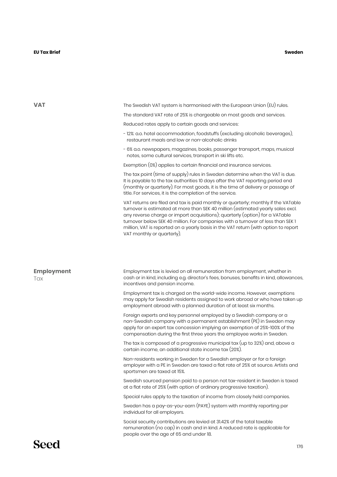| <b>VAT</b>               | The Swedish VAT system is harmonised with the European Union (EU) rules.                                                                                                                                                                                                                                                                                                                                                                                      |  |  |  |
|--------------------------|---------------------------------------------------------------------------------------------------------------------------------------------------------------------------------------------------------------------------------------------------------------------------------------------------------------------------------------------------------------------------------------------------------------------------------------------------------------|--|--|--|
|                          | The standard VAT rate of 25% is chargeable on most goods and services.                                                                                                                                                                                                                                                                                                                                                                                        |  |  |  |
|                          | Reduced rates apply to certain goods and services:                                                                                                                                                                                                                                                                                                                                                                                                            |  |  |  |
|                          | - 12%: a.o. hotel accommodation, foodstuffs (excluding alcoholic beverages),<br>restaurant meals and low or non-alcoholic drinks                                                                                                                                                                                                                                                                                                                              |  |  |  |
|                          | - 6% a.o. newspapers, magazines, books, passenger transport, maps, musical<br>notes, some cultural services, transport in ski lifts etc.                                                                                                                                                                                                                                                                                                                      |  |  |  |
|                          | Exemption (0%) applies to certain financial and insurance services.                                                                                                                                                                                                                                                                                                                                                                                           |  |  |  |
|                          | The tax point (time of supply) rules in Sweden determine when the VAT is due.<br>It is payable to the tax authorities 10 days after the VAT reporting period end<br>(monthly or quarterly). For most goods, it is the time of delivery or passage of<br>title. For services, it is the completion of the service.                                                                                                                                             |  |  |  |
|                          | VAT returns are filed and tax is paid monthly or quarterly; monthly if the VATable<br>turnover is estimated at more than SEK 40 million (estimated yearly sales excl.<br>any reverse charge or import acquisitions); quarterly (option) for a VATable<br>turnover below SEK 40 million. For companies with a turnover of less than SEK 1<br>million, VAT is reported on a yearly basis in the VAT return (with option to report<br>VAT monthly or quarterly). |  |  |  |
| <b>Employment</b><br>Tax | Employment tax is levied on all remuneration from employment, whether in<br>cash or in kind, including e.g. director's fees, bonuses, benefits in kind, allowances,<br>incentives and pension income.                                                                                                                                                                                                                                                         |  |  |  |
|                          | Employment tax is charged on the world-wide income. However, exemptions<br>may apply for Swedish residents assigned to work abroad or who have taken up<br>employment abroad with a planned duration of at least six months.                                                                                                                                                                                                                                  |  |  |  |
|                          | Foreign experts and key personnel employed by a Swedish company or a<br>non-Swedish company with a permanent establishment (PE) in Sweden may<br>apply for an expert tax concession implying an exemption of 25%-100% of the<br>compensation during the first three years the employee works in Sweden.                                                                                                                                                       |  |  |  |
|                          | The tax is composed of a progressive municipal tax (up to 32%) and, above a<br>certain income, an additional state income tax (20%).                                                                                                                                                                                                                                                                                                                          |  |  |  |
|                          | Non-residents working in Sweden for a Swedish employer or for a foreign<br>employer with a PE in Sweden are taxed a flat rate of 25% at source. Artists and<br>sportsmen are taxed at 15%.                                                                                                                                                                                                                                                                    |  |  |  |
|                          | Swedish sourced pension paid to a person not tax-resident in Sweden is taxed<br>at a flat rate of 25% (with option of ordinary progressive taxation).                                                                                                                                                                                                                                                                                                         |  |  |  |
|                          | Special rules apply to the taxation of income from closely held companies.                                                                                                                                                                                                                                                                                                                                                                                    |  |  |  |
|                          | Sweden has a pay-as-you-earn (PAYE) system with monthly reporting per<br>individual for all employers.                                                                                                                                                                                                                                                                                                                                                        |  |  |  |
|                          | Social security contributions are levied at 31.42% of the total taxable<br>remuneration (no cap) in cash and in kind. A reduced rate is applicable for<br>people over the age of 65 and under 18.                                                                                                                                                                                                                                                             |  |  |  |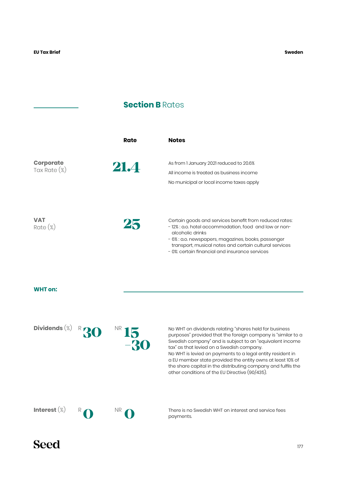## **Section B Rates**

|                                  | Rate | <b>Notes</b>                                                                                                                                                                                                                                                                                           |
|----------------------------------|------|--------------------------------------------------------------------------------------------------------------------------------------------------------------------------------------------------------------------------------------------------------------------------------------------------------|
| <b>Corporate</b><br>Tax Rate (%) | 21.4 | As from 1 January 2021 reduced to 20.6%<br>All income is treated as business income<br>No municipal or local income taxes apply                                                                                                                                                                        |
| <b>VAT</b><br>$Rate (\%)$        | 25   | Certain goods and services benefit from reduced rates<br>- 12% : a.o. hotel accommodation, food and low or non-<br>alcoholic drinks<br>- 6% : a.o. newspapers, magazines, books, passenger<br>transport, musical notes and certain cultural services<br>- 0%: certain financial and insurance services |

#### **WHT on:**

| Dividends $(\%)$ | $R$ 30 | -30 | No WHT on dividends relating "shares held for business"<br>purposes" provided that the foreign company is "similar to a<br>Swedish company" and is subject to an "equivalent income<br>tax" as that levied on a Swedish company.<br>No WHT is levied on payments to a legal entity resident in<br>a EU member state provided the entity owns at least 10% of<br>the share capital in the distributing company and fulfils the<br>other conditions of the EU Directive (90/435). |
|------------------|--------|-----|---------------------------------------------------------------------------------------------------------------------------------------------------------------------------------------------------------------------------------------------------------------------------------------------------------------------------------------------------------------------------------------------------------------------------------------------------------------------------------|
| Interest $(\%)$  |        |     | There is no Swedish WHT on interest and service fees<br>payments.                                                                                                                                                                                                                                                                                                                                                                                                               |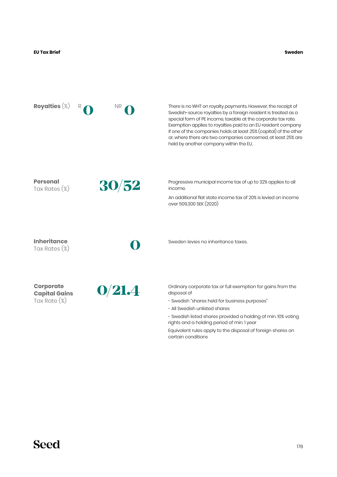**Sweden**

| Royalties $(\%)$                                            | ΝR     | There is no WHT on royalty payments. However, the receipt of<br>Swedish-source royalties by a foreign resident is treated as a<br>special form of PE income, taxable at the corporate tax rate.<br>Exemption applies to royalties paid to an EU resident company<br>if one of the companies holds at least 25% (capital) of the other<br>or, where there are two companies concerned, at least 25% are<br>held by another company within the EU. |
|-------------------------------------------------------------|--------|--------------------------------------------------------------------------------------------------------------------------------------------------------------------------------------------------------------------------------------------------------------------------------------------------------------------------------------------------------------------------------------------------------------------------------------------------|
| <b>Personal</b><br>Tax Rates (%)                            | 30/52  | Progressive municipal income tax of up to 32% applies to all<br>income.<br>An additional flat state income tax of 20% is levied on income<br>over 509,300 SEK (2020)                                                                                                                                                                                                                                                                             |
| <b>Inheritance</b><br>Tax Rates (%)                         |        | Sweden levies no inheritance taxes.                                                                                                                                                                                                                                                                                                                                                                                                              |
| <b>Corporate</b><br><b>Capital Gains</b><br>Tax Rate $(\%)$ | O/21.4 | Ordinary corporate tax or full exemption for gains from the<br>disposal of<br>- Swedish "shares held for business purposes"<br>- All Swedish unlisted shares<br>- Swedish listed shares provided a holding of min. 10% voting<br>rights and a holding period of min. I year<br>Equivalent rules apply to the disposal of foreign shares on<br>certain conditions                                                                                 |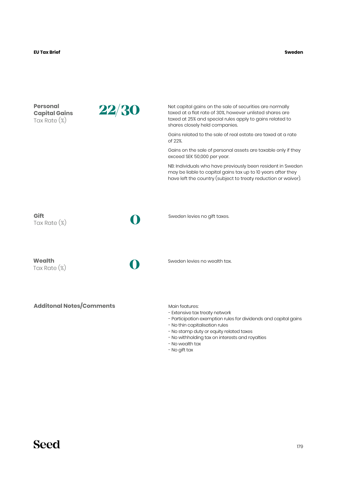| <b>Personal</b><br><b>Capital Gains</b><br>Tax Rate $(\%)$ | 22/30 | Net capital gains on the sale of securities are normally<br>taxed at a flat rate of 30%, however unlisted shares are<br>taxed at 25% and special rules apply to gains related to<br>shares closely held companies. |
|------------------------------------------------------------|-------|--------------------------------------------------------------------------------------------------------------------------------------------------------------------------------------------------------------------|
|                                                            |       | Gains related to the sale of real estate are taxed at a rate<br>of 22%.                                                                                                                                            |
|                                                            |       | Gains on the sale of personal assets are taxable only if they<br>exceed SEK 50,000 per year.                                                                                                                       |
|                                                            |       | NB: Individuals who have previously been resident in Sweden<br>may be liable to capital gains tax up to 10 years after they<br>have left the country (subject to treaty reduction or waiver).                      |
| Gift<br>Tax Rate $(\%)$                                    |       | Sweden levies no gift taxes.                                                                                                                                                                                       |
|                                                            |       |                                                                                                                                                                                                                    |
| Wealth<br>Tax Rate $(\%)$                                  |       | Sweden levies no wealth tax.                                                                                                                                                                                       |
| <b>Additonal Notes/Comments</b>                            |       | Main features:<br>- Extensive tax treaty network<br>- Participation exemption rules for dividends and capital gains                                                                                                |

- No thin capitalisation rules
- No stamp duty or equity related taxes
- No withholding tax on interests and royalties
- No wealth tax
- No gift tax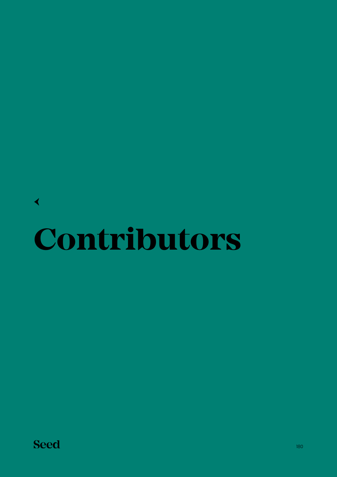## **Contributors** [←](#page-6-0)

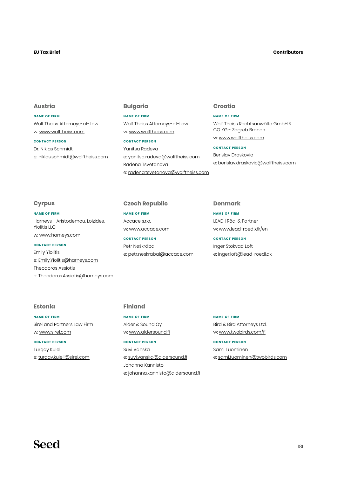## **EU Tax Brief**

#### **Contributors**

# **Austria**

# **name of firm** Wolf Theiss Attorneys-at-Law w: [www.wolftheiss.com](http://www.wolftheiss.com)

#### **contact person**

Dr. Niklas Schmidt e: [niklas.schmidt@wolftheiss.com](mailto:niklas.schmidt%40wolftheiss.com?subject=)

# **Bulgaria**

# **name of firm**

Wolf Theiss Attorneys-at-Law w: [www.wolftheiss.com](http://www.wolftheiss.com)

## **contact person**

Yanitsa Radeva e: [yanitsa.radeva@wolftheiss.com](mailto:yanitsa.radeva%40wolftheiss.com?subject=) Radena Tsvetanova e: [radena.tsvetanova@wolftheiss.com](mailto:radena.tsvetanova%40wolftheiss.com%20?subject=)

# **Croatia**

#### **name of firm**

Wolf Theiss Rechtsanwälte GmbH & CO KG - Zagreb Branch w: [www.wolftheiss.com](http://www.wolftheiss.com)

#### **contact person**

Berislav Draskovic e: [berislav.draskovic@wolftheiss.com](mailto:berislav.draskovic%40wolftheiss.com?subject=)

# **Cyrpus**

**name of firm** Harneys - Aristodemou, Loizides, Yiolitis LLC w: [www.harneys.com](http://www.harneys.com)

#### **contact person**

Emily Yiolitis e: [Emily.Yiolitis@harneys.com](mailto:Emily.Yiolitis%40harneys.com?subject=) Theodoros Assiotis e: [Theodoros.Assiotis@harneys.com](mailto:Theodoros.Assiotis%40harneys.com?subject=)

# **Estonia**

**name of firm** Sirel and Partners Law Firm w: [www.sirel.com](http://www.sirel.com)

#### **contact person**

Turgay Kuleli e: [turgay.kuleli@sirel.com](mailto:turgay.kuleli%40sirel.com?subject=)

# **Czech Republic**

**name of firm** Accace s.r.o. w: [www.accace.com](http://www.accace.com)

**contact person** Petr Neškrábal e: [petr.neskrabal@accace.com](mailto:petr.neskrabal%40accace.com?subject=)

#### **Denmark**

**name of firm** LEAD | Rödl & Partner w: [www.lead-roedl.dk/en](http://www.lead-roedl.dk/en)

**contact person** Inger Stokvad Loft e: [inger.loft@lead-roedl.dk](mailto:inger.loft%40lead-roedl.dk?subject=)

# **Finland**

**name of firm** Alder & Sound Oy w: [www.aldersound.fi](http://www.aldersound.fi)

#### **contact person**

Suvi Vänskä e: [suvi.vanska@aldersound.fi](mailto:suvi.vanska%40aldersound.fi?subject=) Johanna Kannisto e: [johanna.kannisto@aldersound.fi](mailto:johanna.kannisto%40aldersound.fi?subject=)

#### **name of firm**

Bird & Bird Attorneys Ltd. w: [www.twobirds.com/fi](http://www.twobirds.com/fi)

#### **contact person**

Sami Tuominen e: [sami.tuominen@twobirds.com](mailto:sami.tuominen%40twobirds.com?subject=)

# **Seed**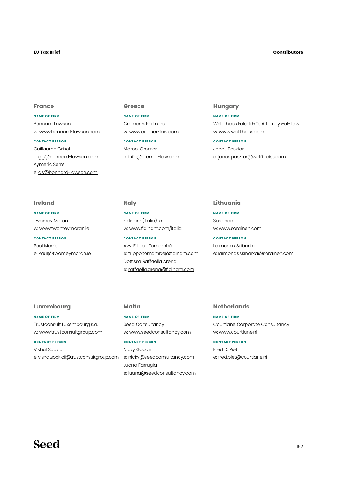## **EU Tax Brief**

#### **Contributors**

## **France**

**name of firm** Bonnard Lawson w: [www.bonnard-lawson.com](http://www.bonnard-lawson.com)

## **contact person**

Guillaume Grisel e: [gg@bonnard-lawson.com](mailto:gg%40bonnard-lawson.com?subject=) Aymeric Serre e: [as@bonnard-lawson.com](mailto:as%40bonnard-lawson.com?subject=)

#### **Greece**

**name of firm** Cremer & Partners w: [www.cremer-law.com](http://www.cremer-law.com)

**contact person** Marcel Cremer e: [info@cremer-law.com](mailto:info%40cremer-law.com?subject=)

## **Hungary**

**name of firm** Wolf Theiss Faludi Erős Attorneys-at-Law w: [www.wolftheiss.com](http://www.wolftheiss.com)

**contact person** Janos Pasztor e: [janos.pasztor@wolftheiss.com](mailto:janos.pasztor%40wolftheiss.com?subject=)

# **Ireland**

**name of firm** Twomey Moran w: [www.twomeymoran.ie](http://www.twomeymoran.ie) **contact person** Paul Morris

e: [Paul@twomeymoran.ie](mailto:Paul%40twomeymoran.ie?subject=)

## **Italy**

**name of firm** Fidinam (Italia) s.r.l. w: [www.fidinam.com/italia](http://www.fidinam.com/italia)

**contact person** Avv. Filippo Tornambè e: [filippo.tornambe@fidinam.com](mailto:filippo.tornambe%40fidinam.com?subject=) Dott.ssa Raffaella Arena e: [raffaella.arena@fidinam.com](mailto:raffaella.arena%40fidinam.com?subject=)

## **Lithuania**

**name of firm** Sorainen w: [www.sorainen.com](http://www.sorainen.com)

**contact person** Laimonas Skibarka

e: [laimonas.skibarka@sorainen.com](mailto:laimonas.skibarka%40sorainen.com?subject=)

# **Luxembourg**

**name of firm** Trustconsult Luxembourg s.a. w: [www.trustconsultgroup.com](http://www.trustconsultgroup.com)

#### **contact person**

Vishal Sookloll e: [vishal.sookloll@trustconsultgroup.com](mailto:vishal.sookloll%40trustconsultgroup.com?subject=)

# **Malta**

**name of firm** Seed Consultancy w: [www.seedconsultancy.com](http://www.seedconsultancy.com)

#### **contact person**

Nicky Gouder e: [nicky@seedconsultancy.com](mailto:nicky%40seedconsultancy.com?subject=) Luana Farrugia e: [luana@seedconsultancy.com](mailto:luana%40seedconsultancy.com?subject=)

## **Netherlands**

**name of firm** Courtlane Corporate Consultancy w: [www.courtlane.nl](http://www.courtlane.nl)

#### **contact person**

Fred D. Piet e: [fred.piet@courtlane.nl](mailto:fred.piet%40courtlane.nl?subject=)